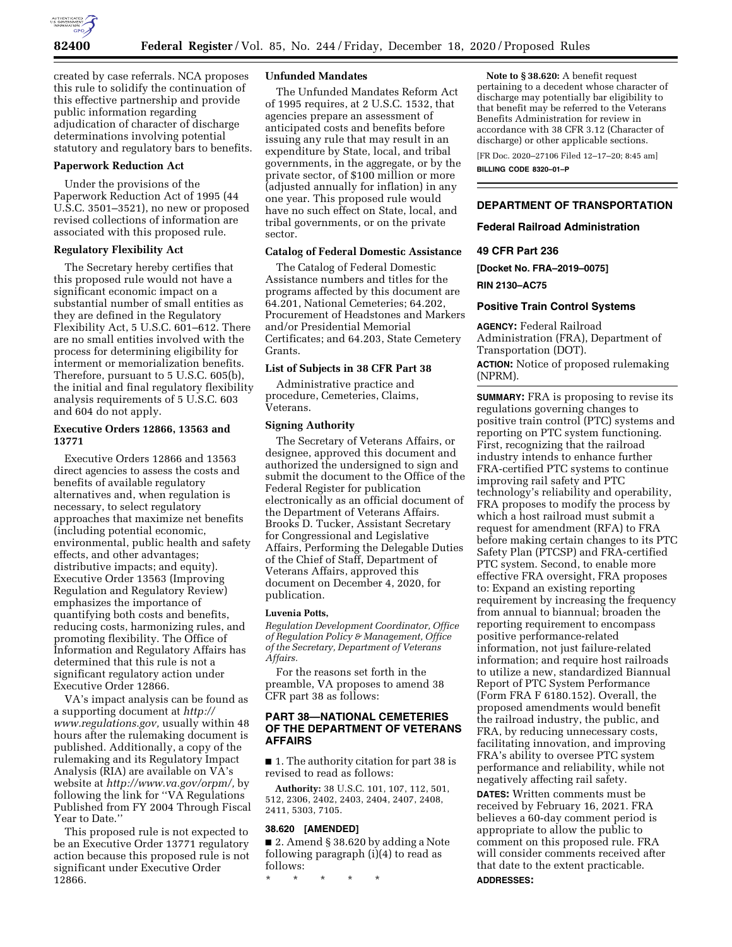

created by case referrals. NCA proposes this rule to solidify the continuation of this effective partnership and provide public information regarding adjudication of character of discharge determinations involving potential statutory and regulatory bars to benefits.

#### **Paperwork Reduction Act**

Under the provisions of the Paperwork Reduction Act of 1995 (44 U.S.C. 3501–3521), no new or proposed revised collections of information are associated with this proposed rule.

# **Regulatory Flexibility Act**

The Secretary hereby certifies that this proposed rule would not have a significant economic impact on a substantial number of small entities as they are defined in the Regulatory Flexibility Act, 5 U.S.C. 601–612. There are no small entities involved with the process for determining eligibility for interment or memorialization benefits. Therefore, pursuant to 5 U.S.C. 605(b), the initial and final regulatory flexibility analysis requirements of 5 U.S.C. 603 and 604 do not apply.

## **Executive Orders 12866, 13563 and 13771**

Executive Orders 12866 and 13563 direct agencies to assess the costs and benefits of available regulatory alternatives and, when regulation is necessary, to select regulatory approaches that maximize net benefits (including potential economic, environmental, public health and safety effects, and other advantages; distributive impacts; and equity). Executive Order 13563 (Improving Regulation and Regulatory Review) emphasizes the importance of quantifying both costs and benefits, reducing costs, harmonizing rules, and promoting flexibility. The Office of Information and Regulatory Affairs has determined that this rule is not a significant regulatory action under Executive Order 12866.

VA's impact analysis can be found as a supporting document at *[http://](http://www.regulations.gov) [www.regulations.gov,](http://www.regulations.gov)* usually within 48 hours after the rulemaking document is published. Additionally, a copy of the rulemaking and its Regulatory Impact Analysis (RIA) are available on VA's website at *[http://www.va.gov/orpm/,](http://www.va.gov/orpm/)* by following the link for ''VA Regulations Published from FY 2004 Through Fiscal Year to Date.''

This proposed rule is not expected to be an Executive Order 13771 regulatory action because this proposed rule is not significant under Executive Order 12866.

#### **Unfunded Mandates**

The Unfunded Mandates Reform Act of 1995 requires, at 2 U.S.C. 1532, that agencies prepare an assessment of anticipated costs and benefits before issuing any rule that may result in an expenditure by State, local, and tribal governments, in the aggregate, or by the private sector, of \$100 million or more (adjusted annually for inflation) in any one year. This proposed rule would have no such effect on State, local, and tribal governments, or on the private sector.

## **Catalog of Federal Domestic Assistance**

The Catalog of Federal Domestic Assistance numbers and titles for the programs affected by this document are 64.201, National Cemeteries; 64.202, Procurement of Headstones and Markers and/or Presidential Memorial Certificates; and 64.203, State Cemetery Grants.

# **List of Subjects in 38 CFR Part 38**

Administrative practice and procedure, Cemeteries, Claims, Veterans.

# **Signing Authority**

The Secretary of Veterans Affairs, or designee, approved this document and authorized the undersigned to sign and submit the document to the Office of the Federal Register for publication electronically as an official document of the Department of Veterans Affairs. Brooks D. Tucker, Assistant Secretary for Congressional and Legislative Affairs, Performing the Delegable Duties of the Chief of Staff, Department of Veterans Affairs, approved this document on December 4, 2020, for publication.

# **Luvenia Potts,**

*Regulation Development Coordinator, Office of Regulation Policy & Management, Office of the Secretary, Department of Veterans Affairs.* 

For the reasons set forth in the preamble, VA proposes to amend 38 CFR part 38 as follows:

# **PART 38—NATIONAL CEMETERIES OF THE DEPARTMENT OF VETERANS AFFAIRS**

■ 1. The authority citation for part 38 is revised to read as follows:

**Authority:** 38 U.S.C. 101, 107, 112, 501, 512, 2306, 2402, 2403, 2404, 2407, 2408, 2411, 5303, 7105.

#### **38.620 [AMENDED]**

■ 2. Amend § 38.620 by adding a Note following paragraph (i)(4) to read as follows:

\* \* \* \* \*

**Note to § 38.620:** A benefit request pertaining to a decedent whose character of discharge may potentially bar eligibility to that benefit may be referred to the Veterans Benefits Administration for review in accordance with 38 CFR 3.12 (Character of discharge) or other applicable sections.

[FR Doc. 2020–27106 Filed 12–17–20; 8:45 am] **BILLING CODE 8320–01–P** 

#### **DEPARTMENT OF TRANSPORTATION**

#### **Federal Railroad Administration**

#### **49 CFR Part 236**

**[Docket No. FRA–2019–0075]** 

**RIN 2130–AC75** 

#### **Positive Train Control Systems**

**AGENCY:** Federal Railroad Administration (FRA), Department of Transportation (DOT). **ACTION:** Notice of proposed rulemaking (NPRM).

**SUMMARY:** FRA is proposing to revise its regulations governing changes to positive train control (PTC) systems and reporting on PTC system functioning. First, recognizing that the railroad industry intends to enhance further FRA-certified PTC systems to continue improving rail safety and PTC technology's reliability and operability, FRA proposes to modify the process by which a host railroad must submit a request for amendment (RFA) to FRA before making certain changes to its PTC Safety Plan (PTCSP) and FRA-certified PTC system. Second, to enable more effective FRA oversight, FRA proposes to: Expand an existing reporting requirement by increasing the frequency from annual to biannual; broaden the reporting requirement to encompass positive performance-related information, not just failure-related information; and require host railroads to utilize a new, standardized Biannual Report of PTC System Performance (Form FRA F 6180.152). Overall, the proposed amendments would benefit the railroad industry, the public, and FRA, by reducing unnecessary costs, facilitating innovation, and improving FRA's ability to oversee PTC system performance and reliability, while not negatively affecting rail safety.

**DATES:** Written comments must be received by February 16, 2021. FRA believes a 60-day comment period is appropriate to allow the public to comment on this proposed rule. FRA will consider comments received after that date to the extent practicable. **ADDRESSES:**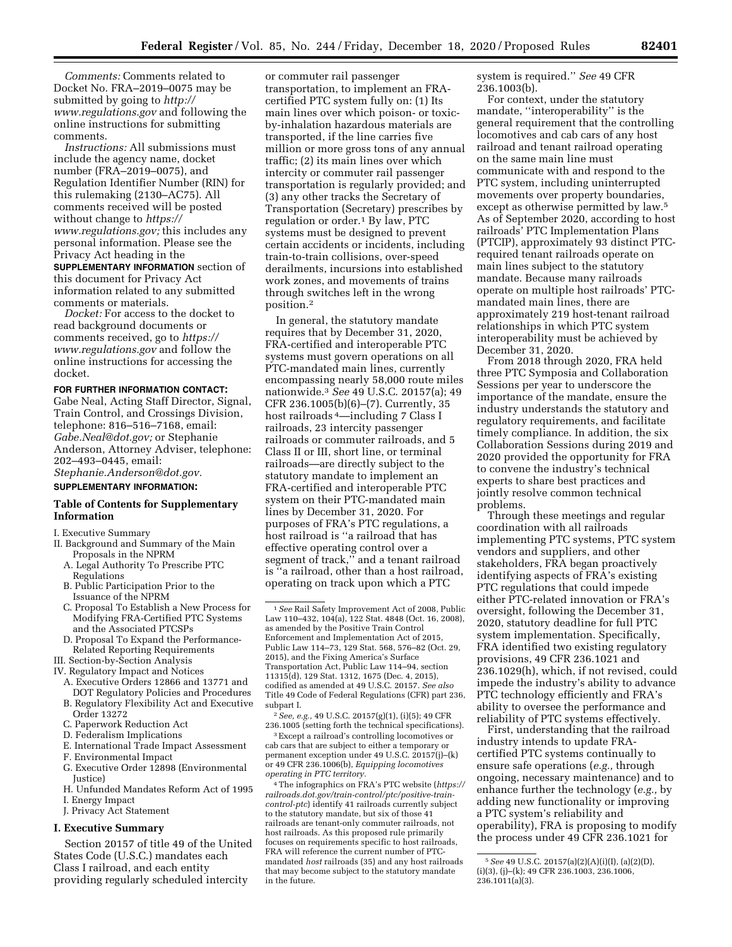*Comments:* Comments related to Docket No. FRA–2019–0075 may be submitted by going to *[http://](http://www.regulations.gov) [www.regulations.gov](http://www.regulations.gov)* and following the online instructions for submitting comments.

*Instructions:* All submissions must include the agency name, docket number (FRA–2019–0075), and Regulation Identifier Number (RIN) for this rulemaking (2130–AC75). All comments received will be posted without change to *[https://](https://www.regulations.gov) [www.regulations.gov;](https://www.regulations.gov)* this includes any personal information. Please see the Privacy Act heading in the

**SUPPLEMENTARY INFORMATION** section of this document for Privacy Act information related to any submitted comments or materials.

*Docket:* For access to the docket to read background documents or comments received, go to *[https://](https://www.regulations.gov) [www.regulations.gov](https://www.regulations.gov)* and follow the online instructions for accessing the docket.

#### **FOR FURTHER INFORMATION CONTACT:**

Gabe Neal, Acting Staff Director, Signal, Train Control, and Crossings Division, telephone: 816–516–7168, email: *[Gabe.Neal@dot.gov;](mailto:Gabe.Neal@dot.gov)* or Stephanie Anderson, Attorney Adviser, telephone: 202–493–0445, email: *[Stephanie.Anderson@dot.gov.](mailto:Stephanie.Anderson@dot.gov)* 

#### **SUPPLEMENTARY INFORMATION:**

# **Table of Contents for Supplementary Information**

#### I. Executive Summary

- II. Background and Summary of the Main Proposals in the NPRM
	- A. Legal Authority To Prescribe PTC Regulations
	- B. Public Participation Prior to the Issuance of the NPRM
	- C. Proposal To Establish a New Process for Modifying FRA-Certified PTC Systems and the Associated PTCSPs
	- D. Proposal To Expand the Performance-Related Reporting Requirements
- III. Section-by-Section Analysis
- IV. Regulatory Impact and Notices
	- A. Executive Orders 12866 and 13771 and DOT Regulatory Policies and Procedures
	- B. Regulatory Flexibility Act and Executive Order 13272
	- C. Paperwork Reduction Act
	- D. Federalism Implications
	- E. International Trade Impact Assessment
	- F. Environmental Impact
	- G. Executive Order 12898 (Environmental Justice)
	- H. Unfunded Mandates Reform Act of 1995 I. Energy Impact
	- J. Privacy Act Statement

## **I. Executive Summary**

Section 20157 of title 49 of the United States Code (U.S.C.) mandates each Class I railroad, and each entity providing regularly scheduled intercity

or commuter rail passenger transportation, to implement an FRAcertified PTC system fully on: (1) Its main lines over which poison- or toxicby-inhalation hazardous materials are transported, if the line carries five million or more gross tons of any annual traffic; (2) its main lines over which intercity or commuter rail passenger transportation is regularly provided; and (3) any other tracks the Secretary of Transportation (Secretary) prescribes by regulation or order.1 By law, PTC systems must be designed to prevent certain accidents or incidents, including train-to-train collisions, over-speed derailments, incursions into established work zones, and movements of trains through switches left in the wrong position.2

In general, the statutory mandate requires that by December 31, 2020, FRA-certified and interoperable PTC systems must govern operations on all PTC-mandated main lines, currently encompassing nearly 58,000 route miles nationwide.3 *See* 49 U.S.C. 20157(a); 49 CFR 236.1005(b)(6)–(7). Currently, 35 host railroads 4—including 7 Class I railroads, 23 intercity passenger railroads or commuter railroads, and 5 Class II or III, short line, or terminal railroads—are directly subject to the statutory mandate to implement an FRA-certified and interoperable PTC system on their PTC-mandated main lines by December 31, 2020. For purposes of FRA's PTC regulations, a host railroad is ''a railroad that has effective operating control over a segment of track,'' and a tenant railroad is ''a railroad, other than a host railroad, operating on track upon which a PTC

2*See, e.g.,* 49 U.S.C. 20157(g)(1), (i)(5); 49 CFR 236.1005 (setting forth the technical specifications).

3Except a railroad's controlling locomotives or cab cars that are subject to either a temporary or permanent exception under 49 U.S.C. 20157(j)–(k) or 49 CFR 236.1006(b), *Equipping locomotives operating in PTC territory.* 

4The infographics on FRA's PTC website (*[https://](https://railroads.dot.gov/train-control/ptc/positive-train-control-ptc)  [railroads.dot.gov/train-control/ptc/positive-train](https://railroads.dot.gov/train-control/ptc/positive-train-control-ptc)[control-ptc](https://railroads.dot.gov/train-control/ptc/positive-train-control-ptc)*) identify 41 railroads currently subject to the statutory mandate, but six of those 41 railroads are tenant-only commuter railroads, not host railroads. As this proposed rule primarily focuses on requirements specific to host railroads, FRA will reference the current number of PTCmandated *host* railroads (35) and any host railroads that may become subject to the statutory mandate in the future.

system is required.'' *See* 49 CFR 236.1003(b).

For context, under the statutory mandate, ''interoperability'' is the general requirement that the controlling locomotives and cab cars of any host railroad and tenant railroad operating on the same main line must communicate with and respond to the PTC system, including uninterrupted movements over property boundaries, except as otherwise permitted by law.5 As of September 2020, according to host railroads' PTC Implementation Plans (PTCIP), approximately 93 distinct PTCrequired tenant railroads operate on main lines subject to the statutory mandate. Because many railroads operate on multiple host railroads' PTCmandated main lines, there are approximately 219 host-tenant railroad relationships in which PTC system interoperability must be achieved by December 31, 2020.

From 2018 through 2020, FRA held three PTC Symposia and Collaboration Sessions per year to underscore the importance of the mandate, ensure the industry understands the statutory and regulatory requirements, and facilitate timely compliance. In addition, the six Collaboration Sessions during 2019 and 2020 provided the opportunity for FRA to convene the industry's technical experts to share best practices and jointly resolve common technical problems.

Through these meetings and regular coordination with all railroads implementing PTC systems, PTC system vendors and suppliers, and other stakeholders, FRA began proactively identifying aspects of FRA's existing PTC regulations that could impede either PTC-related innovation or FRA's oversight, following the December 31, 2020, statutory deadline for full PTC system implementation. Specifically, FRA identified two existing regulatory provisions, 49 CFR 236.1021 and 236.1029(h), which, if not revised, could impede the industry's ability to advance PTC technology efficiently and FRA's ability to oversee the performance and reliability of PTC systems effectively.

First, understanding that the railroad industry intends to update FRAcertified PTC systems continually to ensure safe operations (*e.g.,* through ongoing, necessary maintenance) and to enhance further the technology (*e.g.,* by adding new functionality or improving a PTC system's reliability and operability), FRA is proposing to modify the process under 49 CFR 236.1021 for

<sup>1</sup>*See* Rail Safety Improvement Act of 2008, Public Law 110–432, 104(a), 122 Stat. 4848 (Oct. 16, 2008), as amended by the Positive Train Control Enforcement and Implementation Act of 2015, Public Law 114–73, 129 Stat. 568, 576–82 (Oct. 29, 2015), and the Fixing America's Surface Transportation Act, Public Law 114–94, section 11315(d), 129 Stat. 1312, 1675 (Dec. 4, 2015), codified as amended at 49 U.S.C. 20157. *See also*  Title 49 Code of Federal Regulations (CFR) part 236, subpart I.

<sup>5</sup>*See* 49 U.S.C. 20157(a)(2)(A)(i)(I), (a)(2)(D), (i)(3), (j)–(k); 49 CFR 236.1003, 236.1006, 236.1011(a)(3).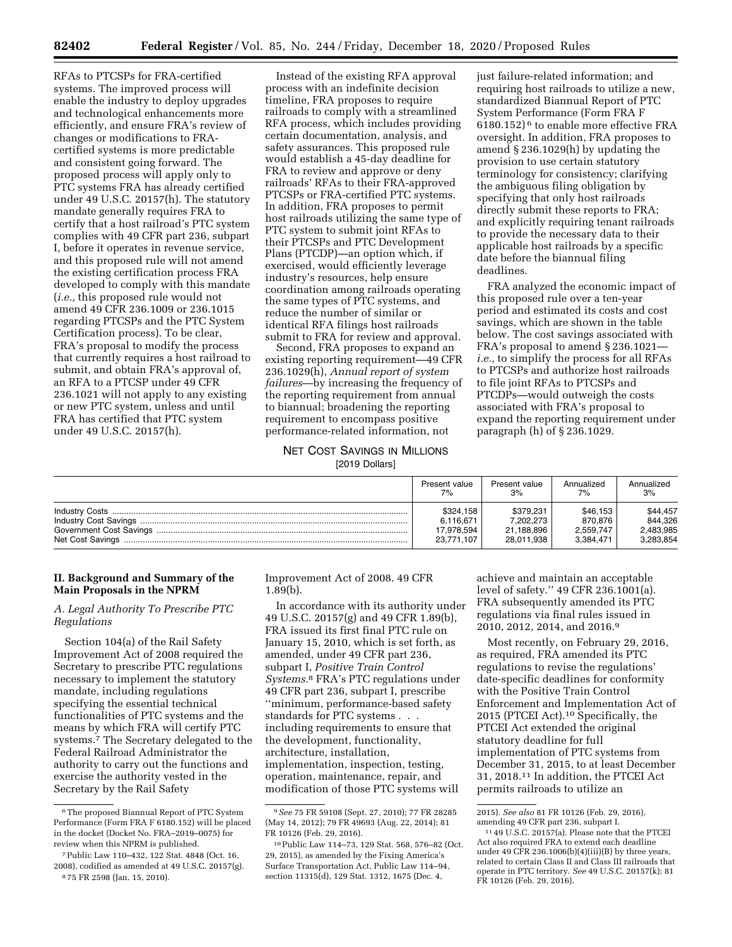RFAs to PTCSPs for FRA-certified systems. The improved process will enable the industry to deploy upgrades and technological enhancements more efficiently, and ensure FRA's review of changes or modifications to FRAcertified systems is more predictable and consistent going forward. The proposed process will apply only to PTC systems FRA has already certified under 49 U.S.C. 20157(h). The statutory mandate generally requires FRA to certify that a host railroad's PTC system complies with 49 CFR part 236, subpart I, before it operates in revenue service, and this proposed rule will not amend the existing certification process FRA developed to comply with this mandate (*i.e.,* this proposed rule would not amend 49 CFR 236.1009 or 236.1015 regarding PTCSPs and the PTC System Certification process). To be clear, FRA's proposal to modify the process that currently requires a host railroad to submit, and obtain FRA's approval of, an RFA to a PTCSP under 49 CFR 236.1021 will not apply to any existing or new PTC system, unless and until FRA has certified that PTC system under 49 U.S.C. 20157(h).

Instead of the existing RFA approval process with an indefinite decision timeline, FRA proposes to require railroads to comply with a streamlined RFA process, which includes providing certain documentation, analysis, and safety assurances. This proposed rule would establish a 45-day deadline for FRA to review and approve or deny railroads' RFAs to their FRA-approved PTCSPs or FRA-certified PTC systems. In addition, FRA proposes to permit host railroads utilizing the same type of PTC system to submit joint RFAs to their PTCSPs and PTC Development Plans (PTCDP)—an option which, if exercised, would efficiently leverage industry's resources, help ensure coordination among railroads operating the same types of PTC systems, and reduce the number of similar or identical RFA filings host railroads submit to FRA for review and approval.

Second, FRA proposes to expand an existing reporting requirement—49 CFR 236.1029(h), *Annual report of system failures*—by increasing the frequency of the reporting requirement from annual to biannual; broadening the reporting requirement to encompass positive performance-related information, not

## NET COST SAVINGS IN MILLIONS [2019 Dollars]

just failure-related information; and requiring host railroads to utilize a new, standardized Biannual Report of PTC System Performance (Form FRA F 6180.152) 6 to enable more effective FRA oversight. In addition, FRA proposes to amend § 236.1029(h) by updating the provision to use certain statutory terminology for consistency; clarifying the ambiguous filing obligation by specifying that only host railroads directly submit these reports to FRA; and explicitly requiring tenant railroads to provide the necessary data to their applicable host railroads by a specific date before the biannual filing deadlines.

FRA analyzed the economic impact of this proposed rule over a ten-year period and estimated its costs and cost savings, which are shown in the table below. The cost savings associated with FRA's proposal to amend § 236.1021 *i.e.,* to simplify the process for all RFAs to PTCSPs and authorize host railroads to file joint RFAs to PTCSPs and PTCDPs—would outweigh the costs associated with FRA's proposal to expand the reporting requirement under paragraph (h) of § 236.1029.

|                                             | Present value            | Present value            | Annualized             | Annualized             |
|---------------------------------------------|--------------------------|--------------------------|------------------------|------------------------|
|                                             | 7%                       | 3%                       | 7%                     | 3%                     |
|                                             | \$324.158                | \$379.231                | \$46.153               | \$44,457               |
|                                             | 6.116.671                | 7.202.273                | 870.876                | 844.326                |
| Government Cost Savings<br>Net Cost Savings | 17.978.594<br>23,771,107 | 21,188,896<br>28,011,938 | 2.559.747<br>3.384.471 | 2,483,985<br>3.283.854 |

# **II. Background and Summary of the Main Proposals in the NPRM**

*A. Legal Authority To Prescribe PTC Regulations* 

Section 104(a) of the Rail Safety Improvement Act of 2008 required the Secretary to prescribe PTC regulations necessary to implement the statutory mandate, including regulations specifying the essential technical functionalities of PTC systems and the means by which FRA will certify PTC systems.7 The Secretary delegated to the Federal Railroad Administrator the authority to carry out the functions and exercise the authority vested in the Secretary by the Rail Safety

Improvement Act of 2008. 49 CFR 1.89(b).

In accordance with its authority under 49 U.S.C. 20157(g) and 49 CFR 1.89(b), FRA issued its first final PTC rule on January 15, 2010, which is set forth, as amended, under 49 CFR part 236, subpart I, *Positive Train Control Systems.*8 FRA's PTC regulations under 49 CFR part 236, subpart I, prescribe ''minimum, performance-based safety standards for PTC systems . . . including requirements to ensure that the development, functionality, architecture, installation, implementation, inspection, testing, operation, maintenance, repair, and modification of those PTC systems will

achieve and maintain an acceptable level of safety.'' 49 CFR 236.1001(a). FRA subsequently amended its PTC regulations via final rules issued in 2010, 2012, 2014, and 2016.9

Most recently, on February 29, 2016, as required, FRA amended its PTC regulations to revise the regulations' date-specific deadlines for conformity with the Positive Train Control Enforcement and Implementation Act of 2015 (PTCEI Act).10 Specifically, the PTCEI Act extended the original statutory deadline for full implementation of PTC systems from December 31, 2015, to at least December 31, 2018.11 In addition, the PTCEI Act permits railroads to utilize an

<sup>6</sup>The proposed Biannual Report of PTC System Performance (Form FRA F 6180.152) will be placed in the docket (Docket No. FRA–2019–0075) for review when this NPRM is published.

<sup>7</sup>Public Law 110–432, 122 Stat. 4848 (Oct. 16, 2008), codified as amended at 49 U.S.C. 20157(g). 8 75 FR 2598 (Jan. 15, 2010).

<sup>9</sup>*See* 75 FR 59108 (Sept. 27, 2010); 77 FR 28285 (May 14, 2012); 79 FR 49693 (Aug. 22, 2014); 81 FR 10126 (Feb. 29, 2016).

<sup>10</sup>Public Law 114–73, 129 Stat. 568, 576–82 (Oct. 29, 2015), as amended by the Fixing America's Surface Transportation Act, Public Law 114–94, section 11315(d), 129 Stat. 1312, 1675 (Dec. 4,

<sup>2015).</sup> *See also* 81 FR 10126 (Feb. 29, 2016), amending 49 CFR part 236, subpart I.

<sup>11</sup> 49 U.S.C. 20157(a). Please note that the PTCEI Act also required FRA to extend each deadline under 49 CFR 236.1006(b)(4)(iii)(B) by three years, related to certain Class II and Class III railroads that operate in PTC territory. *See* 49 U.S.C. 20157(k); 81 FR 10126 (Feb. 29, 2016).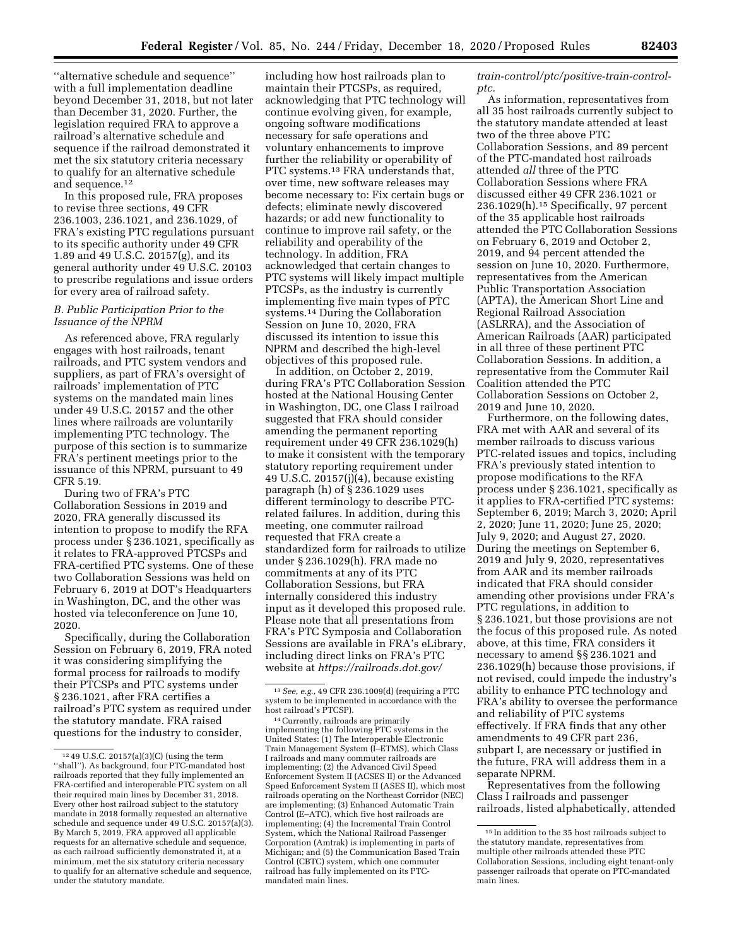''alternative schedule and sequence'' with a full implementation deadline beyond December 31, 2018, but not later than December 31, 2020. Further, the legislation required FRA to approve a railroad's alternative schedule and sequence if the railroad demonstrated it met the six statutory criteria necessary to qualify for an alternative schedule and sequence.12

In this proposed rule, FRA proposes to revise three sections, 49 CFR 236.1003, 236.1021, and 236.1029, of FRA's existing PTC regulations pursuant to its specific authority under 49 CFR 1.89 and 49 U.S.C. 20157(g), and its general authority under 49 U.S.C. 20103 to prescribe regulations and issue orders for every area of railroad safety.

# *B. Public Participation Prior to the Issuance of the NPRM*

As referenced above, FRA regularly engages with host railroads, tenant railroads, and PTC system vendors and suppliers, as part of FRA's oversight of railroads' implementation of PTC systems on the mandated main lines under 49 U.S.C. 20157 and the other lines where railroads are voluntarily implementing PTC technology. The purpose of this section is to summarize FRA's pertinent meetings prior to the issuance of this NPRM, pursuant to 49 CFR 5.19.

During two of FRA's PTC Collaboration Sessions in 2019 and 2020, FRA generally discussed its intention to propose to modify the RFA process under § 236.1021, specifically as it relates to FRA-approved PTCSPs and FRA-certified PTC systems. One of these two Collaboration Sessions was held on February 6, 2019 at DOT's Headquarters in Washington, DC, and the other was hosted via teleconference on June 10, 2020.

Specifically, during the Collaboration Session on February 6, 2019, FRA noted it was considering simplifying the formal process for railroads to modify their PTCSPs and PTC systems under § 236.1021, after FRA certifies a railroad's PTC system as required under the statutory mandate. FRA raised questions for the industry to consider,

including how host railroads plan to maintain their PTCSPs, as required, acknowledging that PTC technology will continue evolving given, for example, ongoing software modifications necessary for safe operations and voluntary enhancements to improve further the reliability or operability of PTC systems.<sup>13</sup> FRA understands that, over time, new software releases may become necessary to: Fix certain bugs or defects; eliminate newly discovered hazards; or add new functionality to continue to improve rail safety, or the reliability and operability of the technology. In addition, FRA acknowledged that certain changes to PTC systems will likely impact multiple PTCSPs, as the industry is currently implementing five main types of PTC systems.14 During the Collaboration Session on June 10, 2020, FRA discussed its intention to issue this NPRM and described the high-level objectives of this proposed rule.

In addition, on October 2, 2019, during FRA's PTC Collaboration Session hosted at the National Housing Center in Washington, DC, one Class I railroad suggested that FRA should consider amending the permanent reporting requirement under 49 CFR 236.1029(h) to make it consistent with the temporary statutory reporting requirement under 49 U.S.C. 20157(j)(4), because existing paragraph (h) of § 236.1029 uses different terminology to describe PTCrelated failures. In addition, during this meeting, one commuter railroad requested that FRA create a standardized form for railroads to utilize under § 236.1029(h). FRA made no commitments at any of its PTC Collaboration Sessions, but FRA internally considered this industry input as it developed this proposed rule. Please note that all presentations from FRA's PTC Symposia and Collaboration Sessions are available in FRA's eLibrary, including direct links on FRA's PTC website at *[https://railroads.dot.gov/](https://railroads.dot.gov/train-control/ptc/positive-train-control-ptc)* 

*[train-control/ptc/positive-train-control](https://railroads.dot.gov/train-control/ptc/positive-train-control-ptc)[ptc.](https://railroads.dot.gov/train-control/ptc/positive-train-control-ptc)* 

As information, representatives from all 35 host railroads currently subject to the statutory mandate attended at least two of the three above PTC Collaboration Sessions, and 89 percent of the PTC-mandated host railroads attended *all* three of the PTC Collaboration Sessions where FRA discussed either 49 CFR 236.1021 or 236.1029(h).15 Specifically, 97 percent of the 35 applicable host railroads attended the PTC Collaboration Sessions on February 6, 2019 and October 2, 2019, and 94 percent attended the session on June 10, 2020. Furthermore, representatives from the American Public Transportation Association (APTA), the American Short Line and Regional Railroad Association (ASLRRA), and the Association of American Railroads (AAR) participated in all three of these pertinent PTC Collaboration Sessions. In addition, a representative from the Commuter Rail Coalition attended the PTC Collaboration Sessions on October 2, 2019 and June 10, 2020.

Furthermore, on the following dates, FRA met with AAR and several of its member railroads to discuss various PTC-related issues and topics, including FRA's previously stated intention to propose modifications to the RFA process under § 236.1021, specifically as it applies to FRA-certified PTC systems: September 6, 2019; March 3, 2020; April 2, 2020; June 11, 2020; June 25, 2020; July 9, 2020; and August 27, 2020. During the meetings on September 6, 2019 and July 9, 2020, representatives from AAR and its member railroads indicated that FRA should consider amending other provisions under FRA's PTC regulations, in addition to § 236.1021, but those provisions are not the focus of this proposed rule. As noted above, at this time, FRA considers it necessary to amend §§ 236.1021 and 236.1029(h) because those provisions, if not revised, could impede the industry's ability to enhance PTC technology and FRA's ability to oversee the performance and reliability of PTC systems effectively. If FRA finds that any other amendments to 49 CFR part 236, subpart I, are necessary or justified in the future, FRA will address them in a separate NPRM.

Representatives from the following Class I railroads and passenger railroads, listed alphabetically, attended

 $^{\rm 12}$  49 U.S.C. 20157(a)(3)(C) (using the term ''shall''). As background, four PTC-mandated host railroads reported that they fully implemented an FRA-certified and interoperable PTC system on all their required main lines by December 31, 2018. Every other host railroad subject to the statutory mandate in 2018 formally requested an alternative schedule and sequence under 49 U.S.C. 20157(a)(3). By March 5, 2019, FRA approved all applicable requests for an alternative schedule and sequence, as each railroad sufficiently demonstrated it, at a minimum, met the six statutory criteria necessary to qualify for an alternative schedule and sequence, under the statutory mandate.

<sup>13</sup>*See, e.g.,* 49 CFR 236.1009(d) (requiring a PTC system to be implemented in accordance with the

host railroad's PTCSP).<br><sup>14</sup> Currently, railroads are primarily<br>implementing the following PTC systems in the United States: (1) The Interoperable Electronic Train Management System (I–ETMS), which Class I railroads and many commuter railroads are implementing; (2) the Advanced Civil Speed Enforcement System II (ACSES II) or the Advanced Speed Enforcement System II (ASES II), which most railroads operating on the Northeast Corridor (NEC) are implementing; (3) Enhanced Automatic Train Control (E–ATC), which five host railroads are implementing; (4) the Incremental Train Control System, which the National Railroad Passenger Corporation (Amtrak) is implementing in parts of Michigan; and (5) the Communication Based Train Control (CBTC) system, which one commuter railroad has fully implemented on its PTCmandated main lines.

<sup>15</sup> In addition to the 35 host railroads subject to the statutory mandate, representatives from multiple other railroads attended these PTC Collaboration Sessions, including eight tenant-only passenger railroads that operate on PTC-mandated main lines.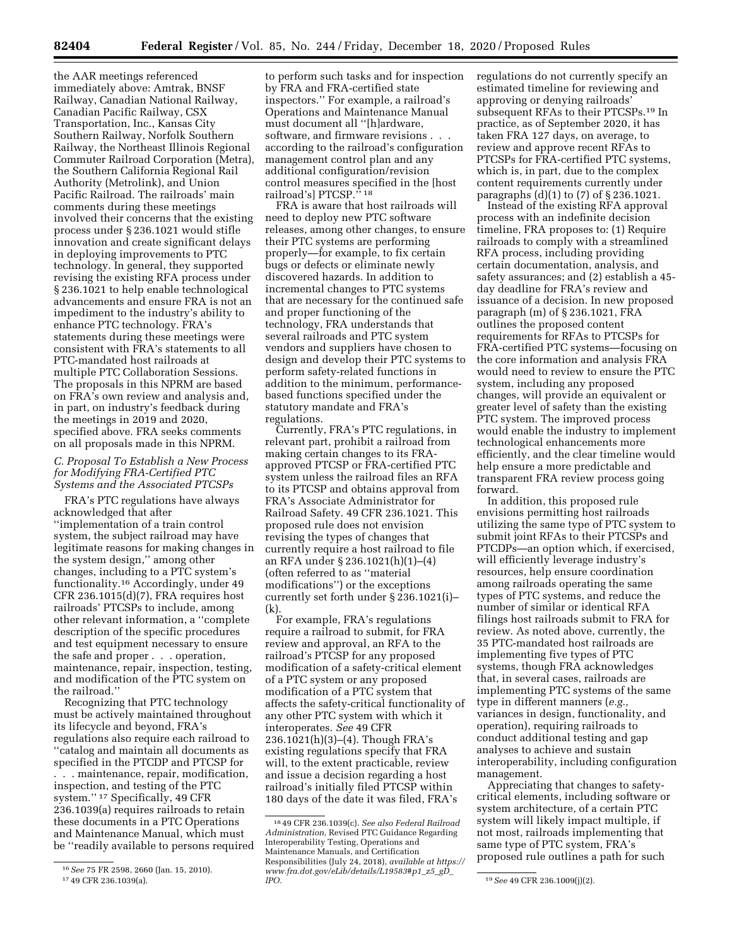the AAR meetings referenced immediately above: Amtrak, BNSF Railway, Canadian National Railway, Canadian Pacific Railway, CSX Transportation, Inc., Kansas City Southern Railway, Norfolk Southern Railway, the Northeast Illinois Regional Commuter Railroad Corporation (Metra), the Southern California Regional Rail Authority (Metrolink), and Union Pacific Railroad. The railroads' main comments during these meetings involved their concerns that the existing process under § 236.1021 would stifle innovation and create significant delays in deploying improvements to PTC technology. In general, they supported revising the existing RFA process under § 236.1021 to help enable technological advancements and ensure FRA is not an impediment to the industry's ability to enhance PTC technology. FRA's statements during these meetings were consistent with FRA's statements to all PTC-mandated host railroads at multiple PTC Collaboration Sessions. The proposals in this NPRM are based on FRA's own review and analysis and, in part, on industry's feedback during the meetings in 2019 and 2020, specified above. FRA seeks comments on all proposals made in this NPRM.

# *C. Proposal To Establish a New Process for Modifying FRA-Certified PTC Systems and the Associated PTCSPs*

FRA's PTC regulations have always acknowledged that after ''implementation of a train control system, the subject railroad may have legitimate reasons for making changes in the system design,'' among other changes, including to a PTC system's functionality.16 Accordingly, under 49 CFR 236.1015(d)(7), FRA requires host railroads' PTCSPs to include, among other relevant information, a ''complete description of the specific procedures and test equipment necessary to ensure the safe and proper . . . operation, maintenance, repair, inspection, testing, and modification of the PTC system on the railroad.''

Recognizing that PTC technology must be actively maintained throughout its lifecycle and beyond, FRA's regulations also require each railroad to ''catalog and maintain all documents as specified in the PTCDP and PTCSP for . . . maintenance, repair, modification, inspection, and testing of the PTC system.'' 17 Specifically, 49 CFR 236.1039(a) requires railroads to retain these documents in a PTC Operations and Maintenance Manual, which must be ''readily available to persons required

to perform such tasks and for inspection by FRA and FRA-certified state inspectors.'' For example, a railroad's Operations and Maintenance Manual must document all ''[h]ardware, software, and firmware revisions . . . according to the railroad's configuration management control plan and any additional configuration/revision control measures specified in the [host railroad's] PTCSP.'' 18

FRA is aware that host railroads will need to deploy new PTC software releases, among other changes, to ensure their PTC systems are performing properly—for example, to fix certain bugs or defects or eliminate newly discovered hazards. In addition to incremental changes to PTC systems that are necessary for the continued safe and proper functioning of the technology, FRA understands that several railroads and PTC system vendors and suppliers have chosen to design and develop their PTC systems to perform safety-related functions in addition to the minimum, performancebased functions specified under the statutory mandate and FRA's regulations.

Currently, FRA's PTC regulations, in relevant part, prohibit a railroad from making certain changes to its FRAapproved PTCSP or FRA-certified PTC system unless the railroad files an RFA to its PTCSP and obtains approval from FRA's Associate Administrator for Railroad Safety. 49 CFR 236.1021. This proposed rule does not envision revising the types of changes that currently require a host railroad to file an RFA under § 236.1021(h)(1)–(4) (often referred to as ''material modifications'') or the exceptions currently set forth under § 236.1021(i)– (k).

For example, FRA's regulations require a railroad to submit, for FRA review and approval, an RFA to the railroad's PTCSP for any proposed modification of a safety-critical element of a PTC system or any proposed modification of a PTC system that affects the safety-critical functionality of any other PTC system with which it interoperates. *See* 49 CFR 236.1021(h)(3)–(4). Though FRA's existing regulations specify that FRA will, to the extent practicable, review and issue a decision regarding a host railroad's initially filed PTCSP within 180 days of the date it was filed, FRA's

regulations do not currently specify an estimated timeline for reviewing and approving or denying railroads' subsequent RFAs to their PTCSPs.19 In practice, as of September 2020, it has taken FRA 127 days, on average, to review and approve recent RFAs to PTCSPs for FRA-certified PTC systems, which is, in part, due to the complex content requirements currently under paragraphs (d)(1) to (7) of § 236.1021.

Instead of the existing RFA approval process with an indefinite decision timeline, FRA proposes to: (1) Require railroads to comply with a streamlined RFA process, including providing certain documentation, analysis, and safety assurances; and (2) establish a 45 day deadline for FRA's review and issuance of a decision. In new proposed paragraph (m) of § 236.1021, FRA outlines the proposed content requirements for RFAs to PTCSPs for FRA-certified PTC systems—focusing on the core information and analysis FRA would need to review to ensure the PTC system, including any proposed changes, will provide an equivalent or greater level of safety than the existing PTC system. The improved process would enable the industry to implement technological enhancements more efficiently, and the clear timeline would help ensure a more predictable and transparent FRA review process going forward.

In addition, this proposed rule envisions permitting host railroads utilizing the same type of PTC system to submit joint RFAs to their PTCSPs and PTCDPs—an option which, if exercised, will efficiently leverage industry's resources, help ensure coordination among railroads operating the same types of PTC systems, and reduce the number of similar or identical RFA filings host railroads submit to FRA for review. As noted above, currently, the 35 PTC-mandated host railroads are implementing five types of PTC systems, though FRA acknowledges that, in several cases, railroads are implementing PTC systems of the same type in different manners (*e.g.,*  variances in design, functionality, and operation), requiring railroads to conduct additional testing and gap analyses to achieve and sustain interoperability, including configuration management.

Appreciating that changes to safetycritical elements, including software or system architecture, of a certain PTC system will likely impact multiple, if not most, railroads implementing that same type of PTC system, FRA's proposed rule outlines a path for such

<sup>16</sup>*See* 75 FR 2598, 2660 (Jan. 15, 2010). 17 49 CFR 236.1039(a).

<sup>18</sup> 49 CFR 236.1039(c). *See also Federal Railroad Administration,* Revised PTC Guidance Regarding Interoperability Testing, Operations and Maintenance Manuals, and Certification Responsibilities (July 24, 2018), *available at [https://](https://www.fra.dot.gov/eLib/details/L19583#p1_z5_gD_lPO)  [www.fra.dot.gov/eLib/details/L19583#p1](https://www.fra.dot.gov/eLib/details/L19583#p1_z5_gD_lPO)*\_*z5*\_*gD*\_

*[lPO.](https://www.fra.dot.gov/eLib/details/L19583#p1_z5_gD_lPO)* 19*See* 49 CFR 236.1009(j)(2).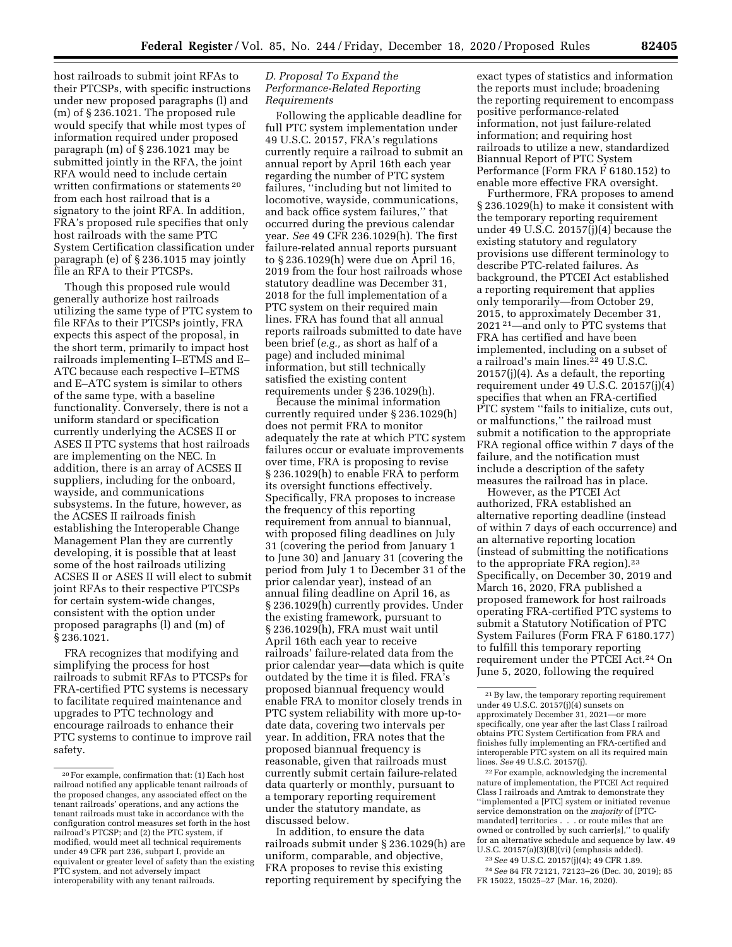host railroads to submit joint RFAs to their PTCSPs, with specific instructions under new proposed paragraphs (l) and (m) of § 236.1021. The proposed rule would specify that while most types of information required under proposed paragraph (m) of § 236.1021 may be submitted jointly in the RFA, the joint RFA would need to include certain written confirmations or statements 20 from each host railroad that is a signatory to the joint RFA. In addition, FRA's proposed rule specifies that only host railroads with the same PTC System Certification classification under paragraph (e) of § 236.1015 may jointly file an RFA to their PTCSPs.

Though this proposed rule would generally authorize host railroads utilizing the same type of PTC system to file RFAs to their PTCSPs jointly, FRA expects this aspect of the proposal, in the short term, primarily to impact host railroads implementing I–ETMS and E– ATC because each respective I–ETMS and E–ATC system is similar to others of the same type, with a baseline functionality. Conversely, there is not a uniform standard or specification currently underlying the ACSES II or ASES II PTC systems that host railroads are implementing on the NEC. In addition, there is an array of ACSES II suppliers, including for the onboard, wayside, and communications subsystems. In the future, however, as the ACSES II railroads finish establishing the Interoperable Change Management Plan they are currently developing, it is possible that at least some of the host railroads utilizing ACSES II or ASES II will elect to submit joint RFAs to their respective PTCSPs for certain system-wide changes, consistent with the option under proposed paragraphs (l) and (m) of § 236.1021.

FRA recognizes that modifying and simplifying the process for host railroads to submit RFAs to PTCSPs for FRA-certified PTC systems is necessary to facilitate required maintenance and upgrades to PTC technology and encourage railroads to enhance their PTC systems to continue to improve rail safety.

# *D. Proposal To Expand the Performance-Related Reporting Requirements*

Following the applicable deadline for full PTC system implementation under 49 U.S.C. 20157, FRA's regulations currently require a railroad to submit an annual report by April 16th each year regarding the number of PTC system failures, ''including but not limited to locomotive, wayside, communications, and back office system failures,'' that occurred during the previous calendar year. *See* 49 CFR 236.1029(h). The first failure-related annual reports pursuant to § 236.1029(h) were due on April 16, 2019 from the four host railroads whose statutory deadline was December 31, 2018 for the full implementation of a PTC system on their required main lines. FRA has found that all annual reports railroads submitted to date have been brief (*e.g.,* as short as half of a page) and included minimal information, but still technically satisfied the existing content requirements under § 236.1029(h).

Because the minimal information currently required under § 236.1029(h) does not permit FRA to monitor adequately the rate at which PTC system failures occur or evaluate improvements over time, FRA is proposing to revise § 236.1029(h) to enable FRA to perform its oversight functions effectively. Specifically, FRA proposes to increase the frequency of this reporting requirement from annual to biannual, with proposed filing deadlines on July 31 (covering the period from January 1 to June 30) and January 31 (covering the period from July 1 to December 31 of the prior calendar year), instead of an annual filing deadline on April 16, as § 236.1029(h) currently provides. Under the existing framework, pursuant to § 236.1029(h), FRA must wait until April 16th each year to receive railroads' failure-related data from the prior calendar year—data which is quite outdated by the time it is filed. FRA's proposed biannual frequency would enable FRA to monitor closely trends in PTC system reliability with more up-todate data, covering two intervals per year. In addition, FRA notes that the proposed biannual frequency is reasonable, given that railroads must currently submit certain failure-related data quarterly or monthly, pursuant to a temporary reporting requirement under the statutory mandate, as discussed below.

In addition, to ensure the data railroads submit under § 236.1029(h) are uniform, comparable, and objective, FRA proposes to revise this existing reporting requirement by specifying the

exact types of statistics and information the reports must include; broadening the reporting requirement to encompass positive performance-related information, not just failure-related information; and requiring host railroads to utilize a new, standardized Biannual Report of PTC System Performance (Form FRA F 6180.152) to enable more effective FRA oversight.

Furthermore, FRA proposes to amend § 236.1029(h) to make it consistent with the temporary reporting requirement under 49 U.S.C. 20157(j)(4) because the existing statutory and regulatory provisions use different terminology to describe PTC-related failures. As background, the PTCEI Act established a reporting requirement that applies only temporarily—from October 29, 2015, to approximately December 31, 2021 21—and only to PTC systems that FRA has certified and have been implemented, including on a subset of a railroad's main lines.22 49 U.S.C. 20157(j)(4). As a default, the reporting requirement under 49 U.S.C. 20157(j)(4) specifies that when an FRA-certified PTC system "fails to initialize, cuts out, or malfunctions,'' the railroad must submit a notification to the appropriate FRA regional office within 7 days of the failure, and the notification must include a description of the safety measures the railroad has in place.

However, as the PTCEI Act authorized, FRA established an alternative reporting deadline (instead of within 7 days of each occurrence) and an alternative reporting location (instead of submitting the notifications to the appropriate FRA region).<sup>23</sup> Specifically, on December 30, 2019 and March 16, 2020, FRA published a proposed framework for host railroads operating FRA-certified PTC systems to submit a Statutory Notification of PTC System Failures (Form FRA F 6180.177) to fulfill this temporary reporting requirement under the PTCEI Act.24 On June 5, 2020, following the required

22For example, acknowledging the incremental nature of implementation, the PTCEI Act required Class I railroads and Amtrak to demonstrate they ''implemented a [PTC] system or initiated revenue service demonstration on the *majority* of [PTCmandated] territories . . . or route miles that are owned or controlled by such carrier[s],'' to qualify for an alternative schedule and sequence by law. 49 U.S.C. 20157(a)(3)(B)(vi) (emphasis added).

23*See* 49 U.S.C. 20157(j)(4); 49 CFR 1.89.

24*See* 84 FR 72121, 72123–26 (Dec. 30, 2019); 85 FR 15022, 15025–27 (Mar. 16, 2020).

<sup>20</sup>For example, confirmation that: (1) Each host railroad notified any applicable tenant railroads of the proposed changes, any associated effect on the tenant railroads' operations, and any actions the tenant railroads must take in accordance with the configuration control measures set forth in the host railroad's PTCSP; and (2) the PTC system, if modified, would meet all technical requirements under 49 CFR part 236, subpart I, provide an equivalent or greater level of safety than the existing PTC system, and not adversely impact interoperability with any tenant railroads.

<sup>21</sup>By law, the temporary reporting requirement under 49 U.S.C. 20157(j)(4) sunsets on approximately December 31, 2021—or more specifically, one year after the last Class I railroad obtains PTC System Certification from FRA and finishes fully implementing an FRA-certified and interoperable PTC system on all its required main lines. *See* 49 U.S.C. 20157(j).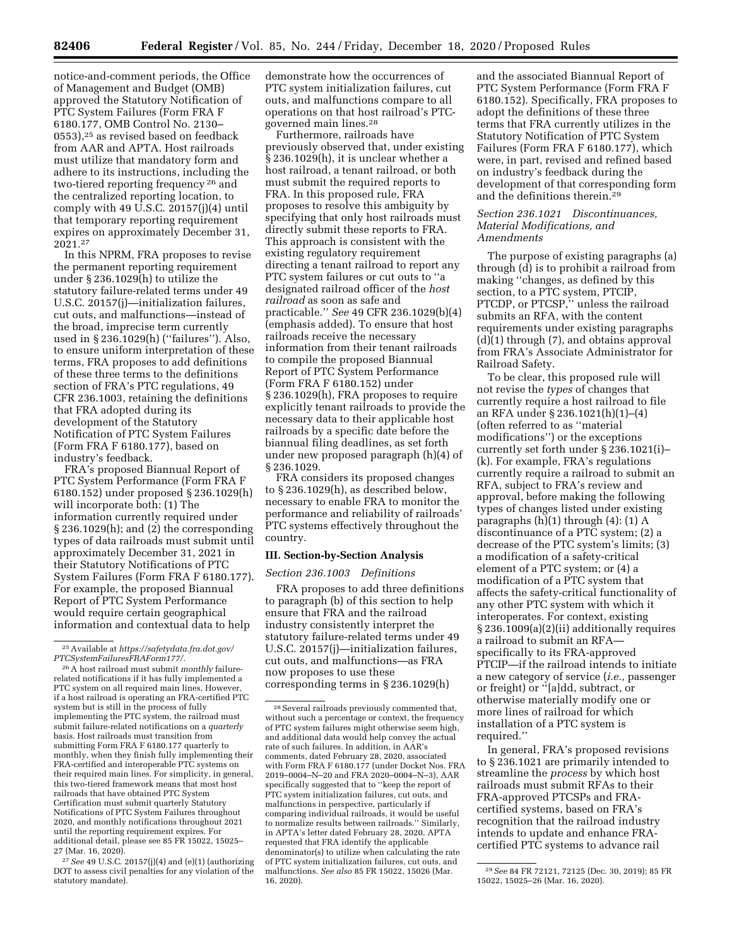notice-and-comment periods, the Office of Management and Budget (OMB) approved the Statutory Notification of PTC System Failures (Form FRA F 6180.177, OMB Control No. 2130– 0553),25 as revised based on feedback from AAR and APTA. Host railroads must utilize that mandatory form and adhere to its instructions, including the two-tiered reporting frequency 26 and the centralized reporting location, to comply with 49 U.S.C. 20157(j)(4) until that temporary reporting requirement expires on approximately December 31, 2021.27

In this NPRM, FRA proposes to revise the permanent reporting requirement under § 236.1029(h) to utilize the statutory failure-related terms under 49 U.S.C. 20157(j)—initialization failures, cut outs, and malfunctions—instead of the broad, imprecise term currently used in § 236.1029(h) (''failures''). Also, to ensure uniform interpretation of these terms, FRA proposes to add definitions of these three terms to the definitions section of FRA's PTC regulations, 49 CFR 236.1003, retaining the definitions that FRA adopted during its development of the Statutory Notification of PTC System Failures (Form FRA F 6180.177), based on industry's feedback.

FRA's proposed Biannual Report of PTC System Performance (Form FRA F 6180.152) under proposed § 236.1029(h) will incorporate both: (1) The information currently required under § 236.1029(h); and (2) the corresponding types of data railroads must submit until approximately December 31, 2021 in their Statutory Notifications of PTC System Failures (Form FRA F 6180.177). For example, the proposed Biannual Report of PTC System Performance would require certain geographical information and contextual data to help

27*See* 49 U.S.C. 20157(j)(4) and (e)(1) (authorizing DOT to assess civil penalties for any violation of the statutory mandate).

demonstrate how the occurrences of PTC system initialization failures, cut outs, and malfunctions compare to all operations on that host railroad's PTCgoverned main lines.28

Furthermore, railroads have previously observed that, under existing § 236.1029(h), it is unclear whether a host railroad, a tenant railroad, or both must submit the required reports to FRA. In this proposed rule, FRA proposes to resolve this ambiguity by specifying that only host railroads must directly submit these reports to FRA. This approach is consistent with the existing regulatory requirement directing a tenant railroad to report any PTC system failures or cut outs to ''a designated railroad officer of the *host railroad* as soon as safe and practicable.'' *See* 49 CFR 236.1029(b)(4) (emphasis added). To ensure that host railroads receive the necessary information from their tenant railroads to compile the proposed Biannual Report of PTC System Performance (Form FRA F 6180.152) under § 236.1029(h), FRA proposes to require explicitly tenant railroads to provide the necessary data to their applicable host railroads by a specific date before the biannual filing deadlines, as set forth under new proposed paragraph (h)(4) of § 236.1029.

FRA considers its proposed changes to § 236.1029(h), as described below, necessary to enable FRA to monitor the performance and reliability of railroads' PTC systems effectively throughout the country.

### **III. Section-by-Section Analysis**

# *Section 236.1003 Definitions*

FRA proposes to add three definitions to paragraph (b) of this section to help ensure that FRA and the railroad industry consistently interpret the statutory failure-related terms under 49 U.S.C. 20157(j)—initialization failures, cut outs, and malfunctions—as FRA now proposes to use these corresponding terms in § 236.1029(h)

and the associated Biannual Report of PTC System Performance (Form FRA F 6180.152). Specifically, FRA proposes to adopt the definitions of these three terms that FRA currently utilizes in the Statutory Notification of PTC System Failures (Form FRA F 6180.177), which were, in part, revised and refined based on industry's feedback during the development of that corresponding form and the definitions therein.29

#### *Section 236.1021 Discontinuances, Material Modifications, and Amendments*

The purpose of existing paragraphs (a) through (d) is to prohibit a railroad from making ''changes, as defined by this section, to a PTC system, PTCIP, PTCDP, or PTCSP,'' unless the railroad submits an RFA, with the content requirements under existing paragraphs (d)(1) through (7), and obtains approval from FRA's Associate Administrator for Railroad Safety.

To be clear, this proposed rule will not revise the *types* of changes that currently require a host railroad to file an RFA under § 236.1021(h)(1)–(4) (often referred to as ''material modifications'') or the exceptions currently set forth under § 236.1021(i)– (k). For example, FRA's regulations currently require a railroad to submit an RFA, subject to FRA's review and approval, before making the following types of changes listed under existing paragraphs  $(h)(1)$  through  $(4)$ :  $(1)$  A discontinuance of a PTC system; (2) a decrease of the PTC system's limits; (3) a modification of a safety-critical element of a PTC system; or (4) a modification of a PTC system that affects the safety-critical functionality of any other PTC system with which it interoperates. For context, existing § 236.1009(a)(2)(ii) additionally requires a railroad to submit an RFA specifically to its FRA-approved PTCIP—if the railroad intends to initiate a new category of service (*i.e.,* passenger or freight) or ''[a]dd, subtract, or otherwise materially modify one or more lines of railroad for which installation of a PTC system is required.''

In general, FRA's proposed revisions to § 236.1021 are primarily intended to streamline the *process* by which host railroads must submit RFAs to their FRA-approved PTCSPs and FRAcertified systems, based on FRA's recognition that the railroad industry intends to update and enhance FRAcertified PTC systems to advance rail

<sup>25</sup>Available at *[https://safetydata.fra.dot.gov/](https://safetydata.fra.dot.gov/PTCSystemFailuresFRAForm177/)  [PTCSystemFailuresFRAForm177/.](https://safetydata.fra.dot.gov/PTCSystemFailuresFRAForm177/)* 

<sup>26</sup>A host railroad must submit *monthly* failurerelated notifications if it has fully implemented a PTC system on all required main lines. However, if a host railroad is operating an FRA-certified PTC system but is still in the process of fully implementing the PTC system, the railroad must submit failure-related notifications on a *quarterly*  basis. Host railroads must transition from submitting Form FRA F 6180.177 quarterly to monthly, when they finish fully implementing their FRA-certified and interoperable PTC systems on their required main lines. For simplicity, in general, this two-tiered framework means that most host railroads that have obtained PTC System Certification must submit quarterly Statutory Notifications of PTC System Failures throughout 2020, and monthly notifications throughout 2021 until the reporting requirement expires. For additional detail, please see 85 FR 15022, 15025– 27 (Mar. 16, 2020).

<sup>28</sup>Several railroads previously commented that, without such a percentage or context, the frequency of PTC system failures might otherwise seem high, and additional data would help convey the actual rate of such failures. In addition, in AAR's comments, dated February 28, 2020, associated with Form FRA F 6180.177 (under Docket Nos. FRA 2019–0004–N–20 and FRA 2020–0004–N–3), AAR specifically suggested that to ''keep the report of PTC system initialization failures, cut outs, and malfunctions in perspective, particularly if comparing individual railroads, it would be useful to normalize results between railroads.'' Similarly, in APTA's letter dated February 28, 2020, APTA requested that FRA identify the applicable denominator(s) to utilize when calculating the rate of PTC system initialization failures, cut outs, and malfunctions. *See also* 85 FR 15022, 15026 (Mar. 16, 2020).

<sup>29</sup>*See* 84 FR 72121, 72125 (Dec. 30, 2019); 85 FR 15022, 15025–26 (Mar. 16, 2020).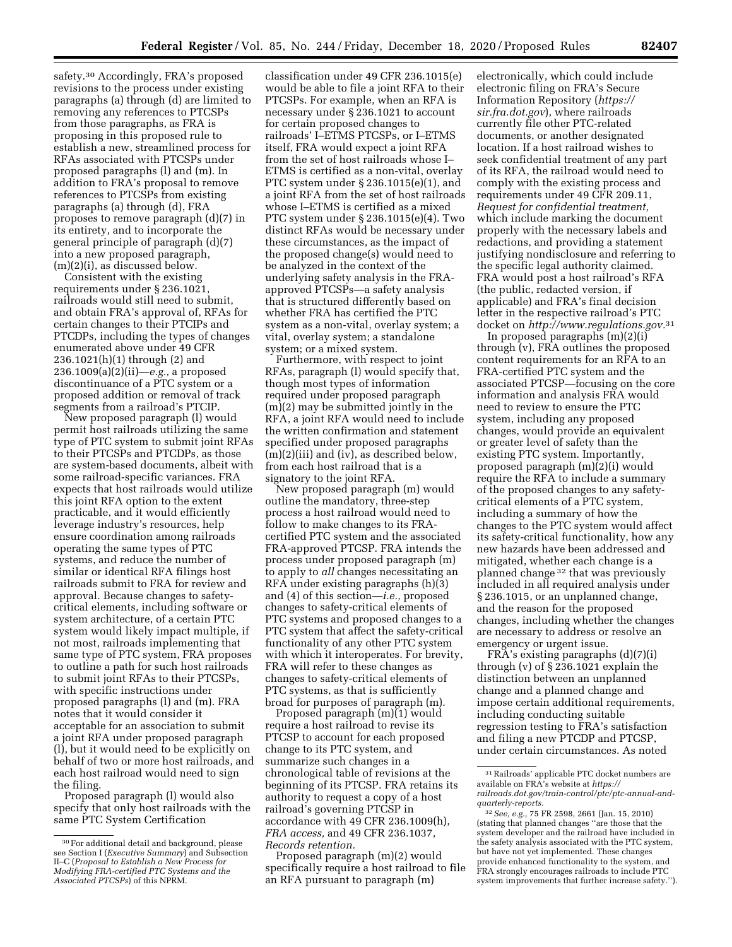safety.30 Accordingly, FRA's proposed revisions to the process under existing paragraphs (a) through (d) are limited to removing any references to PTCSPs from those paragraphs, as FRA is proposing in this proposed rule to establish a new, streamlined process for RFAs associated with PTCSPs under proposed paragraphs (l) and (m). In addition to FRA's proposal to remove references to PTCSPs from existing paragraphs (a) through (d), FRA proposes to remove paragraph (d)(7) in its entirety, and to incorporate the general principle of paragraph (d)(7) into a new proposed paragraph, (m)(2)(i), as discussed below.

Consistent with the existing requirements under § 236.1021, railroads would still need to submit, and obtain FRA's approval of, RFAs for certain changes to their PTCIPs and PTCDPs, including the types of changes enumerated above under 49 CFR 236.1021(h)(1) through (2) and 236.1009(a)(2)(ii)—*e.g.,* a proposed discontinuance of a PTC system or a proposed addition or removal of track segments from a railroad's PTCIP.

New proposed paragraph (l) would permit host railroads utilizing the same type of PTC system to submit joint RFAs to their PTCSPs and PTCDPs, as those are system-based documents, albeit with some railroad-specific variances. FRA expects that host railroads would utilize this joint RFA option to the extent practicable, and it would efficiently leverage industry's resources, help ensure coordination among railroads operating the same types of PTC systems, and reduce the number of similar or identical RFA filings host railroads submit to FRA for review and approval. Because changes to safetycritical elements, including software or system architecture, of a certain PTC system would likely impact multiple, if not most, railroads implementing that same type of PTC system, FRA proposes to outline a path for such host railroads to submit joint RFAs to their PTCSPs, with specific instructions under proposed paragraphs (l) and (m). FRA notes that it would consider it acceptable for an association to submit a joint RFA under proposed paragraph (l), but it would need to be explicitly on behalf of two or more host railroads, and each host railroad would need to sign the filing.

Proposed paragraph (l) would also specify that only host railroads with the same PTC System Certification

classification under 49 CFR 236.1015(e) would be able to file a joint RFA to their PTCSPs. For example, when an RFA is necessary under § 236.1021 to account for certain proposed changes to railroads' I–ETMS PTCSPs, or I–ETMS itself, FRA would expect a joint RFA from the set of host railroads whose I– ETMS is certified as a non-vital, overlay PTC system under § 236.1015(e)(1), and a joint RFA from the set of host railroads whose I–ETMS is certified as a mixed PTC system under § 236.1015(e)(4). Two distinct RFAs would be necessary under these circumstances, as the impact of the proposed change(s) would need to be analyzed in the context of the underlying safety analysis in the FRAapproved PTCSPs—a safety analysis that is structured differently based on whether FRA has certified the PTC system as a non-vital, overlay system; a vital, overlay system; a standalone system; or a mixed system.

Furthermore, with respect to joint RFAs, paragraph (l) would specify that, though most types of information required under proposed paragraph (m)(2) may be submitted jointly in the RFA, a joint RFA would need to include the written confirmation and statement specified under proposed paragraphs (m)(2)(iii) and (iv), as described below, from each host railroad that is a signatory to the joint RFA.

New proposed paragraph (m) would outline the mandatory, three-step process a host railroad would need to follow to make changes to its FRAcertified PTC system and the associated FRA-approved PTCSP. FRA intends the process under proposed paragraph (m) to apply to *all* changes necessitating an RFA under existing paragraphs (h)(3) and (4) of this section—*i.e.,* proposed changes to safety-critical elements of PTC systems and proposed changes to a PTC system that affect the safety-critical functionality of any other PTC system with which it interoperates. For brevity, FRA will refer to these changes as changes to safety-critical elements of PTC systems, as that is sufficiently broad for purposes of paragraph (m).

Proposed paragraph (m)(1) would require a host railroad to revise its PTCSP to account for each proposed change to its PTC system, and summarize such changes in a chronological table of revisions at the beginning of its PTCSP. FRA retains its authority to request a copy of a host railroad's governing PTCSP in accordance with 49 CFR 236.1009(h), *FRA access,* and 49 CFR 236.1037, *Records retention.* 

Proposed paragraph (m)(2) would specifically require a host railroad to file an RFA pursuant to paragraph (m)

electronically, which could include electronic filing on FRA's Secure Information Repository (*[https://](https://sir.fra.dot.gov) [sir.fra.dot.gov](https://sir.fra.dot.gov)*), where railroads currently file other PTC-related documents, or another designated location. If a host railroad wishes to seek confidential treatment of any part of its RFA, the railroad would need to comply with the existing process and requirements under 49 CFR 209.11, *Request for confidential treatment,*  which include marking the document properly with the necessary labels and redactions, and providing a statement justifying nondisclosure and referring to the specific legal authority claimed. FRA would post a host railroad's RFA (the public, redacted version, if applicable) and FRA's final decision letter in the respective railroad's PTC docket on *[http://www.regulations.gov.](http://www.regulations.gov)*31

In proposed paragraphs (m)(2)(i) through (v), FRA outlines the proposed content requirements for an RFA to an FRA-certified PTC system and the associated PTCSP—focusing on the core information and analysis FRA would need to review to ensure the PTC system, including any proposed changes, would provide an equivalent or greater level of safety than the existing PTC system. Importantly, proposed paragraph (m)(2)(i) would require the RFA to include a summary of the proposed changes to any safetycritical elements of a PTC system, including a summary of how the changes to the PTC system would affect its safety-critical functionality, how any new hazards have been addressed and mitigated, whether each change is a planned change 32 that was previously included in all required analysis under § 236.1015, or an unplanned change, and the reason for the proposed changes, including whether the changes are necessary to address or resolve an emergency or urgent issue.

FRA's existing paragraphs (d)(7)(i) through (v) of § 236.1021 explain the distinction between an unplanned change and a planned change and impose certain additional requirements, including conducting suitable regression testing to FRA's satisfaction and filing a new PTCDP and PTCSP, under certain circumstances. As noted

<sup>30</sup>For additional detail and background, please see Section I (*Executive Summary*) and Subsection II–C (*Proposal to Establish a New Process for Modifying FRA-certified PTC Systems and the Associated PTCSPs*) of this NPRM.

<sup>31</sup>Railroads' applicable PTC docket numbers are available on FRA's website at *[https://](https://railroads.dot.gov/train-control/ptc/ptc-annual-and-quarterly-reports) [railroads.dot.gov/train-control/ptc/ptc-annual-and](https://railroads.dot.gov/train-control/ptc/ptc-annual-and-quarterly-reports)[quarterly-reports.](https://railroads.dot.gov/train-control/ptc/ptc-annual-and-quarterly-reports)* 

<sup>32</sup>*See, e.g.,* 75 FR 2598, 2661 (Jan. 15, 2010) (stating that planned changes ''are those that the system developer and the railroad have included in the safety analysis associated with the PTC system, but have not yet implemented. These changes provide enhanced functionality to the system, and FRA strongly encourages railroads to include PTC system improvements that further increase safety.'').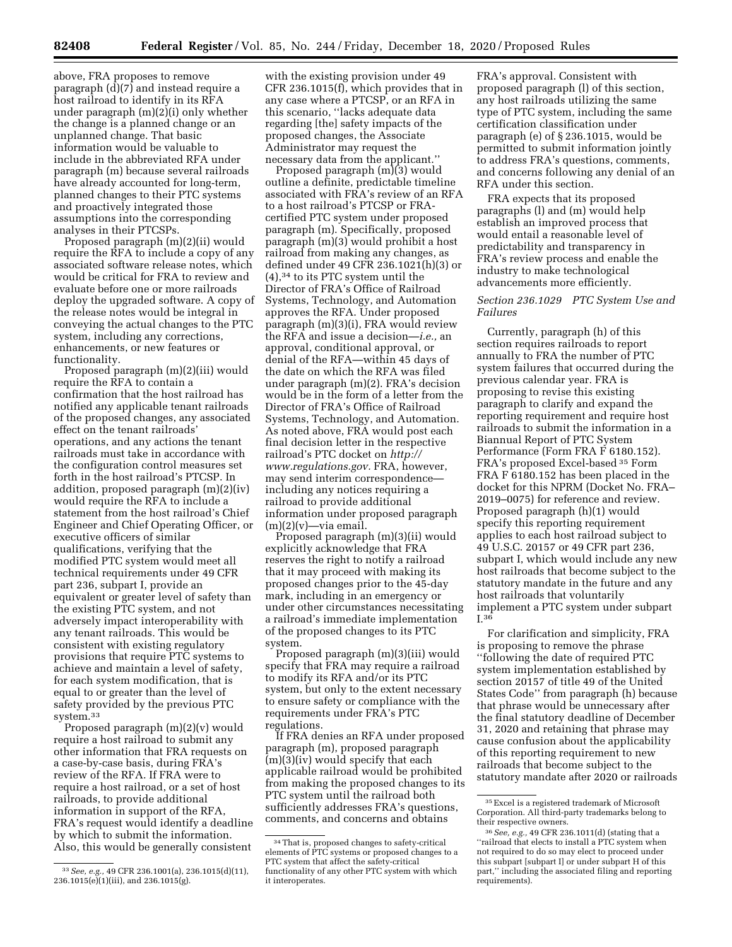above, FRA proposes to remove paragraph (d)(7) and instead require a host railroad to identify in its RFA under paragraph (m)(2)(i) only whether the change is a planned change or an unplanned change. That basic information would be valuable to include in the abbreviated RFA under paragraph (m) because several railroads have already accounted for long-term, planned changes to their PTC systems and proactively integrated those assumptions into the corresponding analyses in their PTCSPs.

Proposed paragraph (m)(2)(ii) would require the RFA to include a copy of any associated software release notes, which would be critical for FRA to review and evaluate before one or more railroads deploy the upgraded software. A copy of the release notes would be integral in conveying the actual changes to the PTC system, including any corrections, enhancements, or new features or functionality.

Proposed paragraph (m)(2)(iii) would require the RFA to contain a confirmation that the host railroad has notified any applicable tenant railroads of the proposed changes, any associated effect on the tenant railroads' operations, and any actions the tenant railroads must take in accordance with the configuration control measures set forth in the host railroad's PTCSP. In addition, proposed paragraph (m)(2)(iv) would require the RFA to include a statement from the host railroad's Chief Engineer and Chief Operating Officer, or executive officers of similar qualifications, verifying that the modified PTC system would meet all technical requirements under 49 CFR part 236, subpart I, provide an equivalent or greater level of safety than the existing PTC system, and not adversely impact interoperability with any tenant railroads. This would be consistent with existing regulatory provisions that require PTC systems to achieve and maintain a level of safety, for each system modification, that is equal to or greater than the level of safety provided by the previous PTC system.33

Proposed paragraph (m)(2)(v) would require a host railroad to submit any other information that FRA requests on a case-by-case basis, during FRA's review of the RFA. If FRA were to require a host railroad, or a set of host railroads, to provide additional information in support of the RFA, FRA's request would identify a deadline by which to submit the information. Also, this would be generally consistent

33*See, e.g.,* 49 CFR 236.1001(a), 236.1015(d)(11), 236.1015(e)(1)(iii), and 236.1015(g).

with the existing provision under 49 CFR 236.1015(f), which provides that in any case where a PTCSP, or an RFA in this scenario, ''lacks adequate data regarding [the] safety impacts of the proposed changes, the Associate Administrator may request the necessary data from the applicant.''

Proposed paragraph (m)(3) would outline a definite, predictable timeline associated with FRA's review of an RFA to a host railroad's PTCSP or FRAcertified PTC system under proposed paragraph (m). Specifically, proposed paragraph (m)(3) would prohibit a host railroad from making any changes, as defined under 49 CFR 236.1021(h)(3) or (4),34 to its PTC system until the Director of FRA's Office of Railroad Systems, Technology, and Automation approves the RFA. Under proposed paragraph (m)(3)(i), FRA would review the RFA and issue a decision—*i.e.,* an approval, conditional approval, or denial of the RFA—within 45 days of the date on which the RFA was filed under paragraph (m)(2). FRA's decision would be in the form of a letter from the Director of FRA's Office of Railroad Systems, Technology, and Automation. As noted above, FRA would post each final decision letter in the respective railroad's PTC docket on *[http://](http://www.regulations.gov) [www.regulations.gov.](http://www.regulations.gov)* FRA, however, may send interim correspondence including any notices requiring a railroad to provide additional information under proposed paragraph  $(m)(2)(v)$ —via email.

Proposed paragraph (m)(3)(ii) would explicitly acknowledge that FRA reserves the right to notify a railroad that it may proceed with making its proposed changes prior to the 45-day mark, including in an emergency or under other circumstances necessitating a railroad's immediate implementation of the proposed changes to its PTC system.

Proposed paragraph (m)(3)(iii) would specify that FRA may require a railroad to modify its RFA and/or its PTC system, but only to the extent necessary to ensure safety or compliance with the requirements under FRA's PTC regulations.

If FRA denies an RFA under proposed paragraph (m), proposed paragraph (m)(3)(iv) would specify that each applicable railroad would be prohibited from making the proposed changes to its PTC system until the railroad both sufficiently addresses FRA's questions, comments, and concerns and obtains

FRA's approval. Consistent with proposed paragraph (l) of this section, any host railroads utilizing the same type of PTC system, including the same certification classification under paragraph (e) of § 236.1015, would be permitted to submit information jointly to address FRA's questions, comments, and concerns following any denial of an RFA under this section.

FRA expects that its proposed paragraphs (l) and (m) would help establish an improved process that would entail a reasonable level of predictability and transparency in FRA's review process and enable the industry to make technological advancements more efficiently.

# *Section 236.1029 PTC System Use and Failures*

Currently, paragraph (h) of this section requires railroads to report annually to FRA the number of PTC system failures that occurred during the previous calendar year. FRA is proposing to revise this existing paragraph to clarify and expand the reporting requirement and require host railroads to submit the information in a Biannual Report of PTC System Performance (Form FRA F 6180.152). FRA's proposed Excel-based 35 Form FRA F 6180.152 has been placed in the docket for this NPRM (Docket No. FRA– 2019–0075) for reference and review. Proposed paragraph (h)(1) would specify this reporting requirement applies to each host railroad subject to 49 U.S.C. 20157 or 49 CFR part 236, subpart I, which would include any new host railroads that become subject to the statutory mandate in the future and any host railroads that voluntarily implement a PTC system under subpart I.36

For clarification and simplicity, FRA is proposing to remove the phrase ''following the date of required PTC system implementation established by section 20157 of title 49 of the United States Code'' from paragraph (h) because that phrase would be unnecessary after the final statutory deadline of December 31, 2020 and retaining that phrase may cause confusion about the applicability of this reporting requirement to new railroads that become subject to the statutory mandate after 2020 or railroads

<sup>34</sup>That is, proposed changes to safety-critical elements of PTC systems or proposed changes to a PTC system that affect the safety-critical functionality of any other PTC system with which it interoperates.

 $^{\rm 35}\rm\,Excel$  is a registered trademark of Microsoft Corporation. All third-party trademarks belong to their respective owners.

<sup>36</sup>*See, e.g.,* 49 CFR 236.1011(d) (stating that a ''railroad that elects to install a PTC system when not required to do so may elect to proceed under this subpart [subpart I] or under subpart H of this part,'' including the associated filing and reporting requirements).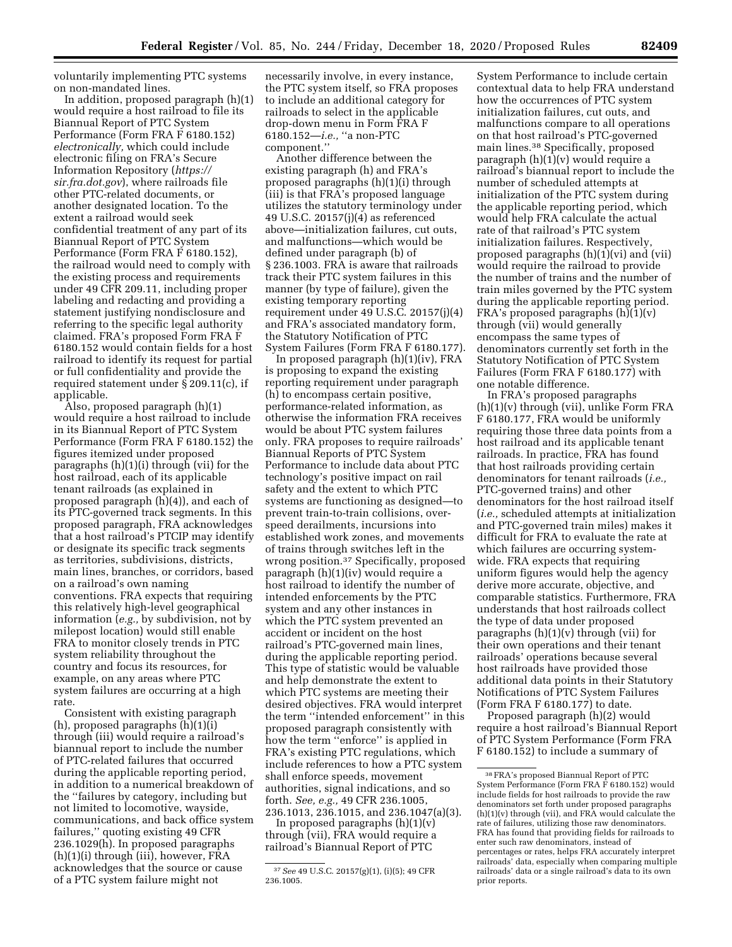voluntarily implementing PTC systems on non-mandated lines.

In addition, proposed paragraph (h)(1) would require a host railroad to file its Biannual Report of PTC System Performance (Form FRA F 6180.152) *electronically,* which could include electronic filing on FRA's Secure Information Repository (*[https://](https://sir.fra.dot.gov) [sir.fra.dot.gov](https://sir.fra.dot.gov)*), where railroads file other PTC-related documents, or another designated location. To the extent a railroad would seek confidential treatment of any part of its Biannual Report of PTC System Performance (Form FRA F 6180.152), the railroad would need to comply with the existing process and requirements under 49 CFR 209.11, including proper labeling and redacting and providing a statement justifying nondisclosure and referring to the specific legal authority claimed. FRA's proposed Form FRA F 6180.152 would contain fields for a host railroad to identify its request for partial or full confidentiality and provide the required statement under § 209.11(c), if applicable.

Also, proposed paragraph (h)(1) would require a host railroad to include in its Biannual Report of PTC System Performance (Form FRA F 6180.152) the figures itemized under proposed paragraphs (h)(1)(i) through (vii) for the host railroad, each of its applicable tenant railroads (as explained in proposed paragraph (h)(4)), and each of its PTC-governed track segments. In this proposed paragraph, FRA acknowledges that a host railroad's PTCIP may identify or designate its specific track segments as territories, subdivisions, districts, main lines, branches, or corridors, based on a railroad's own naming conventions. FRA expects that requiring this relatively high-level geographical information (*e.g.,* by subdivision, not by milepost location) would still enable FRA to monitor closely trends in PTC system reliability throughout the country and focus its resources, for example, on any areas where PTC system failures are occurring at a high rate.

Consistent with existing paragraph (h), proposed paragraphs (h)(1)(i) through (iii) would require a railroad's biannual report to include the number of PTC-related failures that occurred during the applicable reporting period, in addition to a numerical breakdown of the ''failures by category, including but not limited to locomotive, wayside, communications, and back office system failures,'' quoting existing 49 CFR 236.1029(h). In proposed paragraphs (h)(1)(i) through (iii), however, FRA acknowledges that the source or cause of a PTC system failure might not

necessarily involve, in every instance, the PTC system itself, so FRA proposes to include an additional category for railroads to select in the applicable drop-down menu in Form FRA F 6180.152—*i.e.,* ''a non-PTC component.''

Another difference between the existing paragraph (h) and FRA's proposed paragraphs (h)(1)(i) through (iii) is that FRA's proposed language utilizes the statutory terminology under 49 U.S.C. 20157(j)(4) as referenced above—initialization failures, cut outs, and malfunctions—which would be defined under paragraph (b) of § 236.1003. FRA is aware that railroads track their PTC system failures in this manner (by type of failure), given the existing temporary reporting requirement under 49 U.S.C. 20157(j)(4) and FRA's associated mandatory form, the Statutory Notification of PTC System Failures (Form FRA F 6180.177).

In proposed paragraph (h)(1)(iv), FRA is proposing to expand the existing reporting requirement under paragraph (h) to encompass certain positive, performance-related information, as otherwise the information FRA receives would be about PTC system failures only. FRA proposes to require railroads' Biannual Reports of PTC System Performance to include data about PTC technology's positive impact on rail safety and the extent to which PTC systems are functioning as designed—to prevent train-to-train collisions, overspeed derailments, incursions into established work zones, and movements of trains through switches left in the wrong position.37 Specifically, proposed paragraph (h)(1)(iv) would require a host railroad to identify the number of intended enforcements by the PTC system and any other instances in which the PTC system prevented an accident or incident on the host railroad's PTC-governed main lines, during the applicable reporting period. This type of statistic would be valuable and help demonstrate the extent to which PTC systems are meeting their desired objectives. FRA would interpret the term ''intended enforcement'' in this proposed paragraph consistently with how the term ''enforce'' is applied in FRA's existing PTC regulations, which include references to how a PTC system shall enforce speeds, movement authorities, signal indications, and so forth. *See, e.g.,* 49 CFR 236.1005, 236.1013, 236.1015, and 236.1047(a)(3).

In proposed paragraphs  $(h)(1)(v)$ through (vii), FRA would require a railroad's Biannual Report of PTC

System Performance to include certain contextual data to help FRA understand how the occurrences of PTC system initialization failures, cut outs, and malfunctions compare to all operations on that host railroad's PTC-governed main lines.38 Specifically, proposed paragraph (h)(1)(v) would require a railroad's biannual report to include the number of scheduled attempts at initialization of the PTC system during the applicable reporting period, which would help FRA calculate the actual rate of that railroad's PTC system initialization failures. Respectively, proposed paragraphs (h)(1)(vi) and (vii) would require the railroad to provide the number of trains and the number of train miles governed by the PTC system during the applicable reporting period. FRA's proposed paragraphs (h)(1)(v) through (vii) would generally encompass the same types of denominators currently set forth in the Statutory Notification of PTC System Failures (Form FRA F 6180.177) with one notable difference.

In FRA's proposed paragraphs  $(h)(1)(v)$  through (vii), unlike Form FRA F 6180.177, FRA would be uniformly requiring those three data points from a host railroad and its applicable tenant railroads. In practice, FRA has found that host railroads providing certain denominators for tenant railroads (*i.e.,*  PTC-governed trains) and other denominators for the host railroad itself (*i.e.,* scheduled attempts at initialization and PTC-governed train miles) makes it difficult for FRA to evaluate the rate at which failures are occurring systemwide. FRA expects that requiring uniform figures would help the agency derive more accurate, objective, and comparable statistics. Furthermore, FRA understands that host railroads collect the type of data under proposed paragraphs (h)(1)(v) through (vii) for their own operations and their tenant railroads' operations because several host railroads have provided those additional data points in their Statutory Notifications of PTC System Failures (Form FRA F  $6180.177$ ) to date.

Proposed paragraph (h)(2) would require a host railroad's Biannual Report of PTC System Performance (Form FRA F 6180.152) to include a summary of

<sup>37</sup>*See* 49 U.S.C. 20157(g)(1), (i)(5); 49 CFR 236.1005.

<sup>38</sup>FRA's proposed Biannual Report of PTC System Performance (Form FRA F 6180.152) would include fields for host railroads to provide the raw denominators set forth under proposed paragraphs (h)(1)(v) through (vii), and FRA would calculate the rate of failures, utilizing those raw denominators. FRA has found that providing fields for railroads to enter such raw denominators, instead of percentages or rates, helps FRA accurately interpret railroads' data, especially when comparing multiple railroads' data or a single railroad's data to its own prior reports.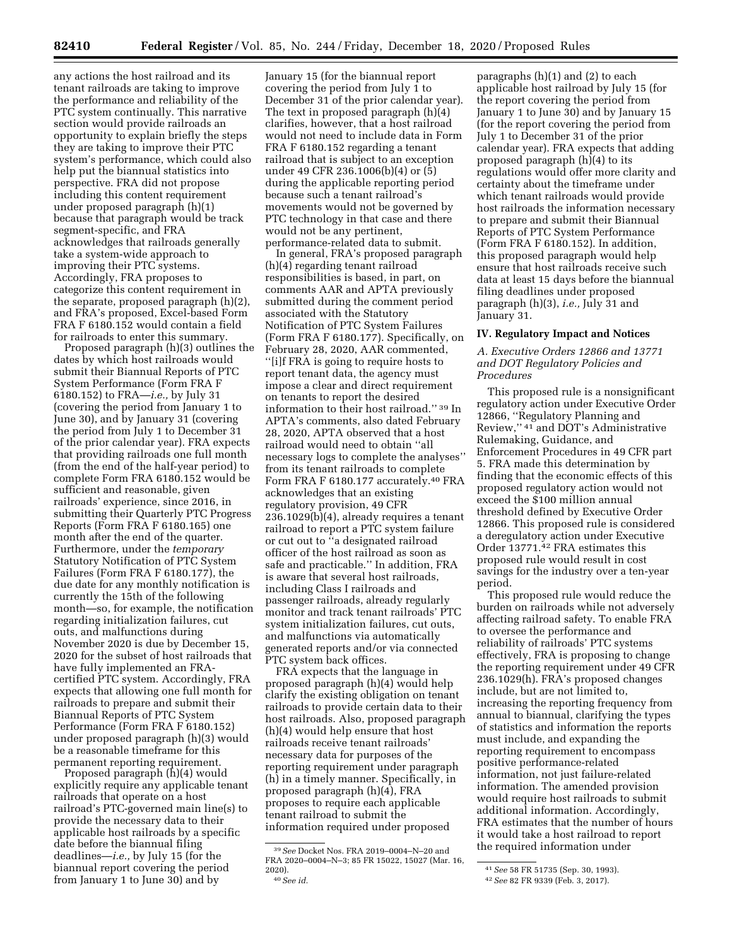any actions the host railroad and its tenant railroads are taking to improve the performance and reliability of the PTC system continually. This narrative section would provide railroads an opportunity to explain briefly the steps they are taking to improve their PTC system's performance, which could also help put the biannual statistics into perspective. FRA did not propose including this content requirement under proposed paragraph (h)(1) because that paragraph would be track segment-specific, and FRA acknowledges that railroads generally take a system-wide approach to improving their PTC systems. Accordingly, FRA proposes to categorize this content requirement in the separate, proposed paragraph (h)(2), and FRA's proposed, Excel-based Form FRA F 6180.152 would contain a field for railroads to enter this summary.

Proposed paragraph (h)(3) outlines the dates by which host railroads would submit their Biannual Reports of PTC System Performance (Form FRA F 6180.152) to FRA—*i.e.,* by July 31 (covering the period from January 1 to June 30), and by January 31 (covering the period from July 1 to December 31 of the prior calendar year). FRA expects that providing railroads one full month (from the end of the half-year period) to complete Form FRA 6180.152 would be sufficient and reasonable, given railroads' experience, since 2016, in submitting their Quarterly PTC Progress Reports (Form FRA F 6180.165) one month after the end of the quarter. Furthermore, under the *temporary*  Statutory Notification of PTC System Failures (Form FRA F 6180.177), the due date for any monthly notification is currently the 15th of the following month—so, for example, the notification regarding initialization failures, cut outs, and malfunctions during November 2020 is due by December 15, 2020 for the subset of host railroads that have fully implemented an FRAcertified PTC system. Accordingly, FRA expects that allowing one full month for railroads to prepare and submit their Biannual Reports of PTC System Performance (Form FRA F 6180.152) under proposed paragraph (h)(3) would be a reasonable timeframe for this permanent reporting requirement.

Proposed paragraph (h)(4) would explicitly require any applicable tenant railroads that operate on a host railroad's PTC-governed main line(s) to provide the necessary data to their applicable host railroads by a specific date before the biannual filing deadlines—*i.e.,* by July 15 (for the biannual report covering the period from January 1 to June 30) and by

January 15 (for the biannual report covering the period from July 1 to December 31 of the prior calendar year). The text in proposed paragraph (h)(4) clarifies, however, that a host railroad would not need to include data in Form FRA F 6180.152 regarding a tenant railroad that is subject to an exception under 49 CFR 236.1006(b)(4) or (5) during the applicable reporting period because such a tenant railroad's movements would not be governed by PTC technology in that case and there would not be any pertinent, performance-related data to submit.

In general, FRA's proposed paragraph (h)(4) regarding tenant railroad responsibilities is based, in part, on comments AAR and APTA previously submitted during the comment period associated with the Statutory Notification of PTC System Failures (Form FRA F 6180.177). Specifically, on February 28, 2020, AAR commented, ''[i]f FRA is going to require hosts to report tenant data, the agency must impose a clear and direct requirement on tenants to report the desired information to their host railroad.'' 39 In APTA's comments, also dated February 28, 2020, APTA observed that a host railroad would need to obtain ''all necessary logs to complete the analyses'' from its tenant railroads to complete Form FRA F 6180.177 accurately.40 FRA acknowledges that an existing regulatory provision, 49 CFR 236.1029(b)(4), already requires a tenant railroad to report a PTC system failure or cut out to ''a designated railroad officer of the host railroad as soon as safe and practicable.'' In addition, FRA is aware that several host railroads, including Class I railroads and passenger railroads, already regularly monitor and track tenant railroads' PTC system initialization failures, cut outs, and malfunctions via automatically generated reports and/or via connected PTC system back offices.

FRA expects that the language in proposed paragraph (h)(4) would help clarify the existing obligation on tenant railroads to provide certain data to their host railroads. Also, proposed paragraph (h)(4) would help ensure that host railroads receive tenant railroads' necessary data for purposes of the reporting requirement under paragraph (h) in a timely manner. Specifically, in proposed paragraph (h)(4), FRA proposes to require each applicable tenant railroad to submit the information required under proposed

paragraphs (h)(1) and (2) to each applicable host railroad by July 15 (for the report covering the period from January 1 to June 30) and by January 15 (for the report covering the period from July 1 to December 31 of the prior calendar year). FRA expects that adding proposed paragraph (h)(4) to its regulations would offer more clarity and certainty about the timeframe under which tenant railroads would provide host railroads the information necessary to prepare and submit their Biannual Reports of PTC System Performance (Form FRA F 6180.152). In addition, this proposed paragraph would help ensure that host railroads receive such data at least 15 days before the biannual filing deadlines under proposed paragraph (h)(3), *i.e.,* July 31 and January 31.

### **IV. Regulatory Impact and Notices**

# *A. Executive Orders 12866 and 13771 and DOT Regulatory Policies and Procedures*

This proposed rule is a nonsignificant regulatory action under Executive Order 12866, ''Regulatory Planning and Review,'' 41 and DOT's Administrative Rulemaking, Guidance, and Enforcement Procedures in 49 CFR part 5. FRA made this determination by finding that the economic effects of this proposed regulatory action would not exceed the \$100 million annual threshold defined by Executive Order 12866. This proposed rule is considered a deregulatory action under Executive Order 13771.42 FRA estimates this proposed rule would result in cost savings for the industry over a ten-year period.

This proposed rule would reduce the burden on railroads while not adversely affecting railroad safety. To enable FRA to oversee the performance and reliability of railroads' PTC systems effectively, FRA is proposing to change the reporting requirement under 49 CFR 236.1029(h). FRA's proposed changes include, but are not limited to, increasing the reporting frequency from annual to biannual, clarifying the types of statistics and information the reports must include, and expanding the reporting requirement to encompass positive performance-related information, not just failure-related information. The amended provision would require host railroads to submit additional information. Accordingly, FRA estimates that the number of hours it would take a host railroad to report the required information under

<sup>39</sup>*See* Docket Nos. FRA 2019–0004–N–20 and FRA 2020–0004–N–3; 85 FR 15022, 15027 (Mar. 16, 2020). 40*See id.* 

<sup>41</sup>*See* 58 FR 51735 (Sep. 30, 1993).

<sup>42</sup>*See* 82 FR 9339 (Feb. 3, 2017).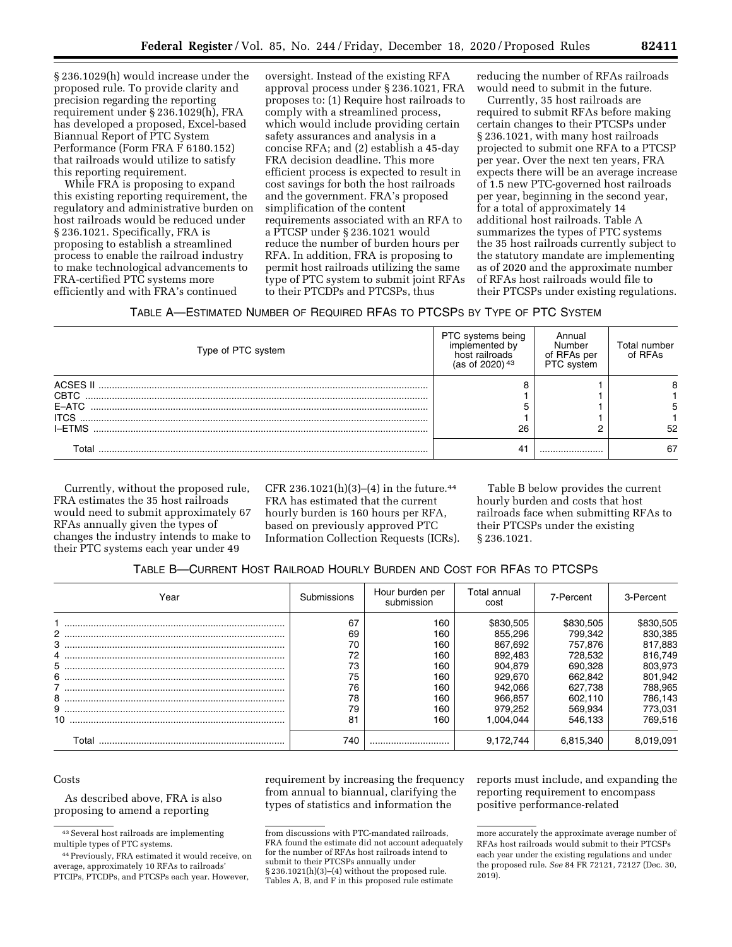§ 236.1029(h) would increase under the proposed rule. To provide clarity and precision regarding the reporting requirement under § 236.1029(h), FRA has developed a proposed, Excel-based Biannual Report of PTC System Performance (Form FRA F 6180.152) that railroads would utilize to satisfy this reporting requirement.

While FRA is proposing to expand this existing reporting requirement, the regulatory and administrative burden on host railroads would be reduced under § 236.1021. Specifically, FRA is proposing to establish a streamlined process to enable the railroad industry to make technological advancements to FRA-certified PTC systems more efficiently and with FRA's continued

oversight. Instead of the existing RFA approval process under § 236.1021, FRA proposes to: (1) Require host railroads to comply with a streamlined process, which would include providing certain safety assurances and analysis in a concise RFA; and (2) establish a 45-day FRA decision deadline. This more efficient process is expected to result in cost savings for both the host railroads and the government. FRA's proposed simplification of the content requirements associated with an RFA to a PTCSP under § 236.1021 would reduce the number of burden hours per RFA. In addition, FRA is proposing to permit host railroads utilizing the same type of PTC system to submit joint RFAs to their PTCDPs and PTCSPs, thus

reducing the number of RFAs railroads would need to submit in the future.

Currently, 35 host railroads are required to submit RFAs before making certain changes to their PTCSPs under § 236.1021, with many host railroads projected to submit one RFA to a PTCSP per year. Over the next ten years, FRA expects there will be an average increase of 1.5 new PTC-governed host railroads per year, beginning in the second year, for a total of approximately 14 additional host railroads. Table A summarizes the types of PTC systems the 35 host railroads currently subject to the statutory mandate are implementing as of 2020 and the approximate number of RFAs host railroads would file to their PTCSPs under existing regulations.

TABLE A—ESTIMATED NUMBER OF REQUIRED RFAS TO PTCSPS BY TYPE OF PTC SYSTEM

| Type of PTC system | PTC systems being<br>implemented by<br>host railroads<br>(as of 2020) <sup>43</sup> | Annual<br>Number<br>of RFAs per<br>PTC system | Total number<br>of RFAs |
|--------------------|-------------------------------------------------------------------------------------|-----------------------------------------------|-------------------------|
| ACSES II           |                                                                                     |                                               |                         |
| <b>CBTC</b>        |                                                                                     |                                               |                         |
| E-ATC              |                                                                                     |                                               |                         |
| <b>ITCS</b>        |                                                                                     |                                               |                         |
| <b>I-FTMS</b>      | 26                                                                                  |                                               | 52                      |
| T∩tal              | 4 <sup>1</sup>                                                                      |                                               | 67                      |

Currently, without the proposed rule, FRA estimates the 35 host railroads would need to submit approximately 67 RFAs annually given the types of changes the industry intends to make to their PTC systems each year under 49

CFR 236.1021(h)(3)–(4) in the future.<sup>44</sup> FRA has estimated that the current hourly burden is 160 hours per RFA, based on previously approved PTC Information Collection Requests (ICRs).

Table B below provides the current hourly burden and costs that host railroads face when submitting RFAs to their PTCSPs under the existing § 236.1021.

| TABLE B-CURRENT HOST RAILROAD HOURLY BURDEN AND COST FOR RFAS TO PTCSPS |  |
|-------------------------------------------------------------------------|--|
|-------------------------------------------------------------------------|--|

| Year  | Submissions | Hour burden per<br>submission | Total annual<br>cost | 7-Percent | 3-Percent |
|-------|-------------|-------------------------------|----------------------|-----------|-----------|
|       | 67          | 160                           | \$830,505            | \$830.505 | \$830,505 |
|       | 69          | 160                           | 855.296              | 799.342   | 830,385   |
|       | 70          | 160                           | 867.692              | 757.876   | 817,883   |
|       | 72          | 160                           | 892.483              | 728.532   | 816,749   |
|       | 73          | 160                           | 904.879              | 690.328   | 803.973   |
|       | 75          | 160                           | 929.670              | 662.842   | 801,942   |
|       | 76          | 160                           | 942.066              | 627.738   | 788,965   |
|       | 78          | 160                           | 966.857              | 602.110   | 786,143   |
|       | 79          | 160                           | 979.252              | 569.934   | 773,031   |
| 10    | 81          | 160                           | .004.044             | 546.133   | 769.516   |
| Γ∩tal | 740         |                               | 72.744               | 6.815.340 | 8.019.091 |

# Costs

As described above, FRA is also proposing to amend a reporting

requirement by increasing the frequency from annual to biannual, clarifying the types of statistics and information the

reports must include, and expanding the reporting requirement to encompass positive performance-related

<sup>43</sup>Several host railroads are implementing multiple types of PTC systems.

<sup>44</sup>Previously, FRA estimated it would receive, on average, approximately 10 RFAs to railroads' PTCIPs, PTCDPs, and PTCSPs each year. However,

from discussions with PTC-mandated railroads, FRA found the estimate did not account adequately for the number of RFAs host railroads intend to submit to their PTCSPs annually under § 236.1021(h)(3)–(4) without the proposed rule. Tables A, B, and F in this proposed rule estimate

more accurately the approximate average number of RFAs host railroads would submit to their PTCSPs each year under the existing regulations and under the proposed rule. *See* 84 FR 72121, 72127 (Dec. 30, 2019).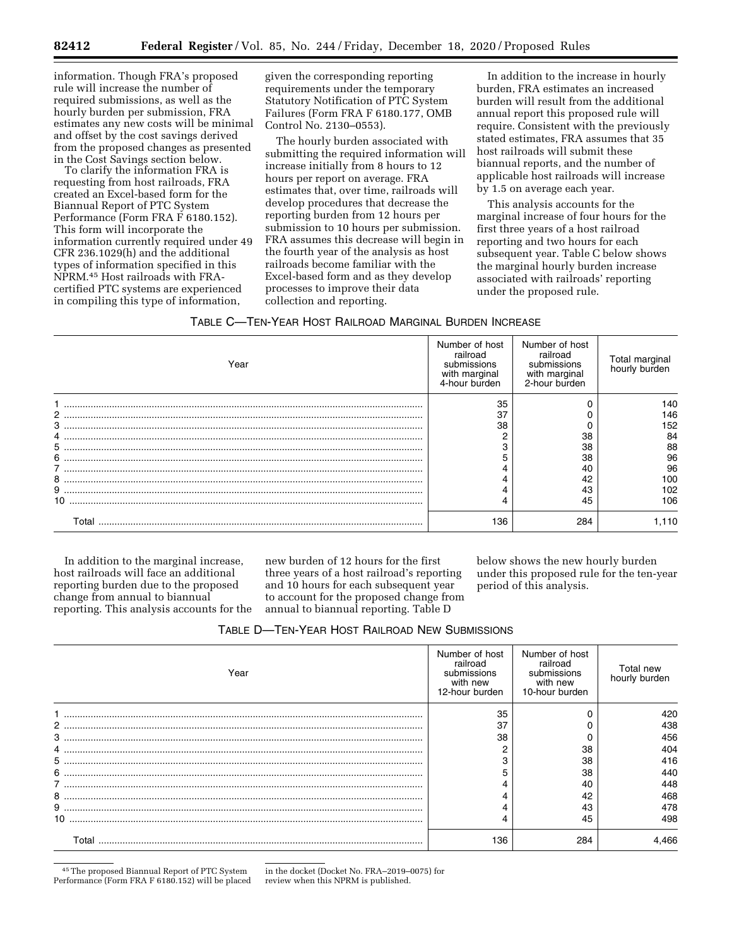information. Though FRA's proposed rule will increase the number of required submissions, as well as the hourly burden per submission, FRA estimates any new costs will be minimal and offset by the cost savings derived from the proposed changes as presented in the Cost Savings section below.

To clarify the information FRA is requesting from host railroads, FRA created an Excel-based form for the Biannual Report of PTC System Performance (Form FRA F 6180.152). This form will incorporate the information currently required under 49 CFR 236.1029(h) and the additional types of information specified in this NPRM.45 Host railroads with FRAcertified PTC systems are experienced in compiling this type of information,

given the corresponding reporting requirements under the temporary Statutory Notification of PTC System Failures (Form FRA F 6180.177, OMB Control No. 2130–0553).

The hourly burden associated with submitting the required information will increase initially from 8 hours to 12 hours per report on average. FRA estimates that, over time, railroads will develop procedures that decrease the reporting burden from 12 hours per submission to 10 hours per submission. FRA assumes this decrease will begin in the fourth year of the analysis as host railroads become familiar with the Excel-based form and as they develop processes to improve their data collection and reporting.

In addition to the increase in hourly burden, FRA estimates an increased burden will result from the additional annual report this proposed rule will require. Consistent with the previously stated estimates, FRA assumes that 35 host railroads will submit these biannual reports, and the number of applicable host railroads will increase by 1.5 on average each year.

This analysis accounts for the marginal increase of four hours for the first three years of a host railroad reporting and two hours for each subsequent year. Table C below shows the marginal hourly burden increase associated with railroads' reporting under the proposed rule.

#### TABLE C—TEN-YEAR HOST RAILROAD MARGINAL BURDEN INCREASE

| Year  | Number of host<br>railroad<br>submissions<br>with marginal<br>4-hour burden | Number of host<br>railroad<br>submissions<br>with marginal<br>2-hour burden | Total marginal<br>hourly burden |
|-------|-----------------------------------------------------------------------------|-----------------------------------------------------------------------------|---------------------------------|
|       | 35                                                                          |                                                                             | 140                             |
|       | 37                                                                          |                                                                             | 146                             |
|       | 38                                                                          |                                                                             | 152                             |
|       |                                                                             | 38                                                                          | 84                              |
|       |                                                                             | 38                                                                          | 88                              |
| 6     |                                                                             | 38                                                                          | 96                              |
|       |                                                                             | 40                                                                          | 96                              |
|       |                                                                             | 42                                                                          | 100                             |
|       |                                                                             | 43                                                                          | 102                             |
| 10    |                                                                             | 45                                                                          | 106                             |
| Total | 136                                                                         | 284                                                                         | 110.                            |

In addition to the marginal increase, host railroads will face an additional reporting burden due to the proposed change from annual to biannual reporting. This analysis accounts for the

new burden of 12 hours for the first three years of a host railroad's reporting and 10 hours for each subsequent year to account for the proposed change from annual to biannual reporting. Table D

below shows the new hourly burden under this proposed rule for the ten-year period of this analysis.

| TABLE D-TEN-YEAR HOST RAILROAD NEW SUBMISSIONS |  |  |
|------------------------------------------------|--|--|
|------------------------------------------------|--|--|

| Year | Number of host<br>railroad<br>submissions<br>with new<br>12-hour burden | Number of host<br>railroad<br>submissions<br>with new<br>10-hour burden | Total new<br>hourly burden |
|------|-------------------------------------------------------------------------|-------------------------------------------------------------------------|----------------------------|
|      | 35                                                                      |                                                                         | 420                        |
|      | 37                                                                      |                                                                         | 438                        |
|      | 38                                                                      |                                                                         | 456                        |
|      |                                                                         | 38                                                                      | 404                        |
|      |                                                                         | 38                                                                      | 416                        |
|      |                                                                         | 38                                                                      | 440                        |
|      |                                                                         | 40                                                                      | 448                        |
|      |                                                                         | 42                                                                      | 468                        |
|      |                                                                         | 43                                                                      | 478                        |
| 10.  |                                                                         | 45                                                                      | 498                        |
| ⊺∩ta | 136                                                                     | 284                                                                     |                            |

45The proposed Biannual Report of PTC System Performance (Form FRA F 6180.152) will be placed

in the docket (Docket No. FRA–2019–0075) for review when this NPRM is published.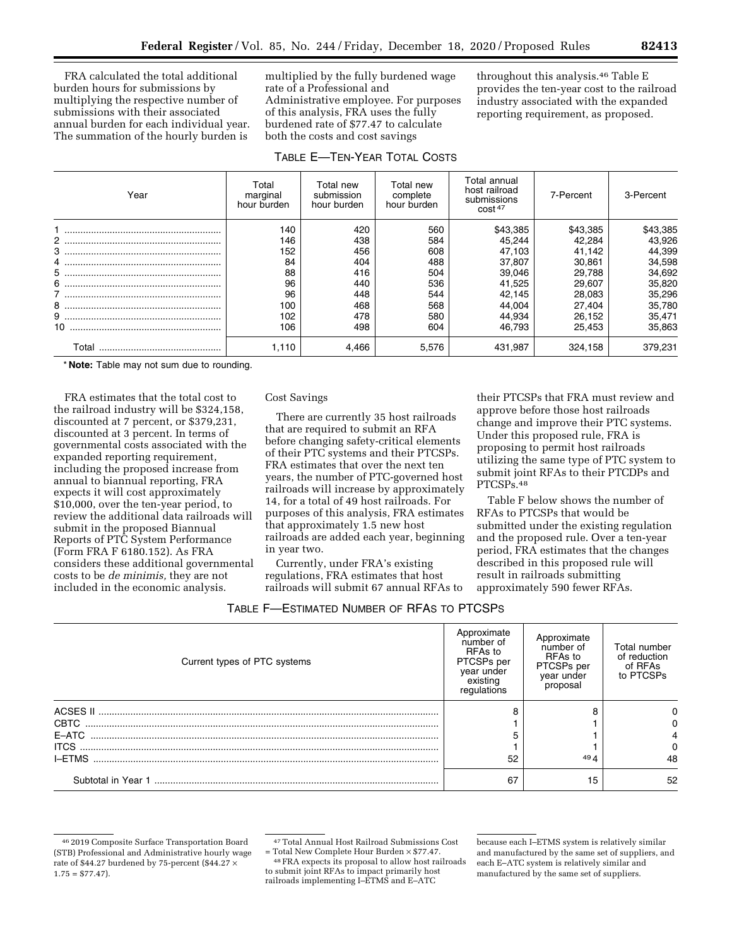FRA calculated the total additional burden hours for submissions by multiplying the respective number of submissions with their associated annual burden for each individual year. The summation of the hourly burden is

multiplied by the fully burdened wage rate of a Professional and Administrative employee. For purposes of this analysis, FRA uses the fully burdened rate of \$77.47 to calculate both the costs and cost savings

| TABLE E-TEN-YEAR TOTAL COSTS |                                  |                                        |                                      |                                                                        |           |           |
|------------------------------|----------------------------------|----------------------------------------|--------------------------------------|------------------------------------------------------------------------|-----------|-----------|
| Year                         | Total<br>marginal<br>hour burden | Total new<br>submission<br>hour burden | Total new<br>complete<br>hour burden | Total annual<br>host railroad<br>submissions<br>$\cos t$ <sup>47</sup> | 7-Percent | 3-Percent |
|                              | 140                              | 420                                    | 560                                  | \$43,385                                                               | \$43,385  | \$43,385  |
|                              | 146                              | 438                                    | 584                                  | 45.244                                                                 | 42,284    | 43,926    |
|                              | 152                              | 456                                    | 608                                  | 47,103                                                                 | 41.142    | 44,399    |
|                              | 84                               | 404                                    | 488                                  | 37.807                                                                 | 30.861    | 34,598    |
|                              | 88                               | 416                                    | 504                                  | 39.046                                                                 | 29.788    | 34,692    |
|                              | 96                               | 440                                    | 536                                  | 41.525                                                                 | 29.607    | 35,820    |
|                              | 96                               | 448                                    | 544                                  | 42.145                                                                 | 28,083    | 35,296    |
|                              | 100                              | 468                                    | 568                                  | 44,004                                                                 | 27,404    | 35,780    |
|                              | 102                              | 478                                    | 580                                  | 44,934                                                                 | 26,152    | 35,471    |
|                              | 106                              | 498                                    | 604                                  | 46.793                                                                 | 25,453    | 35,863    |

Total .............................................. 1,110 4,466 5,576 431,987 324,158 379,231

\* **Note:** Table may not sum due to rounding.

FRA estimates that the total cost to the railroad industry will be \$324,158, discounted at 7 percent, or \$379,231, discounted at 3 percent. In terms of governmental costs associated with the expanded reporting requirement, including the proposed increase from annual to biannual reporting, FRA expects it will cost approximately \$10,000, over the ten-year period, to review the additional data railroads will submit in the proposed Biannual Reports of PTC System Performance (Form FRA F 6180.152). As FRA considers these additional governmental costs to be *de minimis,* they are not included in the economic analysis.

Cost Savings

There are currently 35 host railroads that are required to submit an RFA before changing safety-critical elements of their PTC systems and their PTCSPs. FRA estimates that over the next ten years, the number of PTC-governed host railroads will increase by approximately 14, for a total of 49 host railroads. For purposes of this analysis, FRA estimates that approximately 1.5 new host railroads are added each year, beginning in year two.

Currently, under FRA's existing regulations, FRA estimates that host railroads will submit 67 annual RFAs to

their PTCSPs that FRA must review and approve before those host railroads change and improve their PTC systems. Under this proposed rule, FRA is proposing to permit host railroads utilizing the same type of PTC system to submit joint RFAs to their PTCDPs and PTCSPs.48

throughout this analysis.46 Table E provides the ten-year cost to the railroad industry associated with the expanded reporting requirement, as proposed.

Table F below shows the number of RFAs to PTCSPs that would be submitted under the existing regulation and the proposed rule. Over a ten-year period, FRA estimates that the changes described in this proposed rule will result in railroads submitting approximately 590 fewer RFAs.

| TABLE F—ESTIMATED NUMBER OF RFAS TO PTCSPS |  |  |
|--------------------------------------------|--|--|
|--------------------------------------------|--|--|

| Current types of PTC systems | Approximate<br>number of<br>RFAs to<br>PTCSPs per<br>year under<br>existing<br>regulations | Approximate<br>number of<br>RFAs to<br>PTCSPs per<br>year under<br>proposal | Total number<br>of reduction<br>of RFAs<br>to PTCSPs |
|------------------------------|--------------------------------------------------------------------------------------------|-----------------------------------------------------------------------------|------------------------------------------------------|
|                              | ິ                                                                                          | я                                                                           | 0                                                    |
|                              |                                                                                            |                                                                             | o                                                    |
|                              |                                                                                            |                                                                             |                                                      |
| <b>ITCS</b>                  |                                                                                            |                                                                             | 0                                                    |
|                              | 52                                                                                         | 49 $\Delta$                                                                 | 48                                                   |
|                              | 67                                                                                         | 15                                                                          | 52                                                   |

<sup>46</sup> 2019 Composite Surface Transportation Board (STB) Professional and Administrative hourly wage rate of \$44.27 burdened by 75-percent (\$44.27  $\times$  $1.75 = $77.47$ .

<sup>&</sup>lt;sup>47</sup> Total Annual Host Railroad Submissions Cost = Total New Complete Hour Burden  $\times$  \$77.47.

<sup>&</sup>lt;sup>48</sup> FRA expects its proposal to allow host railroads to submit joint RFAs to impact primarily host railroads implementing I–ETMS and E–ATC

because each I–ETMS system is relatively similar and manufactured by the same set of suppliers, and each E–ATC system is relatively similar and manufactured by the same set of suppliers.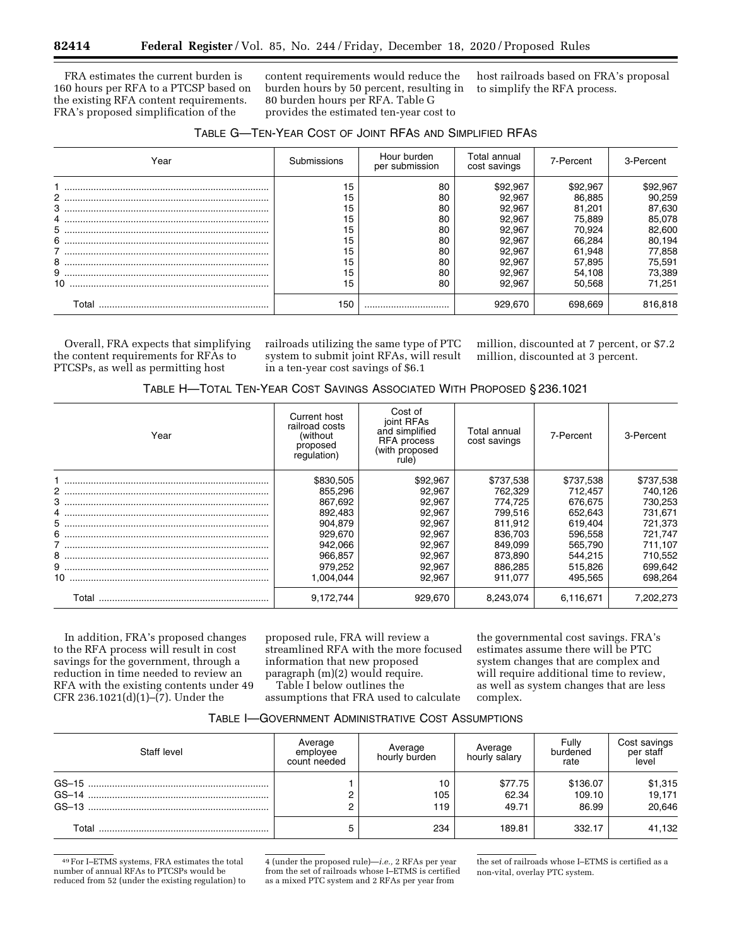FRA estimates the current burden is 160 hours per RFA to a PTCSP based on the existing RFA content requirements. FRA's proposed simplification of the

content requirements would reduce the burden hours by 50 percent, resulting in 80 burden hours per RFA. Table G provides the estimated ten-year cost to

host railroads based on FRA's proposal to simplify the RFA process.

| TABLE G-TEN-YEAR COST OF JOINT RFAS AND SIMPLIFIED RFAS |  |  |  |  |
|---------------------------------------------------------|--|--|--|--|
|---------------------------------------------------------|--|--|--|--|

| Year              | Submissions                      | Hour burden<br>per submission    | Total annual<br>cost savings                             | 7-Percent                                                | 3-Percent                                                |
|-------------------|----------------------------------|----------------------------------|----------------------------------------------------------|----------------------------------------------------------|----------------------------------------------------------|
| 3                 | 15<br>15<br>15<br>15             | 80<br>80<br>80<br>80             | \$92.967<br>92.967<br>92.967<br>92.967                   | \$92.967<br>86.885<br>81.201<br>75.889                   | \$92,967<br>90,259<br>87,630<br>85,078                   |
| 5<br>6<br>8<br>10 | 15<br>15<br>15<br>15<br>15<br>15 | 80<br>80<br>80<br>80<br>80<br>80 | 92,967<br>92.967<br>92.967<br>92.967<br>92.967<br>92.967 | 70,924<br>66.284<br>61.948<br>57,895<br>54,108<br>50.568 | 82,600<br>80,194<br>77,858<br>75,591<br>73,389<br>71,251 |
| Total             | 150                              |                                  | 929.670                                                  | 698.669                                                  | 816,818                                                  |

Overall, FRA expects that simplifying the content requirements for RFAs to PTCSPs, as well as permitting host

railroads utilizing the same type of PTC system to submit joint RFAs, will result in a ten-year cost savings of \$6.1

million, discounted at 7 percent, or \$7.2 million, discounted at 3 percent.

|  |  |  |  |  | TABLE H-TOTAL TEN-YEAR COST SAVINGS ASSOCIATED WITH PROPOSED § 236.1021 |  |  |  |
|--|--|--|--|--|-------------------------------------------------------------------------|--|--|--|
|--|--|--|--|--|-------------------------------------------------------------------------|--|--|--|

| Year  | Current host<br>railroad costs<br>(without)<br>proposed<br>requlation) | Cost of<br>joint RFAs<br>and simplified<br><b>RFA</b> process<br>(with proposed<br>rule) | Total annual<br>cost savings | 7-Percent | 3-Percent |
|-------|------------------------------------------------------------------------|------------------------------------------------------------------------------------------|------------------------------|-----------|-----------|
|       | \$830,505                                                              | \$92,967                                                                                 | \$737,538                    | \$737,538 | \$737,538 |
|       | 855,296                                                                | 92.967                                                                                   | 762.329                      | 712.457   | 740,126   |
|       | 867,692                                                                | 92.967                                                                                   | 774.725                      | 676.675   | 730,253   |
|       | 892.483                                                                | 92,967                                                                                   | 799.516                      | 652.643   | 731,671   |
|       | 904.879                                                                | 92.967                                                                                   | 811.912                      | 619.404   | 721,373   |
|       | 929.670                                                                | 92.967                                                                                   | 836,703                      | 596.558   | 721,747   |
|       | 942.066                                                                | 92.967                                                                                   | 849.099                      | 565.790   | 711,107   |
|       | 966.857                                                                | 92.967                                                                                   | 873.890                      | 544.215   | 710.552   |
|       | 979,252                                                                | 92,967                                                                                   | 886.285                      | 515.826   | 699,642   |
|       | 1.004.044                                                              | 92.967                                                                                   | 911.077                      | 495.565   | 698,264   |
| Total | 9,172,744                                                              | 929.670                                                                                  | 8.243.074                    | 6.116.671 | 7.202.273 |

In addition, FRA's proposed changes to the RFA process will result in cost savings for the government, through a reduction in time needed to review an RFA with the existing contents under 49 CFR 236.1021(d)(1)–(7). Under the

proposed rule, FRA will review a streamlined RFA with the more focused information that new proposed paragraph (m)(2) would require.

Table I below outlines the

assumptions that FRA used to calculate

the governmental cost savings. FRA's estimates assume there will be PTC system changes that are complex and will require additional time to review, as well as system changes that are less complex.

| Table I—Government Administrative Cost Assumptions |  |  |  |
|----------------------------------------------------|--|--|--|
|----------------------------------------------------|--|--|--|

| Staff level | Average<br>employee<br>count needed | Average<br>hourly burden | Average<br>hourly salary  | Fully<br>burdened<br>rate   | Cost savings<br>per staff   |
|-------------|-------------------------------------|--------------------------|---------------------------|-----------------------------|-----------------------------|
|             |                                     | 10<br>105<br>119         | \$77.75<br>62.34<br>49.71 | \$136.07<br>109.10<br>86.99 | \$1,315<br>19,171<br>20,646 |
| Total       |                                     | 234                      | 189.81                    | 332.17                      | 41,132                      |

<sup>49</sup>For I–ETMS systems, FRA estimates the total number of annual RFAs to PTCSPs would be reduced from 52 (under the existing regulation) to

<sup>4 (</sup>under the proposed rule)—*i.e.,* 2 RFAs per year from the set of railroads whose I–ETMS is certified as a mixed PTC system and 2 RFAs per year from

the set of railroads whose I–ETMS is certified as a non-vital, overlay PTC system.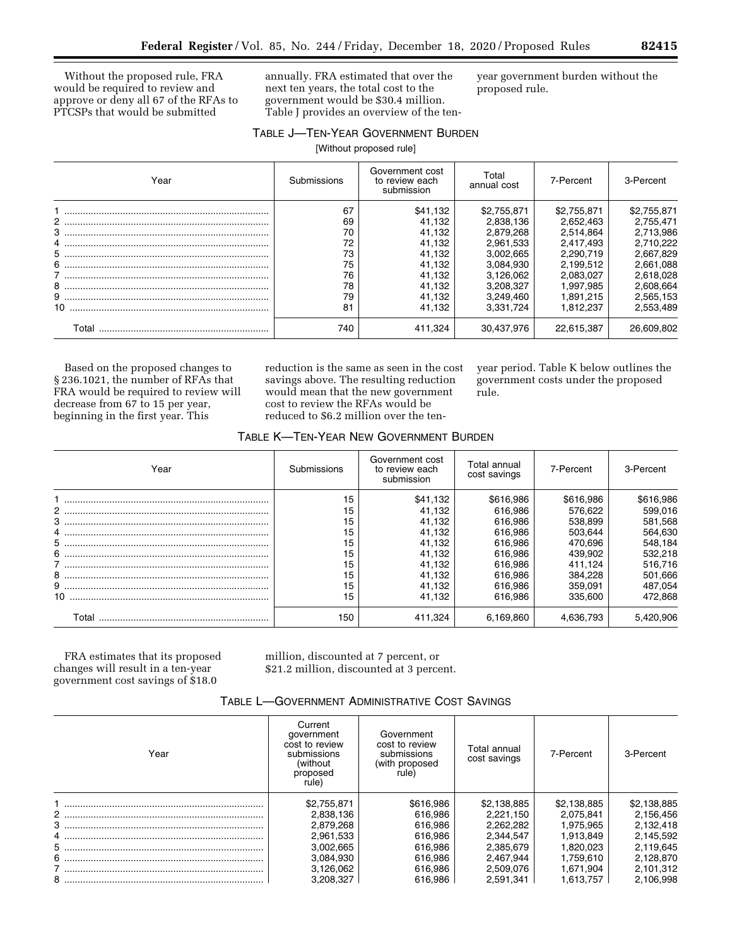Without the proposed rule, FRA would be required to review and approve or deny all 67 of the RFAs to PTCSPs that would be submitted

annually. FRA estimated that over the next ten years, the total cost to the government would be \$30.4 million. Table J provides an overview of the tenyear government burden without the proposed rule.

# TABLE J—TEN-YEAR GOVERNMENT BURDEN

[Without proposed rule]

| Year        | Submissions                                        | Government cost<br>to review each<br>submission                                          | Total<br>annual cost                                                                                                | 7-Percent                                                                                                           | 3-Percent                                                                                                           |
|-------------|----------------------------------------------------|------------------------------------------------------------------------------------------|---------------------------------------------------------------------------------------------------------------------|---------------------------------------------------------------------------------------------------------------------|---------------------------------------------------------------------------------------------------------------------|
|             | 67<br>69<br>70<br>72<br>73<br>75<br>76<br>78<br>79 | \$41,132<br>41.132<br>41.132<br>41.132<br>41.132<br>41.132<br>41,132<br>41.132<br>41,132 | \$2,755,871<br>2.838.136<br>2.879.268<br>2.961.533<br>3.002.665<br>3.084.930<br>3.126.062<br>3.208.327<br>3.249.460 | \$2,755,871<br>2,652,463<br>2.514.864<br>2.417.493<br>2.290.719<br>2.199.512<br>2.083.027<br>1.997.985<br>1.891.215 | \$2,755,871<br>2,755,471<br>2.713.986<br>2.710.222<br>2.667.829<br>2.661.088<br>2,618,028<br>2,608,664<br>2,565,153 |
| 10<br>Total | 81<br>740                                          | 41.132<br>411.324                                                                        | 3.331.724<br>30.437.976                                                                                             | 1.812.237<br>22,615,387                                                                                             | 2,553,489<br>26.609.802                                                                                             |

Based on the proposed changes to § 236.1021, the number of RFAs that FRA would be required to review will decrease from 67 to 15 per year, beginning in the first year. This

reduction is the same as seen in the cost savings above. The resulting reduction would mean that the new government cost to review the RFAs would be reduced to \$6.2 million over the tenyear period. Table K below outlines the government costs under the proposed rule.

# TABLE K—TEN-YEAR NEW GOVERNMENT BURDEN

| Year   | Submissions                                              | Government cost<br>to review each<br>submission                                                    | Total annual<br>cost savings                                                                                 | 7-Percent                                                                                                    | 3-Percent                                                                                                    |
|--------|----------------------------------------------------------|----------------------------------------------------------------------------------------------------|--------------------------------------------------------------------------------------------------------------|--------------------------------------------------------------------------------------------------------------|--------------------------------------------------------------------------------------------------------------|
| 3<br>8 | 15<br>15<br>15<br>15<br>15<br>15<br>15<br>15<br>15<br>15 | \$41,132<br>41.132<br>41.132<br>41.132<br>41.132<br>41.132<br>41,132<br>41,132<br>41.132<br>41,132 | \$616,986<br>616.986<br>616.986<br>616.986<br>616.986<br>616.986<br>616.986<br>616.986<br>616.986<br>616.986 | \$616,986<br>576.622<br>538,899<br>503.644<br>470.696<br>439.902<br>411.124<br>384.228<br>359.091<br>335,600 | \$616,986<br>599,016<br>581,568<br>564,630<br>548,184<br>532.218<br>516,716<br>501,666<br>487.054<br>472,868 |
| Total  | 150                                                      | 411.324                                                                                            | 6.169.860                                                                                                    | 4.636.793                                                                                                    | 5.420.906                                                                                                    |

FRA estimates that its proposed changes will result in a ten-year government cost savings of \$18.0

million, discounted at 7 percent, or \$21.2 million, discounted at 3 percent.

| TABLE L-GOVERNMENT ADMINISTRATIVE COST SAVINGS |
|------------------------------------------------|
|------------------------------------------------|

| Year | Current<br>government<br>cost to review<br>submissions<br>(without<br>proposed<br>rule) | Government<br>cost to review<br>submissions<br>(with proposed)<br>rule) | Total annual<br>cost savings | 7-Percent   | 3-Percent   |
|------|-----------------------------------------------------------------------------------------|-------------------------------------------------------------------------|------------------------------|-------------|-------------|
|      | \$2,755,871                                                                             | \$616,986                                                               | \$2,138,885                  | \$2,138,885 | \$2,138,885 |
|      | 2.838.136                                                                               | 616.986                                                                 | 2.221.150                    | 2.075.841   | 2,156,456   |
|      | 2,879,268                                                                               | 616.986                                                                 | 2,262,282                    | 1.975.965   | 2,132,418   |
|      | 2,961,533                                                                               | 616.986                                                                 | 2,344,547                    | 1.913.849   | 2,145,592   |
|      | 3.002.665                                                                               | 616.986                                                                 | 2.385.679                    | 1.820.023   | 2.119.645   |
|      | 3,084,930                                                                               | 616.986                                                                 | 2.467.944                    | 1.759.610   | 2,128,870   |
|      | 3.126.062                                                                               | 616.986                                                                 | 2.509.076                    | 1.671.904   | 2.101.312   |
|      | 3.208.327                                                                               | 616.986                                                                 | 2.591.341                    | 1,613,757   | 2.106.998   |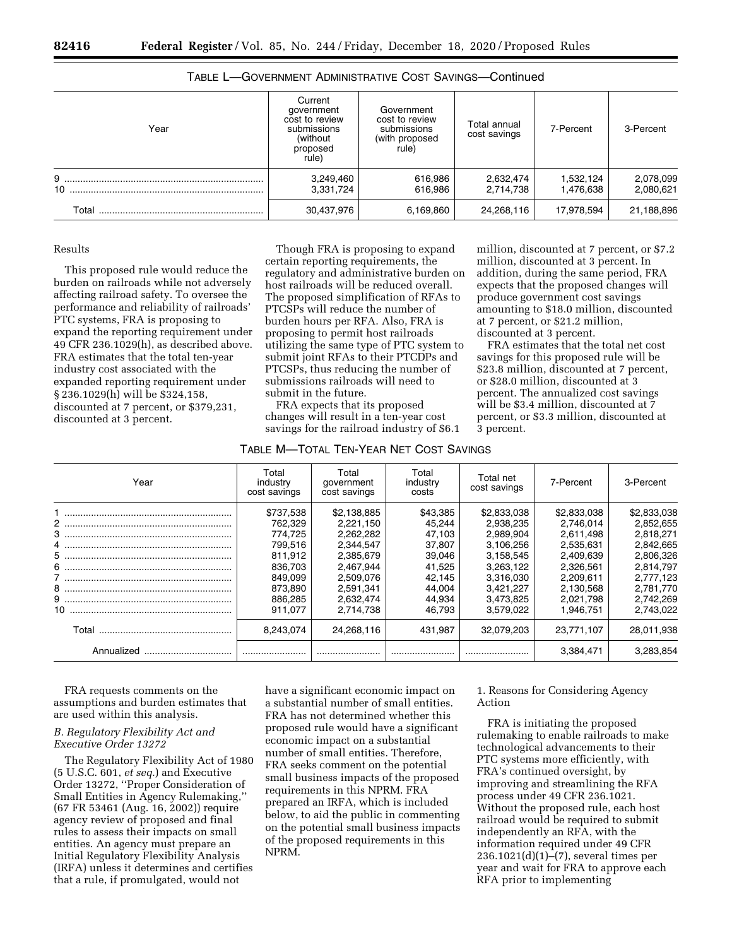| Year    | Current<br>government<br>cost to review<br>submissions<br>(without<br>proposed<br>rule) | Government<br>cost to review<br>submissions<br>(with proposed<br>rule) | Total annual<br>cost savings | 7-Percent              | 3-Percent              |
|---------|-----------------------------------------------------------------------------------------|------------------------------------------------------------------------|------------------------------|------------------------|------------------------|
| 9<br>10 | 3,249,460<br>3,331,724                                                                  | 616,986<br>616,986                                                     | 2,632,474<br>2,714,738       | 1,532,124<br>1,476,638 | 2,078,099<br>2,080,621 |
| Total   | 30,437,976                                                                              | 6,169,860                                                              | 24,268,116                   | 17,978,594             | 21,188,896             |

TABLE L—GOVERNMENT ADMINISTRATIVE COST SAVINGS—Continued

# Results

This proposed rule would reduce the burden on railroads while not adversely affecting railroad safety. To oversee the performance and reliability of railroads' PTC systems, FRA is proposing to expand the reporting requirement under 49 CFR 236.1029(h), as described above. FRA estimates that the total ten-year industry cost associated with the expanded reporting requirement under § 236.1029(h) will be \$324,158, discounted at 7 percent, or \$379,231, discounted at 3 percent.

Though FRA is proposing to expand certain reporting requirements, the regulatory and administrative burden on host railroads will be reduced overall. The proposed simplification of RFAs to PTCSPs will reduce the number of burden hours per RFA. Also, FRA is proposing to permit host railroads utilizing the same type of PTC system to submit joint RFAs to their PTCDPs and PTCSPs, thus reducing the number of submissions railroads will need to submit in the future.

FRA expects that its proposed changes will result in a ten-year cost savings for the railroad industry of \$6.1 million, discounted at 7 percent, or \$7.2 million, discounted at 3 percent. In addition, during the same period, FRA expects that the proposed changes will produce government cost savings amounting to \$18.0 million, discounted at 7 percent, or \$21.2 million, discounted at 3 percent.

FRA estimates that the total net cost savings for this proposed rule will be \$23.8 million, discounted at 7 percent, or \$28.0 million, discounted at 3 percent. The annualized cost savings will be \$3.4 million, discounted at 7 percent, or \$3.3 million, discounted at 3 percent.

| TABLE M-TOTAL TEN-YEAR NET COST SAVINGS |
|-----------------------------------------|
|-----------------------------------------|

| Year | Total<br>industry<br>cost savings | Total<br>government<br>cost savings | Total<br>industry<br>costs | Total net<br>cost savings | 7-Percent              | 3-Percent              |
|------|-----------------------------------|-------------------------------------|----------------------------|---------------------------|------------------------|------------------------|
|      | \$737,538                         | \$2,138,885                         | \$43,385                   | \$2,833,038               | \$2,833,038            | \$2,833,038            |
|      | 762.329<br>774.725                | 2,221,150<br>2.262.282              | 45.244<br>47.103           | 2.938.235<br>2.989.904    | 2.746.014<br>2.611.498 | 2,852,655<br>2.818.271 |
|      | 799.516                           | 2.344.547                           | 37.807                     | 3.106.256                 | 2.535.631              | 2,842,665              |
|      | 811.912                           | 2,385,679                           | 39,046                     | 3.158.545                 | 2.409.639              | 2,806,326              |
|      | 836,703                           | 2.467.944                           | 41,525                     | 3.263.122                 | 2.326.561              | 2.814.797              |
|      | 849.099                           | 2.509.076                           | 42.145                     | 3.316.030                 | 2.209.611              | 2.777.123              |
|      | 873.890                           | 2.591.341                           | 44.004                     | 3.421.227                 | 2.130.568              | 2.781.770              |
|      | 886.285                           | 2.632.474                           | 44,934                     | 3.473.825                 | 2.021.798              | 2,742,269              |
|      | 911.077                           | 2.714.738                           | 46.793                     | 3.579.022                 | 1.946.751              | 2.743.022              |
|      | 8.243.074                         | 24,268,116                          | 431.987                    | 32.079.203                | 23.771.107             | 28,011,938             |
|      |                                   |                                     |                            |                           | 3.384.471              | 3.283.854              |

FRA requests comments on the assumptions and burden estimates that are used within this analysis.

# *B. Regulatory Flexibility Act and Executive Order 13272*

The Regulatory Flexibility Act of 1980 (5 U.S.C. 601, *et seq.*) and Executive Order 13272, ''Proper Consideration of Small Entities in Agency Rulemaking,'' (67 FR 53461 (Aug. 16, 2002)) require agency review of proposed and final rules to assess their impacts on small entities. An agency must prepare an Initial Regulatory Flexibility Analysis (IRFA) unless it determines and certifies that a rule, if promulgated, would not

have a significant economic impact on a substantial number of small entities. FRA has not determined whether this proposed rule would have a significant economic impact on a substantial number of small entities. Therefore, FRA seeks comment on the potential small business impacts of the proposed requirements in this NPRM. FRA prepared an IRFA, which is included below, to aid the public in commenting on the potential small business impacts of the proposed requirements in this NPRM.

1. Reasons for Considering Agency Action

FRA is initiating the proposed rulemaking to enable railroads to make technological advancements to their PTC systems more efficiently, with FRA's continued oversight, by improving and streamlining the RFA process under 49 CFR 236.1021. Without the proposed rule, each host railroad would be required to submit independently an RFA, with the information required under 49 CFR 236.1021(d)(1)–(7), several times per year and wait for FRA to approve each RFA prior to implementing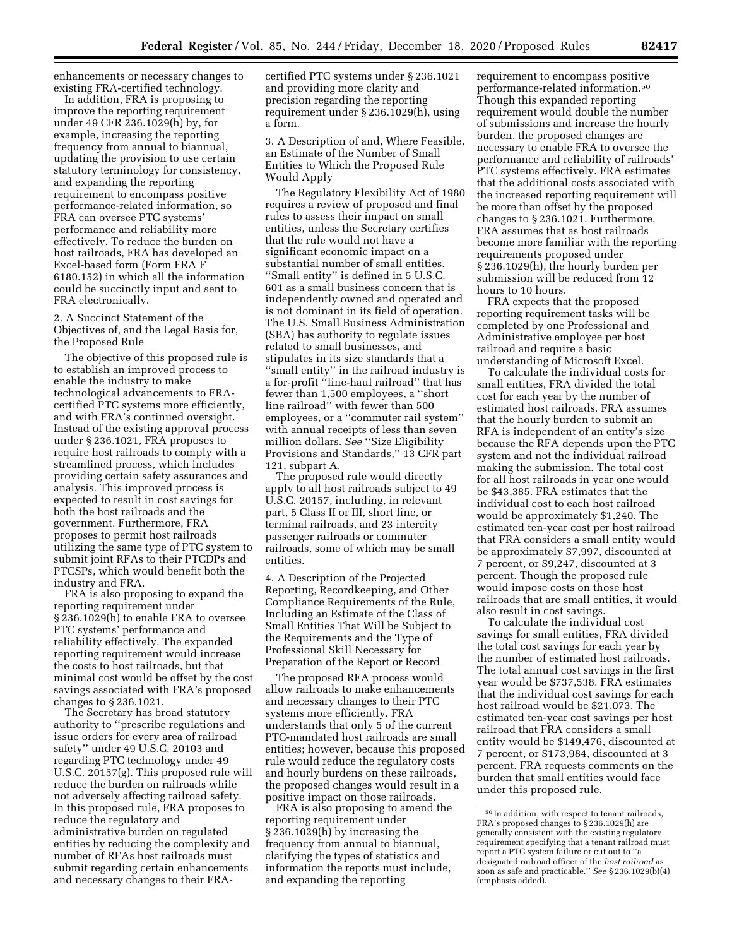enhancements or necessary changes to existing FRA-certified technology.

In addition, FRA is proposing to improve the reporting requirement under 49 CFR 236.1029(h) by, for example, increasing the reporting frequency from annual to biannual, updating the provision to use certain statutory terminology for consistency, and expanding the reporting requirement to encompass positive performance-related information, so FRA can oversee PTC systems' performance and reliability more effectively. To reduce the burden on host railroads, FRA has developed an Excel-based form (Form FRA F 6180.152) in which all the information could be succinctly input and sent to FRA electronically.

2. A Succinct Statement of the Objectives of, and the Legal Basis for, the Proposed Rule

The objective of this proposed rule is to establish an improved process to enable the industry to make technological advancements to FRAcertified PTC systems more efficiently, and with FRA's continued oversight. Instead of the existing approval process under § 236.1021, FRA proposes to require host railroads to comply with a streamlined process, which includes providing certain safety assurances and analysis. This improved process is expected to result in cost savings for both the host railroads and the government. Furthermore, FRA proposes to permit host railroads utilizing the same type of PTC system to submit joint RFAs to their PTCDPs and PTCSPs, which would benefit both the industry and FRA.

FRA is also proposing to expand the reporting requirement under § 236.1029(h) to enable FRA to oversee PTC systems' performance and reliability effectively. The expanded reporting requirement would increase the costs to host railroads, but that minimal cost would be offset by the cost savings associated with FRA's proposed changes to § 236.1021.

The Secretary has broad statutory authority to ''prescribe regulations and issue orders for every area of railroad safety'' under 49 U.S.C. 20103 and regarding PTC technology under 49 U.S.C. 20157(g). This proposed rule will reduce the burden on railroads while not adversely affecting railroad safety. In this proposed rule, FRA proposes to reduce the regulatory and administrative burden on regulated entities by reducing the complexity and number of RFAs host railroads must submit regarding certain enhancements and necessary changes to their FRA-

certified PTC systems under § 236.1021 and providing more clarity and precision regarding the reporting requirement under § 236.1029(h), using a form.

3. A Description of and, Where Feasible, an Estimate of the Number of Small Entities to Which the Proposed Rule Would Apply

The Regulatory Flexibility Act of 1980 requires a review of proposed and final rules to assess their impact on small entities, unless the Secretary certifies that the rule would not have a significant economic impact on a substantial number of small entities. ''Small entity'' is defined in 5 U.S.C. 601 as a small business concern that is independently owned and operated and is not dominant in its field of operation. The U.S. Small Business Administration (SBA) has authority to regulate issues related to small businesses, and stipulates in its size standards that a ''small entity'' in the railroad industry is a for-profit ''line-haul railroad'' that has fewer than 1,500 employees, a ''short line railroad'' with fewer than 500 employees, or a ''commuter rail system'' with annual receipts of less than seven million dollars. *See* ''Size Eligibility Provisions and Standards,'' 13 CFR part 121, subpart A.

The proposed rule would directly apply to all host railroads subject to 49 U.S.C. 20157, including, in relevant part, 5 Class II or III, short line, or terminal railroads, and 23 intercity passenger railroads or commuter railroads, some of which may be small entities.

4. A Description of the Projected Reporting, Recordkeeping, and Other Compliance Requirements of the Rule, Including an Estimate of the Class of Small Entities That Will be Subject to the Requirements and the Type of Professional Skill Necessary for Preparation of the Report or Record

The proposed RFA process would allow railroads to make enhancements and necessary changes to their PTC systems more efficiently. FRA understands that only 5 of the current PTC-mandated host railroads are small entities; however, because this proposed rule would reduce the regulatory costs and hourly burdens on these railroads, the proposed changes would result in a positive impact on those railroads.

FRA is also proposing to amend the reporting requirement under § 236.1029(h) by increasing the frequency from annual to biannual, clarifying the types of statistics and information the reports must include, and expanding the reporting

requirement to encompass positive performance-related information.50 Though this expanded reporting requirement would double the number of submissions and increase the hourly burden, the proposed changes are necessary to enable FRA to oversee the performance and reliability of railroads' PTC systems effectively. FRA estimates that the additional costs associated with the increased reporting requirement will be more than offset by the proposed changes to § 236.1021. Furthermore, FRA assumes that as host railroads become more familiar with the reporting requirements proposed under § 236.1029(h), the hourly burden per submission will be reduced from 12 hours to 10 hours.

FRA expects that the proposed reporting requirement tasks will be completed by one Professional and Administrative employee per host railroad and require a basic understanding of Microsoft Excel.

To calculate the individual costs for small entities, FRA divided the total cost for each year by the number of estimated host railroads. FRA assumes that the hourly burden to submit an RFA is independent of an entity's size because the RFA depends upon the PTC system and not the individual railroad making the submission. The total cost for all host railroads in year one would be \$43,385. FRA estimates that the individual cost to each host railroad would be approximately \$1,240. The estimated ten-year cost per host railroad that FRA considers a small entity would be approximately \$7,997, discounted at 7 percent, or \$9,247, discounted at 3 percent. Though the proposed rule would impose costs on those host railroads that are small entities, it would also result in cost savings.

To calculate the individual cost savings for small entities, FRA divided the total cost savings for each year by the number of estimated host railroads. The total annual cost savings in the first year would be \$737,538. FRA estimates that the individual cost savings for each host railroad would be \$21,073. The estimated ten-year cost savings per host railroad that FRA considers a small entity would be \$149,476, discounted at 7 percent, or \$173,984, discounted at 3 percent. FRA requests comments on the burden that small entities would face under this proposed rule.

<sup>50</sup> In addition, with respect to tenant railroads, FRA's proposed changes to § 236.1029(h) are generally consistent with the existing regulatory requirement specifying that a tenant railroad must report a PTC system failure or cut out to ' designated railroad officer of the *host railroad* as soon as safe and practicable.'' *See* § 236.1029(b)(4) (emphasis added).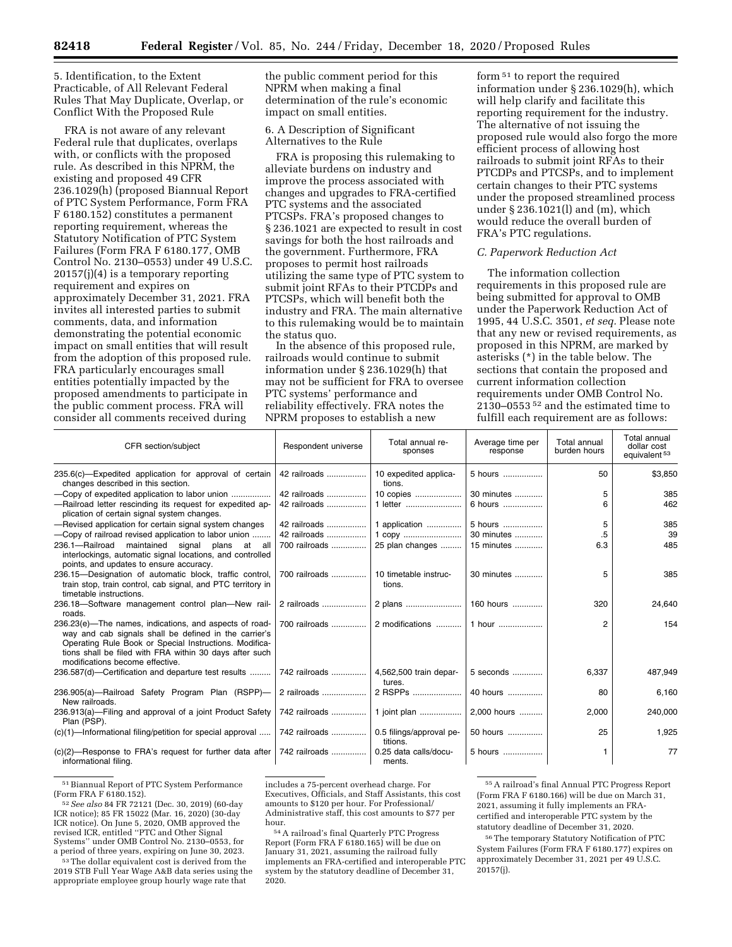# 5. Identification, to the Extent Practicable, of All Relevant Federal Rules That May Duplicate, Overlap, or Conflict With the Proposed Rule

FRA is not aware of any relevant Federal rule that duplicates, overlaps with, or conflicts with the proposed rule. As described in this NPRM, the existing and proposed 49 CFR 236.1029(h) (proposed Biannual Report of PTC System Performance, Form FRA F 6180.152) constitutes a permanent reporting requirement, whereas the Statutory Notification of PTC System Failures (Form FRA F 6180.177, OMB Control No. 2130–0553) under 49 U.S.C. 20157(j)(4) is a temporary reporting requirement and expires on approximately December 31, 2021. FRA invites all interested parties to submit comments, data, and information demonstrating the potential economic impact on small entities that will result from the adoption of this proposed rule. FRA particularly encourages small entities potentially impacted by the proposed amendments to participate in the public comment process. FRA will consider all comments received during

the public comment period for this NPRM when making a final determination of the rule's economic impact on small entities.

6. A Description of Significant Alternatives to the Rule

FRA is proposing this rulemaking to alleviate burdens on industry and improve the process associated with changes and upgrades to FRA-certified PTC systems and the associated PTCSPs. FRA's proposed changes to § 236.1021 are expected to result in cost savings for both the host railroads and the government. Furthermore, FRA proposes to permit host railroads utilizing the same type of PTC system to submit joint RFAs to their PTCDPs and PTCSPs, which will benefit both the industry and FRA. The main alternative to this rulemaking would be to maintain the status quo.

In the absence of this proposed rule, railroads would continue to submit information under § 236.1029(h) that may not be sufficient for FRA to oversee PTC systems' performance and reliability effectively. FRA notes the NPRM proposes to establish a new

form 51 to report the required information under § 236.1029(h), which will help clarify and facilitate this reporting requirement for the industry. The alternative of not issuing the proposed rule would also forgo the more efficient process of allowing host railroads to submit joint RFAs to their PTCDPs and PTCSPs, and to implement certain changes to their PTC systems under the proposed streamlined process under § 236.1021(l) and (m), which would reduce the overall burden of FRA's PTC regulations.

# *C. Paperwork Reduction Act*

The information collection requirements in this proposed rule are being submitted for approval to OMB under the Paperwork Reduction Act of 1995, 44 U.S.C. 3501, *et seq.* Please note that any new or revised requirements, as proposed in this NPRM, are marked by asterisks (\*) in the table below. The sections that contain the proposed and current information collection requirements under OMB Control No. 2130–0553 52 and the estimated time to fulfill each requirement are as follows:

| CFR section/subject                                                                                                                                                                                                                                                     | Respondent universe | Total annual re-<br>sponses          | Average time per<br>response | Total annual<br>burden hours | Total annual<br>dollar cost<br>equivalent <sup>53</sup> |
|-------------------------------------------------------------------------------------------------------------------------------------------------------------------------------------------------------------------------------------------------------------------------|---------------------|--------------------------------------|------------------------------|------------------------------|---------------------------------------------------------|
| 235.6(c)—Expedited application for approval of certain<br>changes described in this section.                                                                                                                                                                            | 42 railroads        | 10 expedited applica-<br>tions.      | 5 hours                      | 50                           | \$3,850                                                 |
|                                                                                                                                                                                                                                                                         | 42 railroads        | 10 copies                            | 30 minutes                   | 5                            | 385                                                     |
| -Railroad letter rescinding its request for expedited ap-<br>plication of certain signal system changes.                                                                                                                                                                | 42 railroads        | 1 letter                             | 6 hours                      | 6                            | 462                                                     |
| -Revised application for certain signal system changes                                                                                                                                                                                                                  | 42 railroads        | 1 application                        | 5 hours                      | 5                            | 385                                                     |
| -Copy of railroad revised application to labor union                                                                                                                                                                                                                    | 42 railroads        | 1 copy                               | 30 minutes                   | .5                           | 39                                                      |
| 236.1-Railroad<br>maintained signal plans at all<br>interlockings, automatic signal locations, and controlled<br>points, and updates to ensure accuracy.                                                                                                                | 700 railroads       | 25 plan changes                      | 15 minutes                   | 6.3                          | 485                                                     |
| 236.15-Designation of automatic block, traffic control,<br>train stop, train control, cab signal, and PTC territory in<br>timetable instructions.                                                                                                                       | 700 railroads       | 10 timetable instruc-<br>tions.      | 30 minutes                   | 5                            | 385                                                     |
| 236.18-Software management control plan-New rail-<br>roads.                                                                                                                                                                                                             | 2 railroads         | 2 plans                              | 160 hours                    | 320                          | 24,640                                                  |
| 236.23(e)-The names, indications, and aspects of road-<br>way and cab signals shall be defined in the carrier's<br>Operating Rule Book or Special Instructions. Modifica-<br>tions shall be filed with FRA within 30 days after such<br>modifications become effective. | 700 railroads       | 2 modifications                      | 1 hour                       | 2                            | 154                                                     |
| 236.587(d)-Certification and departure test results                                                                                                                                                                                                                     | 742 railroads       | 4,562,500 train depar-<br>tures.     | 5 seconds                    | 6,337                        | 487,949                                                 |
| 236.905(a)-Railroad Safety Program Plan (RSPP)-<br>New railroads.                                                                                                                                                                                                       | 2 railroads         | 2 RSPPs                              | 40 hours                     | 80                           | 6,160                                                   |
| 236.913(a)—Filing and approval of a joint Product Safety<br>Plan (PSP).                                                                                                                                                                                                 | 742 railroads       | 1 joint plan                         | 2.000 hours                  | 2,000                        | 240,000                                                 |
| (c)(1)—Informational filing/petition for special approval                                                                                                                                                                                                               | 742 railroads       | 0.5 filings/approval pe-<br>titions. | 50 hours                     | 25                           | 1,925                                                   |
| (c)(2)-Response to FRA's request for further data after<br>informational filing.                                                                                                                                                                                        | 742 railroads       | 0.25 data calls/docu-<br>ments.      | 5 hours                      |                              | 77                                                      |

 $^{51}\,$  Biannual Report of PTC System Performance (Form FRA F 6180.152).

<sup>52</sup> See also 84 FR 72121 (Dec. 30, 2019) (60-day ICR notice); 85 FR 15022 (Mar. 16, 2020) (30-day ICR notice). On June 5, 2020, OMB approved the revised ICR, entitled ''PTC and Other Signal Systems'' under OMB Control No. 2130–0553, for a period of three years, expiring on June 30, 2023.

<sup>53</sup>The dollar equivalent cost is derived from the 2019 STB Full Year Wage A&B data series using the appropriate employee group hourly wage rate that

includes a 75-percent overhead charge. For Executives, Officials, and Staff Assistants, this cost amounts to \$120 per hour. For Professional/ Administrative staff, this cost amounts to \$77 per hour.

54A railroad's final Quarterly PTC Progress Report (Form FRA F 6180.165) will be due on January 31, 2021, assuming the railroad fully implements an FRA-certified and interoperable PTC system by the statutory deadline of December 31, 2020.

55A railroad's final Annual PTC Progress Report (Form FRA F 6180.166) will be due on March 31, 2021, assuming it fully implements an FRAcertified and interoperable PTC system by the statutory deadline of December 31, 2020.

56The temporary Statutory Notification of PTC System Failures (Form FRA F 6180.177) expires on approximately December 31, 2021 per 49 U.S.C. 20157(j).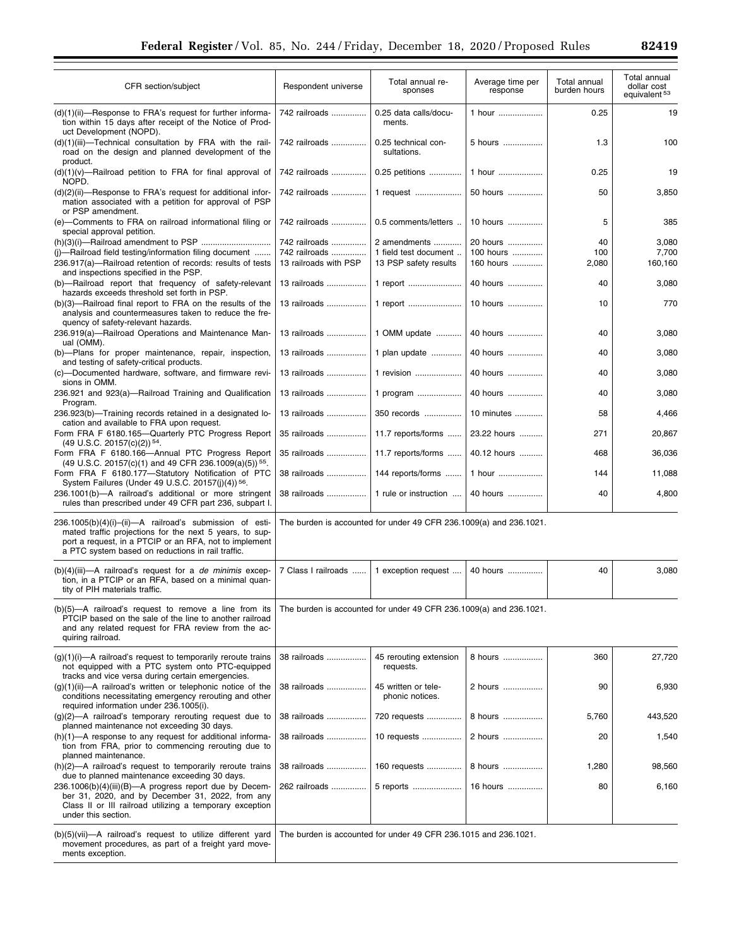| CFR section/subject                                                                                                                                                                                                                            | Respondent universe                                                | Total annual re-<br>sponses                                        | Average time per<br>response | Total annual<br>burden hours | Total annual<br>dollar cost<br>equivalent <sup>53</sup> |  |
|------------------------------------------------------------------------------------------------------------------------------------------------------------------------------------------------------------------------------------------------|--------------------------------------------------------------------|--------------------------------------------------------------------|------------------------------|------------------------------|---------------------------------------------------------|--|
| (d)(1)(ii)—Response to FRA's request for further informa-<br>tion within 15 days after receipt of the Notice of Prod-<br>uct Development (NOPD).                                                                                               | 742 railroads                                                      | 0.25 data calls/docu-<br>ments.                                    | 1 hour                       | 0.25                         | 19                                                      |  |
| (d)(1)(iii)-Technical consultation by FRA with the rail-<br>road on the design and planned development of the<br>product.                                                                                                                      | 742 railroads                                                      | 0.25 technical con-<br>sultations.                                 | 5 hours                      | 1.3                          | 100                                                     |  |
| $(d)(1)(v)$ —Railroad petition to FRA for final approval of<br>NOPD.                                                                                                                                                                           | 742 railroads                                                      | 0.25 petitions                                                     | 1 hour                       | 0.25                         | 19                                                      |  |
| (d)(2)(ii)—Response to FRA's request for additional infor-<br>mation associated with a petition for approval of PSP<br>or PSP amendment.                                                                                                       | 742 railroads                                                      | 1 request                                                          | 50 hours                     | 50                           | 3,850                                                   |  |
| (e)-Comments to FRA on railroad informational filing or<br>special approval petition.                                                                                                                                                          | 742 railroads                                                      | 0.5 comments/letters                                               | 10 hours                     | 5                            | 385                                                     |  |
|                                                                                                                                                                                                                                                | 742 railroads                                                      | 2 amendments                                                       | 20 hours                     | 40                           | 3,080                                                   |  |
| (i)-Railroad field testing/information filing document                                                                                                                                                                                         | 742 railroads                                                      | 1 field test document                                              | 100 hours                    | 100                          | 7,700                                                   |  |
| 236.917(a)-Railroad retention of records: results of tests<br>and inspections specified in the PSP.                                                                                                                                            | 13 railroads with PSP                                              | 13 PSP safety results                                              | 160 hours                    | 2,080                        | 160,160                                                 |  |
| (b)-Railroad report that frequency of safety-relevant<br>hazards exceeds threshold set forth in PSP.                                                                                                                                           | 13 railroads                                                       | 1 report                                                           | 40 hours                     | 40                           | 3,080                                                   |  |
| (b)(3)-Railroad final report to FRA on the results of the<br>analysis and countermeasures taken to reduce the fre-                                                                                                                             | 13 railroads                                                       | 1 report                                                           | 10 hours                     | 10                           | 770                                                     |  |
| quency of safety-relevant hazards.                                                                                                                                                                                                             |                                                                    |                                                                    |                              |                              |                                                         |  |
| 236.919(a)-Railroad Operations and Maintenance Man-<br>ual (OMM).                                                                                                                                                                              | 13 railroads                                                       | 1 OMM update                                                       | 40 hours                     | 40                           | 3,080                                                   |  |
| (b)-Plans for proper maintenance, repair, inspection,<br>and testing of safety-critical products.                                                                                                                                              | 13 railroads                                                       | 1 plan update                                                      | 40 hours                     | 40                           | 3,080                                                   |  |
| (c)-Documented hardware, software, and firmware revi-<br>sions in OMM.                                                                                                                                                                         | 13 railroads                                                       | 1 revision                                                         | 40 hours                     | 40                           | 3,080                                                   |  |
| 236.921 and 923(a)-Railroad Training and Qualification<br>Program.                                                                                                                                                                             | 13 railroads                                                       | 1 program                                                          | 40 hours                     | 40                           | 3,080                                                   |  |
| 236.923(b)-Training records retained in a designated lo-<br>cation and available to FRA upon request.                                                                                                                                          | 13 railroads                                                       | 350 records                                                        | 10 minutes                   | 58                           | 4,466                                                   |  |
| Form FRA F 6180.165-Quarterly PTC Progress Report<br>$(49 \text{ U.S.C. } 20157 \text{(c)} \text{(2)})^{54}$ .                                                                                                                                 | 35 railroads                                                       | 11.7 reports/forms                                                 | 23.22 hours                  | 271                          | 20,867                                                  |  |
| Form FRA F 6180.166-Annual PTC Progress Report<br>(49 U.S.C. 20157(c)(1) and 49 CFR 236.1009(a)(5)) <sup>55</sup> .                                                                                                                            | 35 railroads                                                       | 11.7 reports/forms                                                 | 40.12 hours                  | 468                          | 36,036                                                  |  |
| Form FRA F 6180.177-Statutory Notification of PTC<br>System Failures (Under 49 U.S.C. 20157(j)(4)) 56.                                                                                                                                         | 38 railroads                                                       | 144 reports/forms                                                  | 1 hour                       | 144                          | 11,088                                                  |  |
| 236.1001(b)-A railroad's additional or more stringent<br>rules than prescribed under 49 CFR part 236, subpart I.                                                                                                                               | 38 railroads                                                       | 1 rule or instruction                                              | 40 hours                     | 40                           | 4,800                                                   |  |
| 236.1005(b)(4)(i)-(ii)-A railroad's submission of esti-<br>mated traffic projections for the next 5 years, to sup-<br>port a request, in a PTCIP or an RFA, not to implement                                                                   | The burden is accounted for under 49 CFR 236.1009(a) and 236.1021. |                                                                    |                              |                              |                                                         |  |
| a PTC system based on reductions in rail traffic.                                                                                                                                                                                              |                                                                    |                                                                    |                              |                              |                                                         |  |
| $(b)(4)(iii)$ —A railroad's request for a <i>de minimis</i> excep-<br>tion, in a PTCIP or an RFA, based on a minimal quan-<br>tity of PIH materials traffic.                                                                                   | 7 Class I railroads                                                | 1 exception request                                                | 40 hours                     | 40                           | 3,080                                                   |  |
| $(b)(5)$ —A railroad's request to remove a line from its<br>PTCIP based on the sale of the line to another railroad<br>and any related request for FRA review from the ac-<br>quiring railroad.                                                |                                                                    | The burden is accounted for under 49 CFR 236.1009(a) and 236.1021. |                              |                              |                                                         |  |
| $(g)(1)(i)$ —A railroad's request to temporarily reroute trains<br>not equipped with a PTC system onto PTC-equipped<br>tracks and vice versa during certain emergencies.                                                                       | 38 railroads                                                       | 45 rerouting extension<br>requests.                                | 8 hours                      | 360                          | 27,720                                                  |  |
| $(g)(1)(ii)$ —A railroad's written or telephonic notice of the<br>conditions necessitating emergency rerouting and other<br>required information under 236.1005(i).                                                                            | 38 railroads                                                       | 45 written or tele-<br>phonic notices.                             | 2 hours                      | 90                           | 6,930                                                   |  |
| $(g)(2)$ —A railroad's temporary rerouting request due to<br>planned maintenance not exceeding 30 days.                                                                                                                                        | 38 railroads                                                       | 720 requests                                                       | 8 hours                      | 5,760                        | 443,520                                                 |  |
| $(h)(1)$ —A response to any request for additional informa-<br>tion from FRA, prior to commencing rerouting due to                                                                                                                             | 38 railroads                                                       | 10 requests                                                        | 2 hours                      | 20                           | 1,540                                                   |  |
| planned maintenance.<br>(h)(2)-A railroad's request to temporarily reroute trains                                                                                                                                                              | 38 railroads                                                       | 160 requests                                                       | 8 hours                      | 1,280                        | 98,560                                                  |  |
| due to planned maintenance exceeding 30 days.<br>236.1006(b)(4)(iii)(B)-A progress report due by Decem-<br>ber 31, 2020, and by December 31, 2022, from any<br>Class II or III railroad utilizing a temporary exception<br>under this section. | 262 railroads                                                      | 5 reports                                                          | 16 hours                     | 80                           | 6,160                                                   |  |
| (b)(5)(vii)—A railroad's request to utilize different yard<br>movement procedures, as part of a freight yard move-<br>ments exception.                                                                                                         |                                                                    | The burden is accounted for under 49 CFR 236.1015 and 236.1021.    |                              |                              |                                                         |  |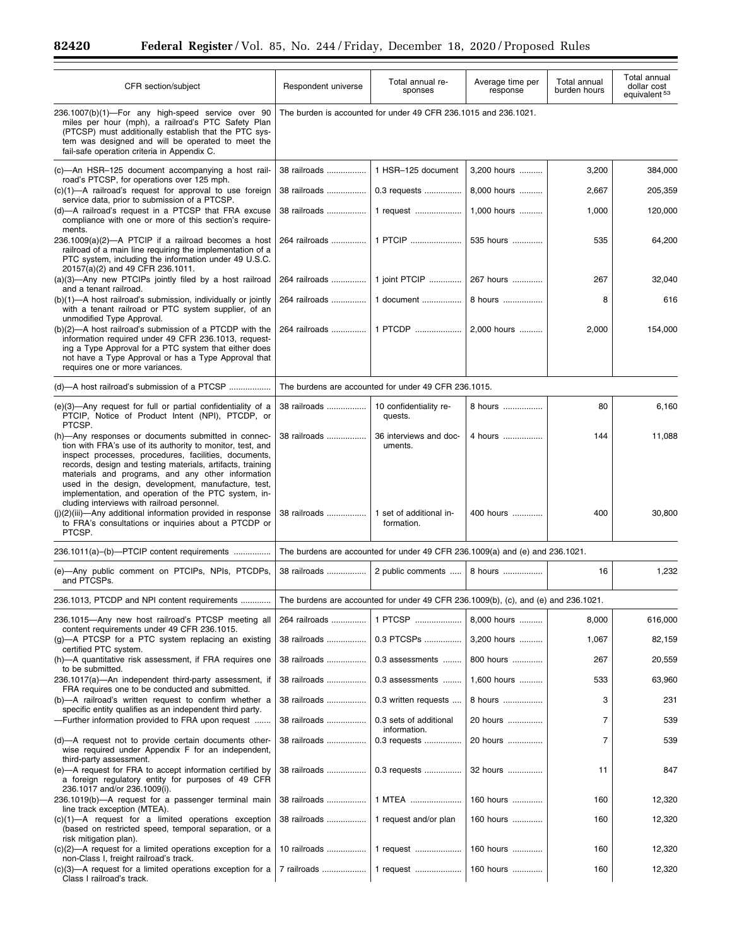Ξ

۰

| CFR section/subject                                                                                                                                                                                                                                                                                                                                                                                                                                         | Respondent universe                                                                | Total annual re-<br>sponses                          | Average time per<br>response | Total annual<br>burden hours | Total annual<br>dollar cost<br>equivalent <sup>53</sup> |  |
|-------------------------------------------------------------------------------------------------------------------------------------------------------------------------------------------------------------------------------------------------------------------------------------------------------------------------------------------------------------------------------------------------------------------------------------------------------------|------------------------------------------------------------------------------------|------------------------------------------------------|------------------------------|------------------------------|---------------------------------------------------------|--|
| 236.1007(b)(1)-For any high-speed service over 90<br>miles per hour (mph), a railroad's PTC Safety Plan<br>(PTCSP) must additionally establish that the PTC sys-<br>tem was designed and will be operated to meet the<br>fail-safe operation criteria in Appendix C.                                                                                                                                                                                        | The burden is accounted for under 49 CFR 236.1015 and 236.1021.                    |                                                      |                              |                              |                                                         |  |
| (c)—An HSR-125 document accompanying a host rail-                                                                                                                                                                                                                                                                                                                                                                                                           | 38 railroads                                                                       | 1 HSR-125 document                                   | 3,200 hours                  | 3,200                        | 384,000                                                 |  |
| road's PTCSP, for operations over 125 mph.<br>$(c)(1)$ —A railroad's request for approval to use foreign<br>service data, prior to submission of a PTCSP.                                                                                                                                                                                                                                                                                                   | 38 railroads                                                                       | 0.3 requests                                         | 8.000 hours                  | 2,667                        | 205,359                                                 |  |
| (d)—A railroad's request in a PTCSP that FRA excuse<br>compliance with one or more of this section's require-<br>ments.                                                                                                                                                                                                                                                                                                                                     | 38 railroads                                                                       | 1 request                                            | 1,000 hours                  | 1,000                        | 120,000                                                 |  |
| $236.1009(a)(2)$ —A PTCIP if a railroad becomes a host<br>railroad of a main line requiring the implementation of a<br>PTC system, including the information under 49 U.S.C.<br>20157(a)(2) and 49 CFR 236.1011.                                                                                                                                                                                                                                            | 264 railroads                                                                      | 1 PTCIP                                              | 535 hours                    | 535                          | 64,200                                                  |  |
| (a)(3)—Any new PTCIPs jointly filed by a host railroad<br>and a tenant railroad.                                                                                                                                                                                                                                                                                                                                                                            | 264 railroads                                                                      | 1 joint PTCIP                                        | 267 hours                    | 267                          | 32,040                                                  |  |
| (b)(1)—A host railroad's submission, individually or jointly<br>with a tenant railroad or PTC system supplier, of an<br>unmodified Type Approval.                                                                                                                                                                                                                                                                                                           | 264 railroads                                                                      | 1 document                                           | 8 hours                      | 8                            | 616                                                     |  |
| (b)(2)-A host railroad's submission of a PTCDP with the<br>information required under 49 CFR 236.1013, request-<br>ing a Type Approval for a PTC system that either does<br>not have a Type Approval or has a Type Approval that<br>requires one or more variances.                                                                                                                                                                                         | 264 railroads                                                                      | 1 PTCDP                                              | 2,000 hours                  | 2,000                        | 154,000                                                 |  |
| (d)-A host railroad's submission of a PTCSP                                                                                                                                                                                                                                                                                                                                                                                                                 |                                                                                    | The burdens are accounted for under 49 CFR 236.1015. |                              |                              |                                                         |  |
| (e)(3)—Any request for full or partial confidentiality of a<br>PTCIP, Notice of Product Intent (NPI), PTCDP, or<br>PTCSP.                                                                                                                                                                                                                                                                                                                                   | 38 railroads                                                                       | 10 confidentiality re-<br>quests.                    | 8 hours                      | 80                           | 6,160                                                   |  |
| (h)-Any responses or documents submitted in connec-<br>tion with FRA's use of its authority to monitor, test, and<br>inspect processes, procedures, facilities, documents,<br>records, design and testing materials, artifacts, training<br>materials and programs, and any other information<br>used in the design, development, manufacture, test,<br>implementation, and operation of the PTC system, in-<br>cluding interviews with railroad personnel. | 38 railroads                                                                       | 36 interviews and doc-<br>uments.                    | 4 hours                      | 144                          | 11,088                                                  |  |
| $(i)(2)(iii)$ —Any additional information provided in response<br>to FRA's consultations or inquiries about a PTCDP or<br>PTCSP.                                                                                                                                                                                                                                                                                                                            | 38 railroads                                                                       | 1 set of additional in-<br>formation.                | 400 hours                    | 400                          | 30,800                                                  |  |
| 236.1011(a)-(b)-PTCIP content requirements                                                                                                                                                                                                                                                                                                                                                                                                                  | The burdens are accounted for under 49 CFR 236.1009(a) and (e) and 236.1021.       |                                                      |                              |                              |                                                         |  |
| (e)-Any public comment on PTCIPs, NPIs, PTCDPs,<br>and PTCSPs.                                                                                                                                                                                                                                                                                                                                                                                              | 38 railroads                                                                       | 2 public comments                                    | 8 hours                      | 16                           | 1,232                                                   |  |
| 236.1013, PTCDP and NPI content requirements                                                                                                                                                                                                                                                                                                                                                                                                                | The burdens are accounted for under 49 CFR 236.1009(b), (c), and (e) and 236.1021. |                                                      |                              |                              |                                                         |  |
| 236.1015-Any new host railroad's PTCSP meeting all<br>content requirements under 49 CFR 236.1015.                                                                                                                                                                                                                                                                                                                                                           | 264 railroads                                                                      | 1 PTCSP                                              | 8.000 hours                  | 8,000                        | 616,000                                                 |  |
| (g)—A PTCSP for a PTC system replacing an existing<br>certified PTC system.                                                                                                                                                                                                                                                                                                                                                                                 | 38 railroads                                                                       | 0.3 PTCSPs                                           | 3,200 hours                  | 1,067                        | 82,159                                                  |  |
| (h)—A quantitative risk assessment, if FRA requires one<br>to be submitted.                                                                                                                                                                                                                                                                                                                                                                                 | 38 railroads                                                                       | 0.3 assessments                                      | 800 hours                    | 267                          | 20,559                                                  |  |
| 236.1017(a)-An independent third-party assessment, if<br>FRA requires one to be conducted and submitted.                                                                                                                                                                                                                                                                                                                                                    | 38 railroads                                                                       | 0.3 assessments                                      | 1,600 hours                  | 533                          | 63,960                                                  |  |
| (b)—A railroad's written request to confirm whether a<br>specific entity qualifies as an independent third party.                                                                                                                                                                                                                                                                                                                                           | 38 railroads                                                                       | 0.3 written requests                                 | 8 hours                      | 3                            | 231                                                     |  |
| -Further information provided to FRA upon request                                                                                                                                                                                                                                                                                                                                                                                                           | 38 railroads                                                                       | 0.3 sets of additional<br>information.               | 20 hours                     | 7                            | 539                                                     |  |
| (d)—A request not to provide certain documents other-<br>wise required under Appendix F for an independent,<br>third-party assessment.                                                                                                                                                                                                                                                                                                                      | 38 railroads                                                                       | 0.3 requests                                         | 20 hours                     | 7                            | 539                                                     |  |
| (e)—A request for FRA to accept information certified by<br>a foreign regulatory entity for purposes of 49 CFR<br>236.1017 and/or 236.1009(i).                                                                                                                                                                                                                                                                                                              | 38 railroads                                                                       | 0.3 requests                                         | 32 hours                     | 11                           | 847                                                     |  |
| 236.1019(b)—A request for a passenger terminal main<br>line track exception (MTEA).                                                                                                                                                                                                                                                                                                                                                                         | 38 railroads                                                                       | 1 MTEA                                               | 160 hours                    | 160                          | 12,320                                                  |  |
| $(c)(1)$ —A request for a limited operations exception<br>(based on restricted speed, temporal separation, or a<br>risk mitigation plan).                                                                                                                                                                                                                                                                                                                   | 38 railroads                                                                       | 1 request and/or plan                                | 160 hours                    | 160                          | 12,320                                                  |  |
| $(c)(2)$ —A request for a limited operations exception for a<br>non-Class I, freight railroad's track.                                                                                                                                                                                                                                                                                                                                                      | 10 railroads                                                                       | 1 request                                            | 160 hours                    | 160                          | 12,320                                                  |  |
| $(c)(3)$ —A request for a limited operations exception for a<br>Class I railroad's track.                                                                                                                                                                                                                                                                                                                                                                   | 7 railroads                                                                        | 1 request                                            | 160 hours                    | 160                          | 12,320                                                  |  |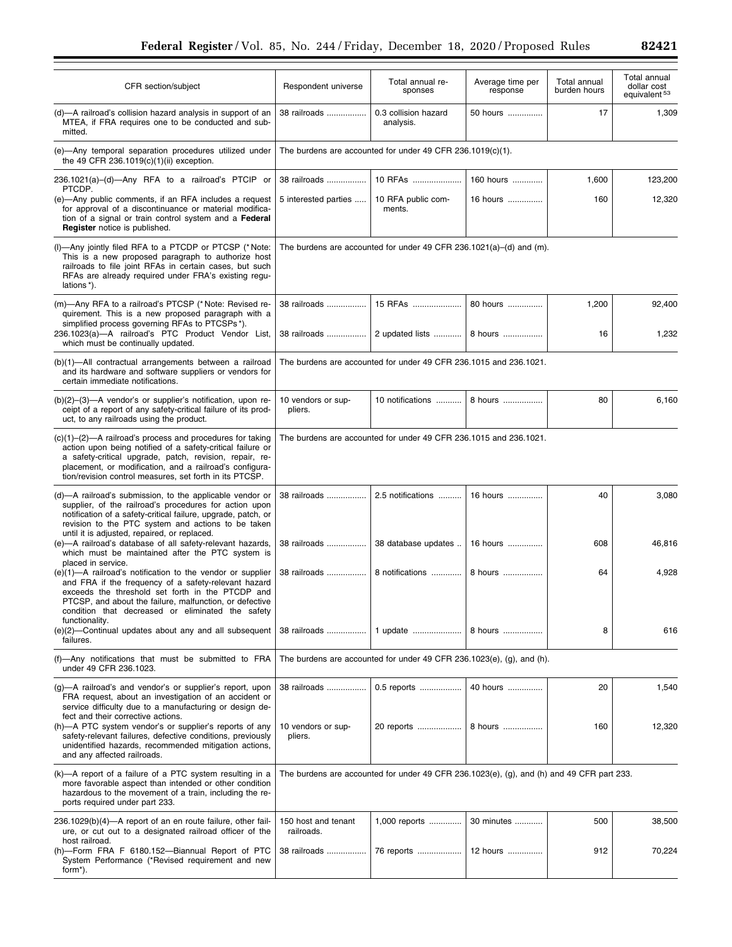CFR section/subject Respondent universe

| (d)—A railroad's collision hazard analysis in support of an<br>MTEA, if FRA requires one to be conducted and sub-<br>mitted.                                                                                                                                                                                                      | 38 railroads                                                                              | 0.3 collision hazard<br>analysis. | 50 hours   | 17    | 1,309   |  |
|-----------------------------------------------------------------------------------------------------------------------------------------------------------------------------------------------------------------------------------------------------------------------------------------------------------------------------------|-------------------------------------------------------------------------------------------|-----------------------------------|------------|-------|---------|--|
| (e)-Any temporal separation procedures utilized under<br>the 49 CFR 236.1019(c)(1)(ii) exception.                                                                                                                                                                                                                                 | The burdens are accounted for under 49 CFR 236.1019(c)(1).                                |                                   |            |       |         |  |
| 236.1021(a)-(d)-Any RFA to a railroad's PTCIP or                                                                                                                                                                                                                                                                                  | 38 railroads                                                                              | 10 RFAs                           | 160 hours  | 1,600 | 123,200 |  |
| PTCDP.<br>(e)—Any public comments, if an RFA includes a request<br>for approval of a discontinuance or material modifica-<br>tion of a signal or train control system and a Federal<br>Register notice is published.                                                                                                              | 5 interested parties                                                                      | 10 RFA public com-<br>ments.      | 16 hours   | 160   | 12,320  |  |
| (I)-Any jointly filed RFA to a PTCDP or PTCSP (*Note:<br>This is a new proposed paragraph to authorize host<br>railroads to file joint RFAs in certain cases, but such<br>RFAs are already required under FRA's existing regu-<br>lations*).                                                                                      | The burdens are accounted for under 49 CFR 236.1021(a)–(d) and (m).                       |                                   |            |       |         |  |
| (m)—Any RFA to a railroad's PTCSP (*Note: Revised re-<br>quirement. This is a new proposed paragraph with a<br>simplified process governing RFAs to PTCSPs*).                                                                                                                                                                     | 38 railroads                                                                              | 15 RFAs                           | 80 hours   | 1,200 | 92,400  |  |
| 236.1023(a)-A railroad's PTC Product Vendor List,<br>which must be continually updated.                                                                                                                                                                                                                                           | 38 railroads                                                                              | 2 updated lists                   | 8 hours    | 16    | 1,232   |  |
| (b)(1)-All contractual arrangements between a railroad<br>and its hardware and software suppliers or vendors for<br>certain immediate notifications.                                                                                                                                                                              | The burdens are accounted for under 49 CFR 236.1015 and 236.1021.                         |                                   |            |       |         |  |
| $(b)(2)$ – $(3)$ –A vendor's or supplier's notification, upon re-<br>ceipt of a report of any safety-critical failure of its prod-<br>uct, to any railroads using the product.                                                                                                                                                    | 10 vendors or sup-<br>pliers.                                                             | 10 notifications                  | 8 hours    | 80    | 6,160   |  |
| $(c)(1)$ – $(2)$ –A railroad's process and procedures for taking<br>action upon being notified of a safety-critical failure or<br>a safety-critical upgrade, patch, revision, repair, re-<br>placement, or modification, and a railroad's configura-<br>tion/revision control measures, set forth in its PTCSP.                   | The burdens are accounted for under 49 CFR 236.1015 and 236.1021.                         |                                   |            |       |         |  |
| (d)—A railroad's submission, to the applicable vendor or<br>supplier, of the railroad's procedures for action upon<br>notification of a safety-critical failure, upgrade, patch, or<br>revision to the PTC system and actions to be taken<br>until it is adjusted, repaired, or replaced.                                         | 38 railroads                                                                              | 2.5 notifications                 | 16 hours   | 40    | 3,080   |  |
| (e)-A railroad's database of all safety-relevant hazards,<br>which must be maintained after the PTC system is                                                                                                                                                                                                                     | 38 railroads                                                                              | 38 database updates               | 16 hours   | 608   | 46,816  |  |
| placed in service.<br>$(e)(1)$ —A railroad's notification to the vendor or supplier<br>and FRA if the frequency of a safety-relevant hazard<br>exceeds the threshold set forth in the PTCDP and<br>PTCSP, and about the failure, malfunction, or defective<br>condition that decreased or eliminated the safety<br>functionality. | 38 railroads                                                                              | 8 notifications                   | 8 hours    | 64    | 4,928   |  |
| (e)(2)-Continual updates about any and all subsequent<br>failures.                                                                                                                                                                                                                                                                |                                                                                           | 38 railroads   1 update   8 hours |            | 8     | 616     |  |
| (f)—Any notifications that must be submitted to FRA<br>under 49 CFR 236.1023.                                                                                                                                                                                                                                                     | The burdens are accounted for under 49 CFR 236.1023(e), (g), and (h).                     |                                   |            |       |         |  |
| (g)-A railroad's and vendor's or supplier's report, upon<br>FRA request, about an investigation of an accident or<br>service difficulty due to a manufacturing or design de-                                                                                                                                                      | 38 railroads                                                                              | 0.5 reports                       | 40 hours   | 20    | 1,540   |  |
| fect and their corrective actions.<br>(h)-A PTC system vendor's or supplier's reports of any<br>safety-relevant failures, defective conditions, previously<br>unidentified hazards, recommended mitigation actions,<br>and any affected railroads.                                                                                | 10 vendors or sup-<br>pliers.                                                             | 20 reports                        | 8 hours    | 160   | 12,320  |  |
| (k)—A report of a failure of a PTC system resulting in a<br>more favorable aspect than intended or other condition<br>hazardous to the movement of a train, including the re-<br>ports required under part 233.                                                                                                                   | The burdens are accounted for under 49 CFR 236.1023(e), (g), and (h) and 49 CFR part 233. |                                   |            |       |         |  |
| 236.1029(b)(4)—A report of an en route failure, other fail-<br>ure, or cut out to a designated railroad officer of the<br>host railroad.                                                                                                                                                                                          | 150 host and tenant<br>railroads.                                                         | 1,000 reports                     | 30 minutes | 500   | 38,500  |  |
| (h)-Form FRA F 6180.152-Biannual Report of PTC<br>System Performance (*Revised requirement and new<br>form <sup>*</sup> ).                                                                                                                                                                                                        | 38 railroads                                                                              | 76 reports                        | 12 hours   | 912   | 70,224  |  |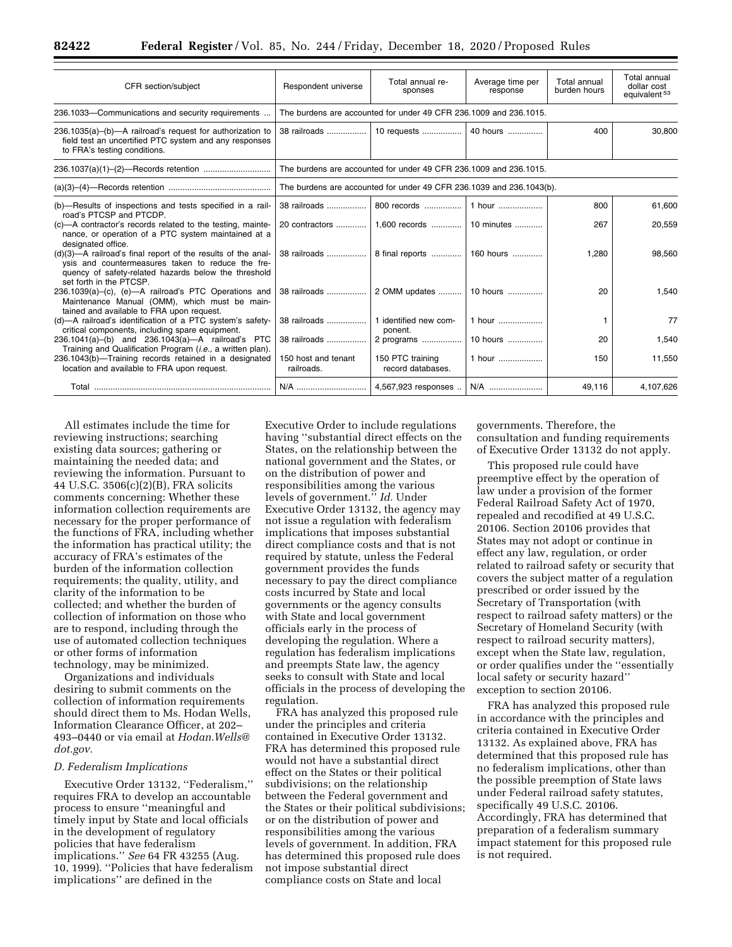| CFR section/subject                                                                                                                                                                                  | Respondent universe                                                  | Total annual re-<br>sponses           | Average time per<br>response | Total annual<br>burden hours | Total annual<br>dollar cost<br>equivalent <sup>53</sup> |  |
|------------------------------------------------------------------------------------------------------------------------------------------------------------------------------------------------------|----------------------------------------------------------------------|---------------------------------------|------------------------------|------------------------------|---------------------------------------------------------|--|
| 236.1033-Communications and security requirements                                                                                                                                                    | The burdens are accounted for under 49 CFR 236.1009 and 236.1015.    |                                       |                              |                              |                                                         |  |
| $236.1035(a)$ –(b)––A railroad's request for authorization to<br>field test an uncertified PTC system and any responses<br>to FRA's testing conditions.                                              |                                                                      | 10 requests                           | 40 hours                     | 400                          | 30.800                                                  |  |
|                                                                                                                                                                                                      | The burdens are accounted for under 49 CFR 236,1009 and 236,1015.    |                                       |                              |                              |                                                         |  |
|                                                                                                                                                                                                      | The burdens are accounted for under 49 CFR 236.1039 and 236.1043(b). |                                       |                              |                              |                                                         |  |
| (b)—Results of inspections and tests specified in a rail-<br>road's PTCSP and PTCDP.                                                                                                                 | 38 railroads                                                         | 800 records                           | 1 hour                       | 800                          | 61,600                                                  |  |
| (c)-A contractor's records related to the testing, mainte-<br>nance, or operation of a PTC system maintained at a<br>designated office.                                                              |                                                                      |                                       |                              | 267                          | 20,559                                                  |  |
| (d)(3)—A railroad's final report of the results of the anal-<br>ysis and countermeasures taken to reduce the fre-<br>quency of safety-related hazards below the threshold<br>set forth in the PTCSP. |                                                                      |                                       |                              | 1.280                        | 98,560                                                  |  |
| 236.1039(a)-(c), (e)-A railroad's PTC Operations and<br>Maintenance Manual (OMM), which must be main-<br>tained and available to FRA upon request.                                                   | 38 railroads                                                         | 2 OMM updates    10 hours             |                              | 20                           | 1,540                                                   |  |
| (d)-A railroad's identification of a PTC system's safety-<br>critical components, including spare equipment.                                                                                         | 38 railroads                                                         | 1 identified new com-<br>ponent.      | 1 hour                       |                              | 77                                                      |  |
| 236.1041(a)-(b) and 236.1043(a)-A railroad's PTC<br>Training and Qualification Program ( <i>i.e.</i> , a written plan).                                                                              | 38 railroads                                                         | 2 programs                            | 10 hours                     | 20                           | 1.540                                                   |  |
| 236.1043(b)-Training records retained in a designated<br>location and available to FRA upon request.                                                                                                 | 150 host and tenant<br>railroads.                                    | 150 PTC training<br>record databases. | 1 hour                       | 150                          | 11,550                                                  |  |
|                                                                                                                                                                                                      | N/A                                                                  | 4,567,923 responses                   | N/A                          | 49.116                       | 4.107.626                                               |  |

All estimates include the time for reviewing instructions; searching existing data sources; gathering or maintaining the needed data; and reviewing the information. Pursuant to 44 U.S.C. 3506(c)(2)(B), FRA solicits comments concerning: Whether these information collection requirements are necessary for the proper performance of the functions of FRA, including whether the information has practical utility; the accuracy of FRA's estimates of the burden of the information collection requirements; the quality, utility, and clarity of the information to be collected; and whether the burden of collection of information on those who are to respond, including through the use of automated collection techniques or other forms of information technology, may be minimized.

Organizations and individuals desiring to submit comments on the collection of information requirements should direct them to Ms. Hodan Wells, Information Clearance Officer, at 202– 493–0440 or via email at *[Hodan.Wells@](mailto:Hodan.Wells@dot.gov) [dot.gov.](mailto:Hodan.Wells@dot.gov)* 

#### *D. Federalism Implications*

Executive Order 13132, ''Federalism,'' requires FRA to develop an accountable process to ensure ''meaningful and timely input by State and local officials in the development of regulatory policies that have federalism implications.'' *See* 64 FR 43255 (Aug. 10, 1999). ''Policies that have federalism implications'' are defined in the

Executive Order to include regulations having ''substantial direct effects on the States, on the relationship between the national government and the States, or on the distribution of power and responsibilities among the various levels of government.'' *Id.* Under Executive Order 13132, the agency may not issue a regulation with federalism implications that imposes substantial direct compliance costs and that is not required by statute, unless the Federal government provides the funds necessary to pay the direct compliance costs incurred by State and local governments or the agency consults with State and local government officials early in the process of developing the regulation. Where a regulation has federalism implications and preempts State law, the agency seeks to consult with State and local officials in the process of developing the regulation.

FRA has analyzed this proposed rule under the principles and criteria contained in Executive Order 13132. FRA has determined this proposed rule would not have a substantial direct effect on the States or their political subdivisions; on the relationship between the Federal government and the States or their political subdivisions; or on the distribution of power and responsibilities among the various levels of government. In addition, FRA has determined this proposed rule does not impose substantial direct compliance costs on State and local

governments. Therefore, the consultation and funding requirements of Executive Order 13132 do not apply.

This proposed rule could have preemptive effect by the operation of law under a provision of the former Federal Railroad Safety Act of 1970, repealed and recodified at 49 U.S.C. 20106. Section 20106 provides that States may not adopt or continue in effect any law, regulation, or order related to railroad safety or security that covers the subject matter of a regulation prescribed or order issued by the Secretary of Transportation (with respect to railroad safety matters) or the Secretary of Homeland Security (with respect to railroad security matters), except when the State law, regulation, or order qualifies under the ''essentially local safety or security hazard'' exception to section 20106.

FRA has analyzed this proposed rule in accordance with the principles and criteria contained in Executive Order 13132. As explained above, FRA has determined that this proposed rule has no federalism implications, other than the possible preemption of State laws under Federal railroad safety statutes, specifically 49 U.S.C. 20106. Accordingly, FRA has determined that preparation of a federalism summary impact statement for this proposed rule is not required.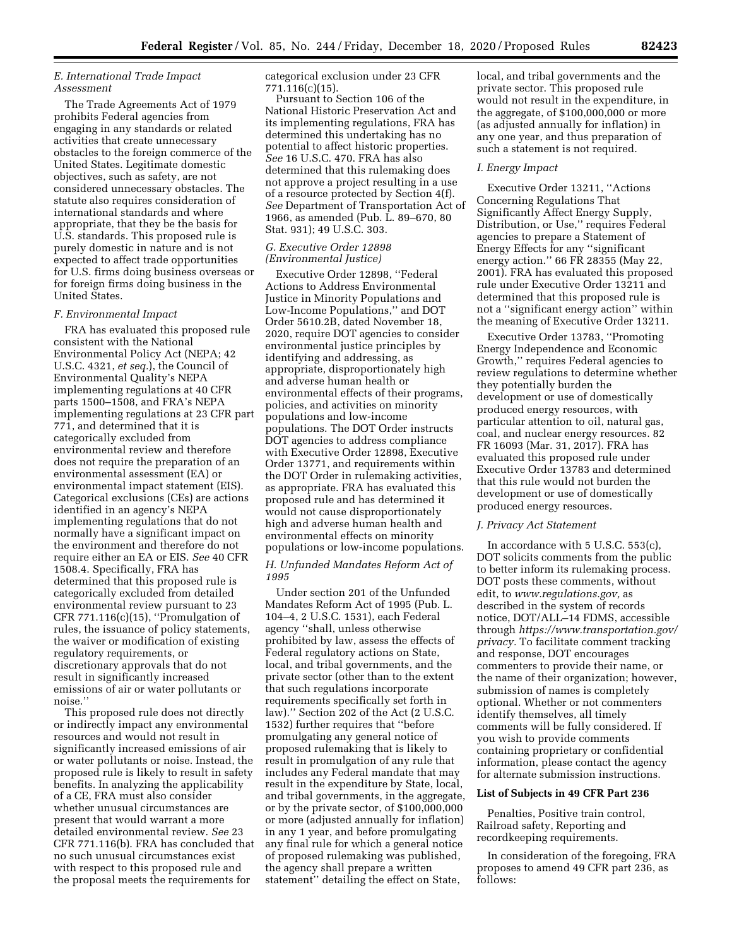# *E. International Trade Impact Assessment*

The Trade Agreements Act of 1979 prohibits Federal agencies from engaging in any standards or related activities that create unnecessary obstacles to the foreign commerce of the United States. Legitimate domestic objectives, such as safety, are not considered unnecessary obstacles. The statute also requires consideration of international standards and where appropriate, that they be the basis for U.S. standards. This proposed rule is purely domestic in nature and is not expected to affect trade opportunities for U.S. firms doing business overseas or for foreign firms doing business in the United States.

## *F. Environmental Impact*

FRA has evaluated this proposed rule consistent with the National Environmental Policy Act (NEPA; 42 U.S.C. 4321, *et seq.*), the Council of Environmental Quality's NEPA implementing regulations at 40 CFR parts 1500–1508, and FRA's NEPA implementing regulations at 23 CFR part 771, and determined that it is categorically excluded from environmental review and therefore does not require the preparation of an environmental assessment (EA) or environmental impact statement (EIS). Categorical exclusions (CEs) are actions identified in an agency's NEPA implementing regulations that do not normally have a significant impact on the environment and therefore do not require either an EA or EIS. *See* 40 CFR 1508.4. Specifically, FRA has determined that this proposed rule is categorically excluded from detailed environmental review pursuant to 23 CFR 771.116 $(c)(15)$ , "Promulgation of rules, the issuance of policy statements, the waiver or modification of existing regulatory requirements, or discretionary approvals that do not result in significantly increased emissions of air or water pollutants or noise.''

This proposed rule does not directly or indirectly impact any environmental resources and would not result in significantly increased emissions of air or water pollutants or noise. Instead, the proposed rule is likely to result in safety benefits. In analyzing the applicability of a CE, FRA must also consider whether unusual circumstances are present that would warrant a more detailed environmental review. *See* 23 CFR 771.116(b). FRA has concluded that no such unusual circumstances exist with respect to this proposed rule and the proposal meets the requirements for

categorical exclusion under 23 CFR 771.116(c)(15).

Pursuant to Section 106 of the National Historic Preservation Act and its implementing regulations, FRA has determined this undertaking has no potential to affect historic properties. *See* 16 U.S.C. 470. FRA has also determined that this rulemaking does not approve a project resulting in a use of a resource protected by Section 4(f). *See* Department of Transportation Act of 1966, as amended (Pub. L. 89–670, 80 Stat. 931); 49 U.S.C. 303.

# *G. Executive Order 12898 (Environmental Justice)*

Executive Order 12898, ''Federal Actions to Address Environmental Justice in Minority Populations and Low-Income Populations,'' and DOT Order 5610.2B, dated November 18, 2020, require DOT agencies to consider environmental justice principles by identifying and addressing, as appropriate, disproportionately high and adverse human health or environmental effects of their programs, policies, and activities on minority populations and low-income populations. The DOT Order instructs DOT agencies to address compliance with Executive Order 12898, Executive Order 13771, and requirements within the DOT Order in rulemaking activities, as appropriate. FRA has evaluated this proposed rule and has determined it would not cause disproportionately high and adverse human health and environmental effects on minority populations or low-income populations.

# *H. Unfunded Mandates Reform Act of 1995*

Under section 201 of the Unfunded Mandates Reform Act of 1995 (Pub. L. 104–4, 2 U.S.C. 1531), each Federal agency ''shall, unless otherwise prohibited by law, assess the effects of Federal regulatory actions on State, local, and tribal governments, and the private sector (other than to the extent that such regulations incorporate requirements specifically set forth in law).'' Section 202 of the Act (2 U.S.C. 1532) further requires that ''before promulgating any general notice of proposed rulemaking that is likely to result in promulgation of any rule that includes any Federal mandate that may result in the expenditure by State, local, and tribal governments, in the aggregate, or by the private sector, of \$100,000,000 or more (adjusted annually for inflation) in any 1 year, and before promulgating any final rule for which a general notice of proposed rulemaking was published, the agency shall prepare a written statement'' detailing the effect on State,

local, and tribal governments and the private sector. This proposed rule would not result in the expenditure, in the aggregate, of \$100,000,000 or more (as adjusted annually for inflation) in any one year, and thus preparation of such a statement is not required.

#### *I. Energy Impact*

Executive Order 13211, ''Actions Concerning Regulations That Significantly Affect Energy Supply, Distribution, or Use,'' requires Federal agencies to prepare a Statement of Energy Effects for any ''significant energy action.'' 66 FR 28355 (May 22, 2001). FRA has evaluated this proposed rule under Executive Order 13211 and determined that this proposed rule is not a ''significant energy action'' within the meaning of Executive Order 13211.

Executive Order 13783, ''Promoting Energy Independence and Economic Growth,'' requires Federal agencies to review regulations to determine whether they potentially burden the development or use of domestically produced energy resources, with particular attention to oil, natural gas, coal, and nuclear energy resources. 82 FR 16093 (Mar. 31, 2017). FRA has evaluated this proposed rule under Executive Order 13783 and determined that this rule would not burden the development or use of domestically produced energy resources.

#### *J. Privacy Act Statement*

In accordance with 5 U.S.C. 553(c), DOT solicits comments from the public to better inform its rulemaking process. DOT posts these comments, without edit, to *[www.regulations.gov,](http://www.regulations.gov)* as described in the system of records notice, DOT/ALL–14 FDMS, accessible through *[https://www.transportation.gov/](https://www.transportation.gov/privacy) [privacy.](https://www.transportation.gov/privacy)* To facilitate comment tracking and response, DOT encourages commenters to provide their name, or the name of their organization; however, submission of names is completely optional. Whether or not commenters identify themselves, all timely comments will be fully considered. If you wish to provide comments containing proprietary or confidential information, please contact the agency for alternate submission instructions.

# **List of Subjects in 49 CFR Part 236**

Penalties, Positive train control, Railroad safety, Reporting and recordkeeping requirements.

In consideration of the foregoing, FRA proposes to amend 49 CFR part 236, as follows: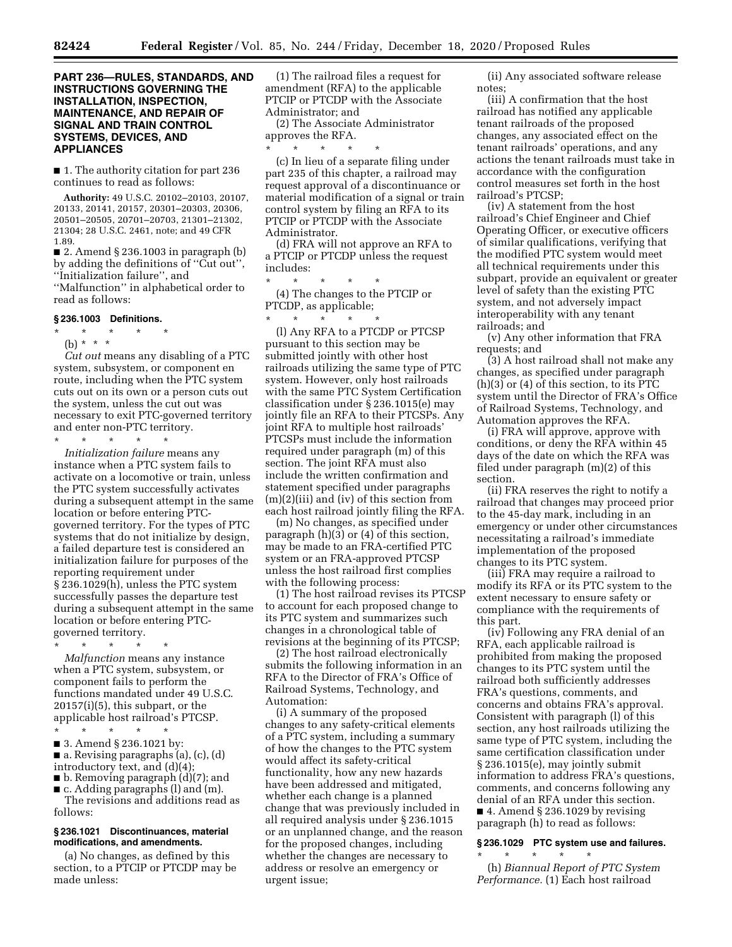# **PART 236—RULES, STANDARDS, AND INSTRUCTIONS GOVERNING THE INSTALLATION, INSPECTION, MAINTENANCE, AND REPAIR OF SIGNAL AND TRAIN CONTROL SYSTEMS, DEVICES, AND APPLIANCES**

■ 1. The authority citation for part 236 continues to read as follows:

**Authority:** 49 U.S.C. 20102–20103, 20107, 20133, 20141, 20157, 20301–20303, 20306, 20501–20505, 20701–20703, 21301–21302, 21304; 28 U.S.C. 2461, note; and 49 CFR 1.89.

 $\blacksquare$  2. Amend § 236.1003 in paragraph (b) by adding the definitions of ''Cut out'', ''Initialization failure'', and

''Malfunction'' in alphabetical order to read as follows:

#### **§ 236.1003 Definitions.**

# \* \* \* \* \*

(b) \* \* \* *Cut out* means any disabling of a PTC

system, subsystem, or component en route, including when the PTC system cuts out on its own or a person cuts out the system, unless the cut out was necessary to exit PTC-governed territory and enter non-PTC territory.

\* \* \* \* \* *Initialization failure* means any instance when a PTC system fails to activate on a locomotive or train, unless the PTC system successfully activates during a subsequent attempt in the same location or before entering PTCgoverned territory. For the types of PTC systems that do not initialize by design, a failed departure test is considered an initialization failure for purposes of the reporting requirement under § 236.1029(h), unless the PTC system successfully passes the departure test during a subsequent attempt in the same location or before entering PTC-

governed territory.

\* \* \* \* \* *Malfunction* means any instance when a PTC system, subsystem, or component fails to perform the functions mandated under 49 U.S.C. 20157(i)(5), this subpart, or the applicable host railroad's PTCSP.

\* \* \* \* \* ■ 3. Amend § 236.1021 by:

■ a. Revising paragraphs (a), (c), (d) introductory text, and (d)(4);

■ b. Removing paragraph (d)(7); and ■ c. Adding paragraphs (l) and (m).

The revisions and additions read as follows:

# **§ 236.1021 Discontinuances, material modifications, and amendments.**

(a) No changes, as defined by this section, to a PTCIP or PTCDP may be made unless:

(1) The railroad files a request for amendment (RFA) to the applicable PTCIP or PTCDP with the Associate Administrator; and

(2) The Associate Administrator approves the RFA.

\* \* \* \* \* (c) In lieu of a separate filing under part 235 of this chapter, a railroad may request approval of a discontinuance or material modification of a signal or train control system by filing an RFA to its PTCIP or PTCDP with the Associate Administrator.

(d) FRA will not approve an RFA to a PTCIP or PTCDP unless the request includes:

\* \* \* \* \* (4) The changes to the PTCIP or PTCDP, as applicable;

\* \* \* \* \* (l) Any RFA to a PTCDP or PTCSP pursuant to this section may be submitted jointly with other host railroads utilizing the same type of PTC system. However, only host railroads with the same PTC System Certification classification under § 236.1015(e) may jointly file an RFA to their PTCSPs. Any joint RFA to multiple host railroads' PTCSPs must include the information required under paragraph (m) of this section. The joint RFA must also include the written confirmation and statement specified under paragraphs (m)(2)(iii) and (iv) of this section from each host railroad jointly filing the RFA.

(m) No changes, as specified under paragraph (h)(3) or (4) of this section, may be made to an FRA-certified PTC system or an FRA-approved PTCSP unless the host railroad first complies with the following process:

(1) The host railroad revises its PTCSP to account for each proposed change to its PTC system and summarizes such changes in a chronological table of revisions at the beginning of its PTCSP;

(2) The host railroad electronically submits the following information in an RFA to the Director of FRA's Office of Railroad Systems, Technology, and Automation:

(i) A summary of the proposed changes to any safety-critical elements of a PTC system, including a summary of how the changes to the PTC system would affect its safety-critical functionality, how any new hazards have been addressed and mitigated, whether each change is a planned change that was previously included in all required analysis under § 236.1015 or an unplanned change, and the reason for the proposed changes, including whether the changes are necessary to address or resolve an emergency or urgent issue;

(ii) Any associated software release notes;

(iii) A confirmation that the host railroad has notified any applicable tenant railroads of the proposed changes, any associated effect on the tenant railroads' operations, and any actions the tenant railroads must take in accordance with the configuration control measures set forth in the host railroad's PTCSP;

(iv) A statement from the host railroad's Chief Engineer and Chief Operating Officer, or executive officers of similar qualifications, verifying that the modified PTC system would meet all technical requirements under this subpart, provide an equivalent or greater level of safety than the existing PTC system, and not adversely impact interoperability with any tenant railroads; and

(v) Any other information that FRA requests; and

(3) A host railroad shall not make any changes, as specified under paragraph (h)(3) or (4) of this section, to its PTC system until the Director of FRA's Office of Railroad Systems, Technology, and Automation approves the RFA.

(i) FRA will approve, approve with conditions, or deny the RFA within 45 days of the date on which the RFA was filed under paragraph (m)(2) of this section.

(ii) FRA reserves the right to notify a railroad that changes may proceed prior to the 45-day mark, including in an emergency or under other circumstances necessitating a railroad's immediate implementation of the proposed changes to its PTC system.

(iii) FRA may require a railroad to modify its RFA or its PTC system to the extent necessary to ensure safety or compliance with the requirements of this part.

(iv) Following any FRA denial of an RFA, each applicable railroad is prohibited from making the proposed changes to its PTC system until the railroad both sufficiently addresses FRA's questions, comments, and concerns and obtains FRA's approval. Consistent with paragraph (l) of this section, any host railroads utilizing the same type of PTC system, including the same certification classification under § 236.1015(e), may jointly submit information to address FRA's questions, comments, and concerns following any denial of an RFA under this section.  $\blacksquare$  4. Amend § 236.1029 by revising paragraph (h) to read as follows:

### **§ 236.1029 PTC system use and failures.**  \* \* \* \* \*

(h) *Biannual Report of PTC System Performance.* (1) Each host railroad